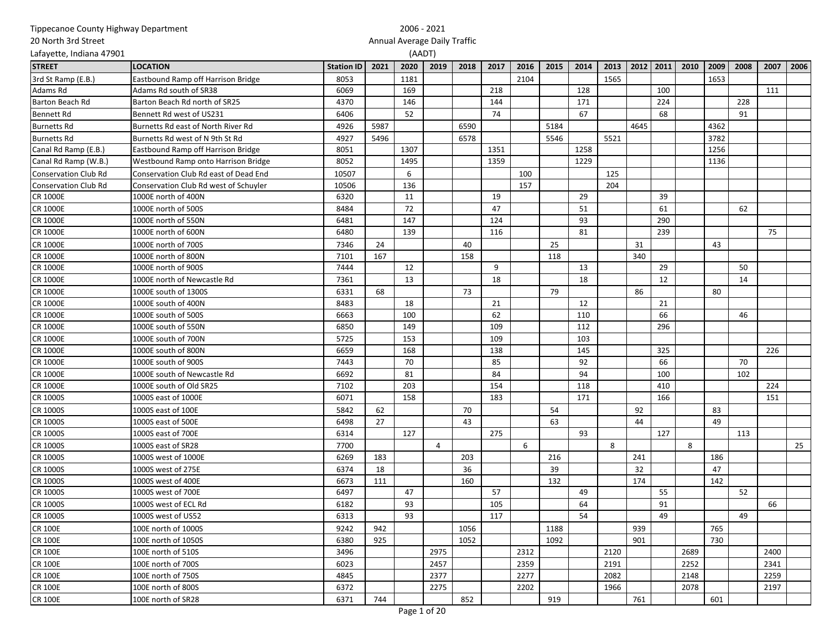| Tippecanoe County Highway Department |                                       |                   |      |                              | 2006 - 2021 |      |      |      |      |      |      |      |           |      |      |      |      |      |
|--------------------------------------|---------------------------------------|-------------------|------|------------------------------|-------------|------|------|------|------|------|------|------|-----------|------|------|------|------|------|
| 20 North 3rd Street                  |                                       |                   |      | Annual Average Daily Traffic |             |      |      |      |      |      |      |      |           |      |      |      |      |      |
| Lafayette, Indiana 47901             |                                       |                   |      |                              | (AADT)      |      |      |      |      |      |      |      |           |      |      |      |      |      |
| <b>STREET</b>                        | <b>LOCATION</b>                       | <b>Station ID</b> | 2021 | 2020                         | 2019        | 2018 | 2017 | 2016 | 2015 | 2014 | 2013 |      | 2012 2011 | 2010 | 2009 | 2008 | 2007 | 2006 |
| 3rd St Ramp (E.B.)                   | Eastbound Ramp off Harrison Bridge    | 8053              |      | 1181                         |             |      |      | 2104 |      |      | 1565 |      |           |      | 1653 |      |      |      |
| Adams Rd                             | Adams Rd south of SR38                | 6069              |      | 169                          |             |      | 218  |      |      | 128  |      |      | 100       |      |      |      | 111  |      |
| <b>Barton Beach Rd</b>               | Barton Beach Rd north of SR25         | 4370              |      | 146                          |             |      | 144  |      |      | 171  |      |      | 224       |      |      | 228  |      |      |
| <b>Bennett Rd</b>                    | Bennett Rd west of US231              | 6406              |      | 52                           |             |      | 74   |      |      | 67   |      |      | 68        |      |      | 91   |      |      |
| <b>Burnetts Rd</b>                   | Burnetts Rd east of North River Rd    | 4926              | 5987 |                              |             | 6590 |      |      | 5184 |      |      | 4645 |           |      | 4362 |      |      |      |
| <b>Burnetts Rd</b>                   | Burnetts Rd west of N 9th St Rd       | 4927              | 5496 |                              |             | 6578 |      |      | 5546 |      | 5521 |      |           |      | 3782 |      |      |      |
| Canal Rd Ramp (E.B.)                 | Eastbound Ramp off Harrison Bridge    | 8051              |      | 1307                         |             |      | 1351 |      |      | 1258 |      |      |           |      | 1256 |      |      |      |
| Canal Rd Ramp (W.B.)                 | Westbound Ramp onto Harrison Bridge   | 8052              |      | 1495                         |             |      | 1359 |      |      | 1229 |      |      |           |      | 1136 |      |      |      |
| <b>Conservation Club Rd</b>          | Conservation Club Rd east of Dead End | 10507             |      | 6                            |             |      |      | 100  |      |      | 125  |      |           |      |      |      |      |      |
| Conservation Club Rd                 | Conservation Club Rd west of Schuyler | 10506             |      | 136                          |             |      |      | 157  |      |      | 204  |      |           |      |      |      |      |      |
| <b>CR 1000E</b>                      | 1000E north of 400N                   | 6320              |      | 11                           |             |      | 19   |      |      | 29   |      |      | 39        |      |      |      |      |      |
| <b>CR 1000E</b>                      | 1000E north of 500S                   | 8484              |      | 72                           |             |      | 47   |      |      | 51   |      |      | 61        |      |      | 62   |      |      |
| <b>CR 1000E</b>                      | 1000E north of 550N                   | 6481              |      | 147                          |             |      | 124  |      |      | 93   |      |      | 290       |      |      |      |      |      |
| <b>CR 1000E</b>                      | 1000E north of 600N                   | 6480              |      | 139                          |             |      | 116  |      |      | 81   |      |      | 239       |      |      |      | 75   |      |
| <b>CR 1000E</b>                      | 1000E north of 700S                   | 7346              | 24   |                              |             | 40   |      |      | 25   |      |      | 31   |           |      | 43   |      |      |      |
| <b>CR 1000E</b>                      | 1000E north of 800N                   | 7101              | 167  |                              |             | 158  |      |      | 118  |      |      | 340  |           |      |      |      |      |      |
| <b>CR 1000E</b>                      | 1000E north of 900S                   | 7444              |      | 12                           |             |      | 9    |      |      | 13   |      |      | 29        |      |      | 50   |      |      |
| <b>CR 1000E</b>                      | 1000E north of Newcastle Rd           | 7361              |      | 13                           |             |      | 18   |      |      | 18   |      |      | 12        |      |      | 14   |      |      |
| <b>CR 1000E</b>                      | 1000E south of 1300S                  | 6331              | 68   |                              |             | 73   |      |      | 79   |      |      | 86   |           |      | 80   |      |      |      |
| <b>CR 1000E</b>                      | 1000E south of 400N                   | 8483              |      | 18                           |             |      | 21   |      |      | 12   |      |      | 21        |      |      |      |      |      |
| <b>CR 1000E</b>                      | 1000E south of 500S                   | 6663              |      | 100                          |             |      | 62   |      |      | 110  |      |      | 66        |      |      | 46   |      |      |
| <b>CR 1000E</b>                      | 1000E south of 550N                   | 6850              |      | 149                          |             |      | 109  |      |      | 112  |      |      | 296       |      |      |      |      |      |
| <b>CR 1000E</b>                      | 1000E south of 700N                   | 5725              |      | 153                          |             |      | 109  |      |      | 103  |      |      |           |      |      |      |      |      |
| <b>CR 1000E</b>                      | 1000E south of 800N                   | 6659              |      | 168                          |             |      | 138  |      |      | 145  |      |      | 325       |      |      |      | 226  |      |
| <b>CR 1000E</b>                      | 1000E south of 900S                   | 7443              |      | 70                           |             |      | 85   |      |      | 92   |      |      | 66        |      |      | 70   |      |      |
| <b>CR 1000E</b>                      | 1000E south of Newcastle Rd           | 6692              |      | 81                           |             |      | 84   |      |      | 94   |      |      | 100       |      |      | 102  |      |      |
| <b>CR 1000E</b>                      | 1000E south of Old SR25               | 7102              |      | 203                          |             |      | 154  |      |      | 118  |      |      | 410       |      |      |      | 224  |      |
| <b>CR 1000S</b>                      | 1000S east of 1000E                   | 6071              |      | 158                          |             |      | 183  |      |      | 171  |      |      | 166       |      |      |      | 151  |      |
| <b>CR 1000S</b>                      | 1000S east of 100E                    | 5842              | 62   |                              |             | 70   |      |      | 54   |      |      | 92   |           |      | 83   |      |      |      |
| <b>CR 1000S</b>                      | 1000S east of 500E                    | 6498              | 27   |                              |             | 43   |      |      | 63   |      |      | 44   |           |      | 49   |      |      |      |
| <b>CR 1000S</b>                      | 1000S east of 700E                    | 6314              |      | 127                          |             |      | 275  |      |      | 93   |      |      | 127       |      |      | 113  |      |      |
| <b>CR 1000S</b>                      | 1000S east of SR28                    | 7700              |      |                              | 4           |      |      | 6    |      |      | 8    |      |           | 8    |      |      |      | 25   |
| CR 1000S                             | 1000S west of 1000E                   | 6269              | 183  |                              |             | 203  |      |      | 216  |      |      | 241  |           |      | 186  |      |      |      |
| <b>CR 1000S</b>                      | 1000S west of 275E                    | 6374              | 18   |                              |             | 36   |      |      | 39   |      |      | 32   |           |      | 47   |      |      |      |
| CR 1000S                             | 1000S west of 400E                    | 6673              | 111  |                              |             | 160  |      |      | 132  |      |      | 174  |           |      | 142  |      |      |      |
| CR 1000S                             | 1000S west of 700E                    | 6497              |      | 47                           |             |      | 57   |      |      | 49   |      |      | 55        |      |      | 52   |      |      |
| <b>CR 1000S</b>                      | 1000S west of ECL Rd                  | 6182              |      | 93                           |             |      | 105  |      |      | 64   |      |      | 91        |      |      |      | 66   |      |
| <b>CR 1000S</b>                      | 1000S west of US52                    | 6313              |      | 93                           |             |      | 117  |      |      | 54   |      |      | 49        |      |      | 49   |      |      |
| <b>CR 100E</b>                       | 100E north of 1000S                   | 9242              | 942  |                              |             | 1056 |      |      | 1188 |      |      | 939  |           |      | 765  |      |      |      |
| <b>CR 100E</b>                       | 100E north of 1050S                   | 6380              | 925  |                              |             | 1052 |      |      | 1092 |      |      | 901  |           |      | 730  |      |      |      |
| <b>CR 100E</b>                       | 100E north of 510S                    | 3496              |      |                              | 2975        |      |      | 2312 |      |      | 2120 |      |           | 2689 |      |      | 2400 |      |
| <b>CR 100E</b>                       | 100E north of 700S                    | 6023              |      |                              | 2457        |      |      | 2359 |      |      | 2191 |      |           | 2252 |      |      | 2341 |      |
| <b>CR 100E</b>                       | 100E north of 750S                    | 4845              |      |                              | 2377        |      |      | 2277 |      |      | 2082 |      |           | 2148 |      |      | 2259 |      |
| <b>CR 100E</b>                       | 100E north of 800S                    | 6372              |      |                              | 2275        |      |      | 2202 |      |      | 1966 |      |           | 2078 |      |      | 2197 |      |
| <b>CR 100E</b>                       | 100E north of SR28                    | 6371              | 744  |                              |             | 852  |      |      | 919  |      |      | 761  |           |      | 601  |      |      |      |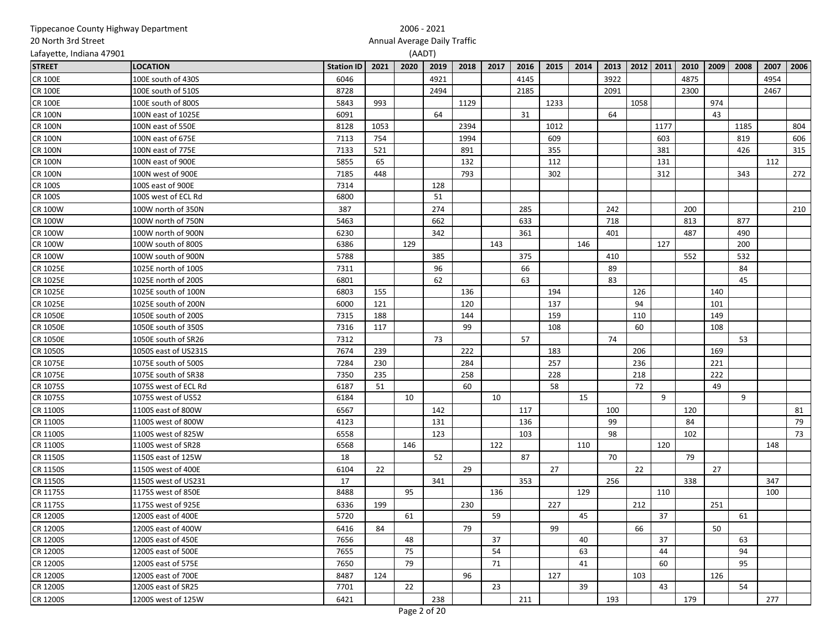| Tippecanoe County Highway Department |                      |                   |      | 2006 - 2021 |                              |      |      |      |      |      |      |      |           |      |      |      |      |      |
|--------------------------------------|----------------------|-------------------|------|-------------|------------------------------|------|------|------|------|------|------|------|-----------|------|------|------|------|------|
| 20 North 3rd Street                  |                      |                   |      |             | Annual Average Daily Traffic |      |      |      |      |      |      |      |           |      |      |      |      |      |
| Lafayette, Indiana 47901             |                      |                   |      |             | (AADT)                       |      |      |      |      |      |      |      |           |      |      |      |      |      |
| <b>STREET</b>                        | <b>LOCATION</b>      | <b>Station ID</b> | 2021 | 2020        | 2019                         | 2018 | 2017 | 2016 | 2015 | 2014 | 2013 |      | 2012 2011 | 2010 | 2009 | 2008 | 2007 | 2006 |
| <b>CR 100E</b>                       | 100E south of 430S   | 6046              |      |             | 4921                         |      |      | 4145 |      |      | 3922 |      |           | 4875 |      |      | 4954 |      |
| <b>CR 100E</b>                       | 100E south of 510S   | 8728              |      |             | 2494                         |      |      | 2185 |      |      | 2091 |      |           | 2300 |      |      | 2467 |      |
| <b>CR 100E</b>                       | 100E south of 800S   | 5843              | 993  |             |                              | 1129 |      |      | 1233 |      |      | 1058 |           |      | 974  |      |      |      |
| <b>CR 100N</b>                       | 100N east of 1025E   | 6091              |      |             | 64                           |      |      | 31   |      |      | 64   |      |           |      | 43   |      |      |      |
| <b>CR 100N</b>                       | 100N east of 550E    | 8128              | 1053 |             |                              | 2394 |      |      | 1012 |      |      |      | 1177      |      |      | 1185 |      | 804  |
| <b>CR 100N</b>                       | 100N east of 675E    | 7113              | 754  |             |                              | 1994 |      |      | 609  |      |      |      | 603       |      |      | 819  |      | 606  |
| <b>CR 100N</b>                       | 100N east of 775E    | 7133              | 521  |             |                              | 891  |      |      | 355  |      |      |      | 381       |      |      | 426  |      | 315  |
| <b>CR 100N</b>                       | 100N east of 900E    | 5855              | 65   |             |                              | 132  |      |      | 112  |      |      |      | 131       |      |      |      | 112  |      |
| <b>CR 100N</b>                       | 100N west of 900E    | 7185              | 448  |             |                              | 793  |      |      | 302  |      |      |      | 312       |      |      | 343  |      | 272  |
| <b>CR 100S</b>                       | 100S east of 900E    | 7314              |      |             | 128                          |      |      |      |      |      |      |      |           |      |      |      |      |      |
| <b>CR 100S</b>                       | 100S west of ECL Rd  | 6800              |      |             | 51                           |      |      |      |      |      |      |      |           |      |      |      |      |      |
| <b>CR 100W</b>                       | 100W north of 350N   | 387               |      |             | 274                          |      |      | 285  |      |      | 242  |      |           | 200  |      |      |      | 210  |
| <b>CR 100W</b>                       | 100W north of 750N   | 5463              |      |             | 662                          |      |      | 633  |      |      | 718  |      |           | 813  |      | 877  |      |      |
| <b>CR 100W</b>                       | 100W north of 900N   | 6230              |      |             | 342                          |      |      | 361  |      |      | 401  |      |           | 487  |      | 490  |      |      |
| <b>CR 100W</b>                       | 100W south of 800S   | 6386              |      | 129         |                              |      | 143  |      |      | 146  |      |      | 127       |      |      | 200  |      |      |
| <b>CR 100W</b>                       | 100W south of 900N   | 5788              |      |             | 385                          |      |      | 375  |      |      | 410  |      |           | 552  |      | 532  |      |      |
| <b>CR 1025E</b>                      | 1025E north of 100S  | 7311              |      |             | 96                           |      |      | 66   |      |      | 89   |      |           |      |      | 84   |      |      |
| <b>CR 1025E</b>                      | 1025E north of 200S  | 6801              |      |             | 62                           |      |      | 63   |      |      | 83   |      |           |      |      | 45   |      |      |
| <b>CR 1025E</b>                      | 1025E south of 100N  | 6803              | 155  |             |                              | 136  |      |      | 194  |      |      | 126  |           |      | 140  |      |      |      |
| <b>CR 1025E</b>                      | 1025E south of 200N  | 6000              | 121  |             |                              | 120  |      |      | 137  |      |      | 94   |           |      | 101  |      |      |      |
| <b>CR 1050E</b>                      | 1050E south of 200S  | 7315              | 188  |             |                              | 144  |      |      | 159  |      |      | 110  |           |      | 149  |      |      |      |
| <b>CR 1050E</b>                      | 1050E south of 350S  | 7316              | 117  |             |                              | 99   |      |      | 108  |      |      | 60   |           |      | 108  |      |      |      |
| <b>CR 1050E</b>                      | 1050E south of SR26  | 7312              |      |             | 73                           |      |      | 57   |      |      | 74   |      |           |      |      | 53   |      |      |
| CR 1050S                             | 1050S east of US231S | 7674              | 239  |             |                              | 222  |      |      | 183  |      |      | 206  |           |      | 169  |      |      |      |
| <b>CR 1075E</b>                      | 1075E south of 500S  | 7284              | 230  |             |                              | 284  |      |      | 257  |      |      | 236  |           |      | 221  |      |      |      |
| CR 1075E                             | 1075E south of SR38  | 7350              | 235  |             |                              | 258  |      |      | 228  |      |      | 218  |           |      | 222  |      |      |      |
| CR 1075S                             | 1075S west of ECL Rd | 6187              | 51   |             |                              | 60   |      |      | 58   |      |      | 72   |           |      | 49   |      |      |      |
| CR 1075S                             | 1075S west of US52   | 6184              |      | 10          |                              |      | 10   |      |      | 15   |      |      | 9         |      |      | 9    |      |      |
| CR 1100S                             | 1100S east of 800W   | 6567              |      |             | 142                          |      |      | 117  |      |      | 100  |      |           | 120  |      |      |      | 81   |
| CR 1100S                             | 1100S west of 800W   | 4123              |      |             | 131                          |      |      | 136  |      |      | 99   |      |           | 84   |      |      |      | 79   |
| CR 1100S                             | 1100S west of 825W   | 6558              |      |             | 123                          |      |      | 103  |      |      | 98   |      |           | 102  |      |      |      | 73   |
| CR 1100S                             | 1100S west of SR28   | 6568              |      | 146         |                              |      | 122  |      |      | 110  |      |      | 120       |      |      |      | 148  |      |
| CR 1150S                             | 1150S east of 125W   | 18                |      |             | 52                           |      |      | 87   |      |      | 70   |      |           | 79   |      |      |      |      |
| CR 1150S                             | 1150S west of 400E   | 6104              | 22   |             |                              | 29   |      |      | 27   |      |      | 22   |           |      | 27   |      |      |      |
| <b>CR 1150S</b>                      | 1150S west of US231  | 17                |      |             | 341                          |      |      | 353  |      |      | 256  |      |           | 338  |      |      | 347  |      |
| CR 1175S                             | 1175S west of 850E   | 8488              |      | 95          |                              |      | 136  |      |      | 129  |      |      | 110       |      |      |      | 100  |      |
| CR 1175S                             | 1175S west of 925E   | 6336              | 199  |             |                              | 230  |      |      | 227  |      |      | 212  |           |      | 251  |      |      |      |
| <b>CR 1200S</b>                      | 1200S east of 400E   | 5720              |      | 61          |                              |      | 59   |      |      | 45   |      |      | 37        |      |      | 61   |      |      |
| <b>CR 1200S</b>                      | 1200S east of 400W   | 6416              | 84   |             |                              | 79   |      |      | 99   |      |      | 66   |           |      | 50   |      |      |      |
| <b>CR 1200S</b>                      | 1200S east of 450E   | 7656              |      | 48          |                              |      | 37   |      |      | 40   |      |      | 37        |      |      | 63   |      |      |
| <b>CR 1200S</b>                      | 1200S east of 500E   | 7655              |      | 75          |                              |      | 54   |      |      | 63   |      |      | 44        |      |      | 94   |      |      |
| <b>CR 1200S</b>                      | 1200S east of 575E   | 7650              |      | 79          |                              |      | 71   |      |      | 41   |      |      | 60        |      |      | 95   |      |      |
| <b>CR 1200S</b>                      | 1200S east of 700E   | 8487              | 124  |             |                              | 96   |      |      | 127  |      |      | 103  |           |      | 126  |      |      |      |
| <b>CR 1200S</b>                      | 1200S east of SR25   | 7701              |      | 22          |                              |      | 23   |      |      | 39   |      |      | 43        |      |      | 54   |      |      |
| CR 1200S                             | 1200S west of 125W   | 6421              |      |             | 238                          |      |      | 211  |      |      | 193  |      |           | 179  |      |      | 277  |      |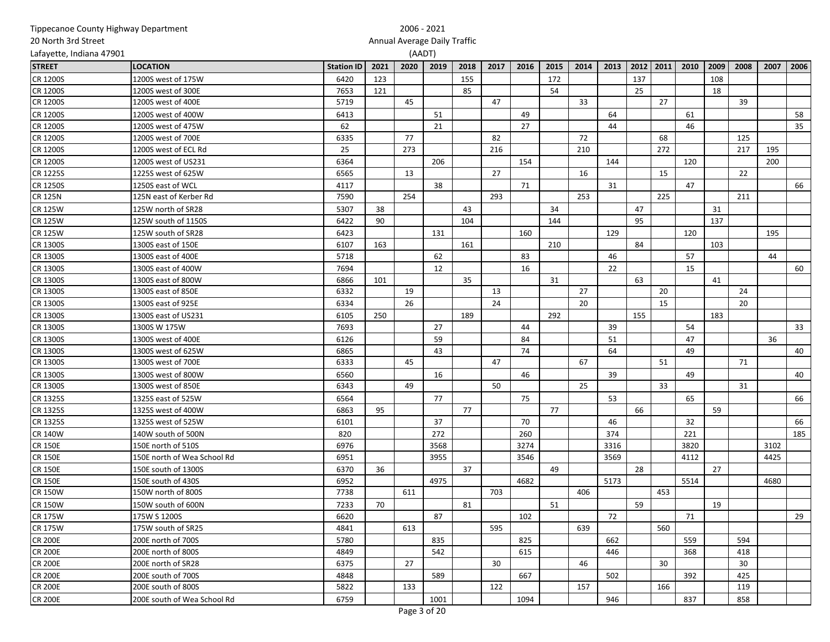| Tippecanoe County Highway Department |                             |                   |      |                              | 2006 - 2021 |      |      |      |      |      |      |      |      |      |      |      |      |      |
|--------------------------------------|-----------------------------|-------------------|------|------------------------------|-------------|------|------|------|------|------|------|------|------|------|------|------|------|------|
| 20 North 3rd Street                  |                             |                   |      | Annual Average Daily Traffic |             |      |      |      |      |      |      |      |      |      |      |      |      |      |
| Lafayette, Indiana 47901             |                             |                   |      | (AADT)                       |             |      |      |      |      |      |      |      |      |      |      |      |      |      |
| <b>STREET</b>                        | <b>LOCATION</b>             | <b>Station ID</b> | 2021 | 2020                         | 2019        | 2018 | 2017 | 2016 | 2015 | 2014 | 2013 | 2012 | 2011 | 2010 | 2009 | 2008 | 2007 | 2006 |
| CR 1200S                             | 1200S west of 175W          | 6420              | 123  |                              |             | 155  |      |      | 172  |      |      | 137  |      |      | 108  |      |      |      |
| <b>CR 1200S</b>                      | 1200S west of 300E          | 7653              | 121  |                              |             | 85   |      |      | 54   |      |      | 25   |      |      | 18   |      |      |      |
| <b>CR 1200S</b>                      | 1200S west of 400E          | 5719              |      | 45                           |             |      | 47   |      |      | 33   |      |      | 27   |      |      | 39   |      |      |
| <b>CR 1200S</b>                      | 1200S west of 400W          | 6413              |      |                              | 51          |      |      | 49   |      |      | 64   |      |      | 61   |      |      |      | 58   |
| <b>CR 1200S</b>                      | 1200S west of 475W          | 62                |      |                              | 21          |      |      | 27   |      |      | 44   |      |      | 46   |      |      |      | 35   |
| <b>CR 1200S</b>                      | 1200S west of 700E          | 6335              |      | 77                           |             |      | 82   |      |      | 72   |      |      | 68   |      |      | 125  |      |      |
| <b>CR 1200S</b>                      | 1200S west of ECL Rd        | 25                |      | 273                          |             |      | 216  |      |      | 210  |      |      | 272  |      |      | 217  | 195  |      |
| <b>CR 1200S</b>                      | 1200S west of US231         | 6364              |      |                              | 206         |      |      | 154  |      |      | 144  |      |      | 120  |      |      | 200  |      |
| <b>CR 1225S</b>                      | 1225S west of 625W          | 6565              |      | 13                           |             |      | 27   |      |      | 16   |      |      | 15   |      |      | 22   |      |      |
| <b>CR 1250S</b>                      | 1250S east of WCL           | 4117              |      |                              | 38          |      |      | 71   |      |      | 31   |      |      | 47   |      |      |      | 66   |
| <b>CR 125N</b>                       | 125N east of Kerber Rd      | 7590              |      | 254                          |             |      | 293  |      |      | 253  |      |      | 225  |      |      | 211  |      |      |
| <b>CR 125W</b>                       | 125W north of SR28          | 5307              | 38   |                              |             | 43   |      |      | 34   |      |      | 47   |      |      | 31   |      |      |      |
| <b>CR 125W</b>                       | 125W south of 1150S         | 6422              | 90   |                              |             | 104  |      |      | 144  |      |      | 95   |      |      | 137  |      |      |      |
| <b>CR 125W</b>                       | 125W south of SR28          | 6423              |      |                              | 131         |      |      | 160  |      |      | 129  |      |      | 120  |      |      | 195  |      |
| CR 1300S                             | 1300S east of 150E          | 6107              | 163  |                              |             | 161  |      |      | 210  |      |      | 84   |      |      | 103  |      |      |      |
| CR 1300S                             | 1300S east of 400E          | 5718              |      |                              | 62          |      |      | 83   |      |      | 46   |      |      | 57   |      |      | 44   |      |
| CR 1300S                             | 1300S east of 400W          | 7694              |      |                              | 12          |      |      | 16   |      |      | 22   |      |      | 15   |      |      |      | 60   |
| CR 1300S                             | 1300S east of 800W          | 6866              | 101  |                              |             | 35   |      |      | 31   |      |      | 63   |      |      | 41   |      |      |      |
| <b>CR 1300S</b>                      | 1300S east of 850E          | 6332              |      | 19                           |             |      | 13   |      |      | 27   |      |      | 20   |      |      | 24   |      |      |
| <b>CR 1300S</b>                      | 1300S east of 925E          | 6334              |      | 26                           |             |      | 24   |      |      | 20   |      |      | 15   |      |      | 20   |      |      |
| CR 1300S                             | 1300S east of US231         | 6105              | 250  |                              |             | 189  |      |      | 292  |      |      | 155  |      |      | 183  |      |      |      |
| CR 1300S                             | 1300S W 175W                | 7693              |      |                              | 27          |      |      | 44   |      |      | 39   |      |      | 54   |      |      |      | 33   |
| CR 1300S                             | 1300S west of 400E          | 6126              |      |                              | 59          |      |      | 84   |      |      | 51   |      |      | 47   |      |      | 36   |      |
| CR 1300S                             | 1300S west of 625W          | 6865              |      |                              | 43          |      |      | 74   |      |      | 64   |      |      | 49   |      |      |      | 40   |
| CR 1300S                             | 1300S west of 700E          | 6333              |      | 45                           |             |      | 47   |      |      | 67   |      |      | 51   |      |      | 71   |      |      |
| CR 1300S                             | 1300S west of 800W          | 6560              |      |                              | 16          |      |      | 46   |      |      | 39   |      |      | 49   |      |      |      | 40   |
| CR 1300S                             | 1300S west of 850E          | 6343              |      | 49                           |             |      | 50   |      |      | 25   |      |      | 33   |      |      | 31   |      |      |
| CR 1325S                             | 1325S east of 525W          | 6564              |      |                              | 77          |      |      | 75   |      |      | 53   |      |      | 65   |      |      |      | 66   |
| CR 1325S                             | 1325S west of 400W          | 6863              | 95   |                              |             | 77   |      |      | 77   |      |      | 66   |      |      | 59   |      |      |      |
| CR 1325S                             | 1325S west of 525W          | 6101              |      |                              | 37          |      |      | 70   |      |      | 46   |      |      | 32   |      |      |      | 66   |
| <b>CR 140W</b>                       | 140W south of 500N          | 820               |      |                              | 272         |      |      | 260  |      |      | 374  |      |      | 221  |      |      |      | 185  |
| <b>CR 150E</b>                       | 150E north of 510S          | 6976              |      |                              | 3568        |      |      | 3274 |      |      | 3316 |      |      | 3820 |      |      | 3102 |      |
| <b>CR 150E</b>                       | 150E north of Wea School Rd | 6951              |      |                              | 3955        |      |      | 3546 |      |      | 3569 |      |      | 4112 |      |      | 4425 |      |
| <b>CR 150E</b>                       | 150E south of 1300S         | 6370              | 36   |                              |             | 37   |      |      | 49   |      |      | 28   |      |      | 27   |      |      |      |
| <b>CR 150E</b>                       | 150E south of 430S          | 6952              |      |                              | 4975        |      |      | 4682 |      |      | 5173 |      |      | 5514 |      |      | 4680 |      |
| <b>CR 150W</b>                       | 150W north of 800S          | 7738              |      | 611                          |             |      | 703  |      |      | 406  |      |      | 453  |      |      |      |      |      |
| <b>CR 150W</b>                       | 150W south of 600N          | 7233              | 70   |                              |             | 81   |      |      | 51   |      |      | 59   |      |      | 19   |      |      |      |
| <b>CR 175W</b>                       | 175W S 1200S                | 6620              |      |                              | 87          |      |      | 102  |      |      | 72   |      |      | 71   |      |      |      | 29   |
| <b>CR 175W</b>                       | 175W south of SR25          | 4841              |      | 613                          |             |      | 595  |      |      | 639  |      |      | 560  |      |      |      |      |      |
| <b>CR 200E</b>                       | 200E north of 700S          | 5780              |      |                              | 835         |      |      | 825  |      |      | 662  |      |      | 559  |      | 594  |      |      |
| <b>CR 200E</b>                       | 200E north of 800S          | 4849              |      |                              | 542         |      |      | 615  |      |      | 446  |      |      | 368  |      | 418  |      |      |
| <b>CR 200E</b>                       | 200E north of SR28          | 6375              |      | 27                           |             |      | 30   |      |      | 46   |      |      | 30   |      |      | 30   |      |      |
| <b>CR 200E</b>                       | 200E south of 700S          | 4848              |      |                              | 589         |      |      | 667  |      |      | 502  |      |      | 392  |      | 425  |      |      |
| <b>CR 200E</b>                       | 200E south of 800S          | 5822              |      | 133                          |             |      | 122  |      |      | 157  |      |      | 166  |      |      | 119  |      |      |
| <b>CR 200E</b>                       | 200E south of Wea School Rd | 6759              |      |                              | 1001        |      |      | 1094 |      |      | 946  |      |      | 837  |      | 858  |      |      |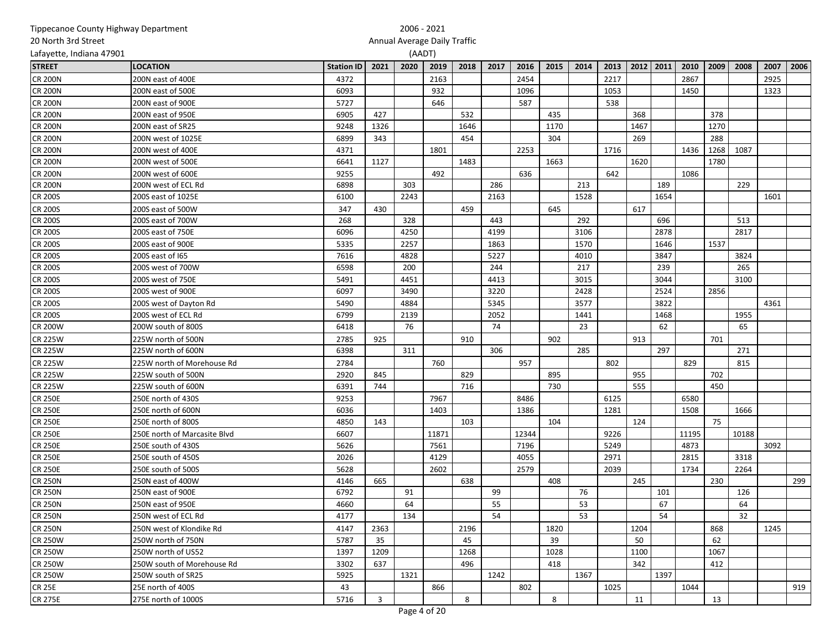| represence county infinity beparents |                              |                   |      |                              |       |      |      |       |      |      |      |      |           |       |      |       |      |      |
|--------------------------------------|------------------------------|-------------------|------|------------------------------|-------|------|------|-------|------|------|------|------|-----------|-------|------|-------|------|------|
| 20 North 3rd Street                  |                              |                   |      | Annual Average Daily Traffic |       |      |      |       |      |      |      |      |           |       |      |       |      |      |
| Lafayette, Indiana 47901             |                              |                   |      | (AADT)                       |       |      |      |       |      |      |      |      |           |       |      |       |      |      |
| <b>STREET</b>                        | <b>LOCATION</b>              | <b>Station ID</b> | 2021 | 2020                         | 2019  | 2018 | 2017 | 2016  | 2015 | 2014 | 2013 |      | 2012 2011 | 2010  | 2009 | 2008  | 2007 | 2006 |
| <b>CR 200N</b>                       | 200N east of 400E            | 4372              |      |                              | 2163  |      |      | 2454  |      |      | 2217 |      |           | 2867  |      |       | 2925 |      |
| <b>CR 200N</b>                       | 200N east of 500E            | 6093              |      |                              | 932   |      |      | 1096  |      |      | 1053 |      |           | 1450  |      |       | 1323 |      |
| <b>CR 200N</b>                       | 200N east of 900E            | 5727              |      |                              | 646   |      |      | 587   |      |      | 538  |      |           |       |      |       |      |      |
| <b>CR 200N</b>                       | 200N east of 950E            | 6905              | 427  |                              |       | 532  |      |       | 435  |      |      | 368  |           |       | 378  |       |      |      |
| <b>CR 200N</b>                       | 200N east of SR25            | 9248              | 1326 |                              |       | 1646 |      |       | 1170 |      |      | 1467 |           |       | 1270 |       |      |      |
| <b>CR 200N</b>                       | 200N west of 1025E           | 6899              | 343  |                              |       | 454  |      |       | 304  |      |      | 269  |           |       | 288  |       |      |      |
| <b>CR 200N</b>                       | 200N west of 400E            | 4371              |      |                              | 1801  |      |      | 2253  |      |      | 1716 |      |           | 1436  | 1268 | 1087  |      |      |
| <b>CR 200N</b>                       | 200N west of 500E            | 6641              | 1127 |                              |       | 1483 |      |       | 1663 |      |      | 1620 |           |       | 1780 |       |      |      |
| <b>CR 200N</b>                       | 200N west of 600E            | 9255              |      |                              | 492   |      |      | 636   |      |      | 642  |      |           | 1086  |      |       |      |      |
| <b>CR 200N</b>                       | 200N west of ECL Rd          | 6898              |      | 303                          |       |      | 286  |       |      | 213  |      |      | 189       |       |      | 229   |      |      |
| <b>CR 200S</b>                       | 200S east of 1025E           | 6100              |      | 2243                         |       |      | 2163 |       |      | 1528 |      |      | 1654      |       |      |       | 1601 |      |
| <b>CR 200S</b>                       | 200S east of 500W            | 347               | 430  |                              |       | 459  |      |       | 645  |      |      | 617  |           |       |      |       |      |      |
| <b>CR 200S</b>                       | 200S east of 700W            | 268               |      | 328                          |       |      | 443  |       |      | 292  |      |      | 696       |       |      | 513   |      |      |
| <b>CR 200S</b>                       | 200S east of 750E            | 6096              |      | 4250                         |       |      | 4199 |       |      | 3106 |      |      | 2878      |       |      | 2817  |      |      |
| <b>CR 200S</b>                       | 200S east of 900E            | 5335              |      | 2257                         |       |      | 1863 |       |      | 1570 |      |      | 1646      |       | 1537 |       |      |      |
| <b>CR 200S</b>                       | 200S east of 165             | 7616              |      | 4828                         |       |      | 5227 |       |      | 4010 |      |      | 3847      |       |      | 3824  |      |      |
| <b>CR 200S</b>                       | 200S west of 700W            | 6598              |      | 200                          |       |      | 244  |       |      | 217  |      |      | 239       |       |      | 265   |      |      |
| <b>CR 200S</b>                       | 200S west of 750E            | 5491              |      | 4451                         |       |      | 4413 |       |      | 3015 |      |      | 3044      |       |      | 3100  |      |      |
| <b>CR 200S</b>                       | 200S west of 900E            | 6097              |      | 3490                         |       |      | 3220 |       |      | 2428 |      |      | 2524      |       | 2856 |       |      |      |
| <b>CR 200S</b>                       | 200S west of Dayton Rd       | 5490              |      | 4884                         |       |      | 5345 |       |      | 3577 |      |      | 3822      |       |      |       | 4361 |      |
| <b>CR 200S</b>                       | 200S west of ECL Rd          | 6799              |      | 2139                         |       |      | 2052 |       |      | 1441 |      |      | 1468      |       |      | 1955  |      |      |
| <b>CR 200W</b>                       | 200W south of 800S           | 6418              |      | 76                           |       |      | 74   |       |      | 23   |      |      | 62        |       |      | 65    |      |      |
| <b>CR 225W</b>                       | 225W north of 500N           | 2785              | 925  |                              |       | 910  |      |       | 902  |      |      | 913  |           |       | 701  |       |      |      |
| <b>CR 225W</b>                       | 225W north of 600N           | 6398              |      | 311                          |       |      | 306  |       |      | 285  |      |      | 297       |       |      | 271   |      |      |
| <b>CR 225W</b>                       | 225W north of Morehouse Rd   | 2784              |      |                              | 760   |      |      | 957   |      |      | 802  |      |           | 829   |      | 815   |      |      |
| <b>CR 225W</b>                       | 225W south of 500N           | 2920              | 845  |                              |       | 829  |      |       | 895  |      |      | 955  |           |       | 702  |       |      |      |
| <b>CR 225W</b>                       | 225W south of 600N           | 6391              | 744  |                              |       | 716  |      |       | 730  |      |      | 555  |           |       | 450  |       |      |      |
| <b>CR 250E</b>                       | 250E north of 430S           | 9253              |      |                              | 7967  |      |      | 8486  |      |      | 6125 |      |           | 6580  |      |       |      |      |
| CR 250E                              | 250E north of 600N           | 6036              |      |                              | 1403  |      |      | 1386  |      |      | 1281 |      |           | 1508  |      | 1666  |      |      |
| <b>CR 250E</b>                       | 250E north of 800S           | 4850              | 143  |                              |       | 103  |      |       | 104  |      |      | 124  |           |       | 75   |       |      |      |
| <b>CR 250E</b>                       | 250E north of Marcasite Blvd | 6607              |      |                              | 11871 |      |      | 12344 |      |      | 9226 |      |           | 11195 |      | 10188 |      |      |
| <b>CR 250E</b>                       | 250E south of 430S           | 5626              |      |                              | 7561  |      |      | 7196  |      |      | 5249 |      |           | 4873  |      |       | 3092 |      |
| <b>CR 250E</b>                       | 250E south of 450S           | 2026              |      |                              | 4129  |      |      | 4055  |      |      | 2971 |      |           | 2815  |      | 3318  |      |      |
| <b>CR 250E</b>                       | 250E south of 500S           | 5628              |      |                              | 2602  |      |      | 2579  |      |      | 2039 |      |           | 1734  |      | 2264  |      |      |
| <b>CR 250N</b>                       | 250N east of 400W            | 4146              | 665  |                              |       | 638  |      |       | 408  |      |      | 245  |           |       | 230  |       |      | 299  |
| <b>CR 250N</b>                       | 250N east of 900E            | 6792              |      | 91                           |       |      | 99   |       |      | 76   |      |      | 101       |       |      | 126   |      |      |
| <b>CR 250N</b>                       | 250N east of 950E            | 4660              |      | 64                           |       |      | 55   |       |      | 53   |      |      | 67        |       |      | 64    |      |      |
| <b>CR 250N</b>                       | 250N west of ECL Rd          | 4177              |      | 134                          |       |      | 54   |       |      | 53   |      |      | 54        |       |      | 32    |      |      |
| <b>CR 250N</b>                       | 250N west of Klondike Rd     | 4147              | 2363 |                              |       | 2196 |      |       | 1820 |      |      | 1204 |           |       | 868  |       | 1245 |      |
| <b>CR 250W</b>                       | 250W north of 750N           | 5787              | 35   |                              |       | 45   |      |       | 39   |      |      | 50   |           |       | 62   |       |      |      |
| <b>CR 250W</b>                       | 250W north of US52           | 1397              | 1209 |                              |       | 1268 |      |       | 1028 |      |      | 1100 |           |       | 1067 |       |      |      |
| <b>CR 250W</b>                       | 250W south of Morehouse Rd   | 3302              | 637  |                              |       | 496  |      |       | 418  |      |      | 342  |           |       | 412  |       |      |      |
| <b>CR 250W</b>                       | 250W south of SR25           | 5925              |      | 1321                         |       |      | 1242 |       |      | 1367 |      |      | 1397      |       |      |       |      |      |
| <b>CR 25E</b>                        | 25E north of 400S            | 43                |      |                              | 866   |      |      | 802   |      |      | 1025 |      |           | 1044  |      |       |      | 919  |
| <b>CR 275E</b>                       | 275E north of 1000S          | 5716              | 3    |                              |       | 8    |      |       | 8    |      |      | 11   |           |       | 13   |       |      |      |
|                                      |                              |                   |      |                              |       |      |      |       |      |      |      |      |           |       |      |       |      |      |

### Tippecanoe County Highway Department

# 2006 - 2021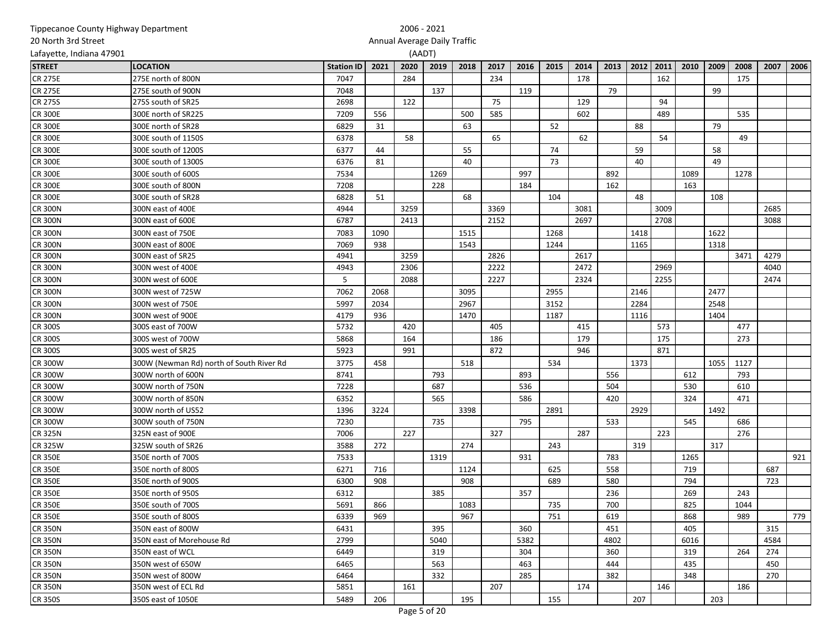| 20 North 3rd Street      |                                          |                   |      | Annual Average Daily Traffic |      |      |      |      |      |      |      |      |      |      |      |      |      |      |
|--------------------------|------------------------------------------|-------------------|------|------------------------------|------|------|------|------|------|------|------|------|------|------|------|------|------|------|
| Lafayette, Indiana 47901 |                                          |                   |      | (AADT)                       |      |      |      |      |      |      |      |      |      |      |      |      |      |      |
| <b>STREET</b>            | <b>LOCATION</b>                          | <b>Station ID</b> | 2021 | 2020                         | 2019 | 2018 | 2017 | 2016 | 2015 | 2014 | 2013 | 2012 | 2011 | 2010 | 2009 | 2008 | 2007 | 2006 |
| <b>CR 275E</b>           | 275E north of 800N                       | 7047              |      | 284                          |      |      | 234  |      |      | 178  |      |      | 162  |      |      | 175  |      |      |
| <b>CR 275E</b>           | 275E south of 900N                       | 7048              |      |                              | 137  |      |      | 119  |      |      | 79   |      |      |      | 99   |      |      |      |
| <b>CR 275S</b>           | 275S south of SR25                       | 2698              |      | 122                          |      |      | 75   |      |      | 129  |      |      | 94   |      |      |      |      |      |
| <b>CR 300E</b>           | 300E north of SR225                      | 7209              | 556  |                              |      | 500  | 585  |      |      | 602  |      |      | 489  |      |      | 535  |      |      |
| <b>CR 300E</b>           | 300E north of SR28                       | 6829              | 31   |                              |      | 63   |      |      | 52   |      |      | 88   |      |      | 79   |      |      |      |
| <b>CR 300E</b>           | 300E south of 1150S                      | 6378              |      | 58                           |      |      | 65   |      |      | 62   |      |      | 54   |      |      | 49   |      |      |
| <b>CR 300E</b>           | 300E south of 1200S                      | 6377              | 44   |                              |      | 55   |      |      | 74   |      |      | 59   |      |      | 58   |      |      |      |
| <b>CR 300E</b>           | 300E south of 1300S                      | 6376              | 81   |                              |      | 40   |      |      | 73   |      |      | 40   |      |      | 49   |      |      |      |
| <b>CR 300E</b>           | 300E south of 600S                       | 7534              |      |                              | 1269 |      |      | 997  |      |      | 892  |      |      | 1089 |      | 1278 |      |      |
| <b>CR 300E</b>           | 300E south of 800N                       | 7208              |      |                              | 228  |      |      | 184  |      |      | 162  |      |      | 163  |      |      |      |      |
| <b>CR 300E</b>           | 300E south of SR28                       | 6828              | 51   |                              |      | 68   |      |      | 104  |      |      | 48   |      |      | 108  |      |      |      |
| <b>CR 300N</b>           | 300N east of 400E                        | 4944              |      | 3259                         |      |      | 3369 |      |      | 3081 |      |      | 3009 |      |      |      | 2685 |      |
| <b>CR 300N</b>           | 300N east of 600E                        | 6787              |      | 2413                         |      |      | 2152 |      |      | 2697 |      |      | 2708 |      |      |      | 3088 |      |
| <b>CR 300N</b>           | 300N east of 750E                        | 7083              | 1090 |                              |      | 1515 |      |      | 1268 |      |      | 1418 |      |      | 1622 |      |      |      |
| <b>CR 300N</b>           | 300N east of 800E                        | 7069              | 938  |                              |      | 1543 |      |      | 1244 |      |      | 1165 |      |      | 1318 |      |      |      |
| <b>CR 300N</b>           | 300N east of SR25                        | 4941              |      | 3259                         |      |      | 2826 |      |      | 2617 |      |      |      |      |      | 3471 | 4279 |      |
| <b>CR 300N</b>           | 300N west of 400E                        | 4943              |      | 2306                         |      |      | 2222 |      |      | 2472 |      |      | 2969 |      |      |      | 4040 |      |
| <b>CR 300N</b>           | 300N west of 600E                        | 5                 |      | 2088                         |      |      | 2227 |      |      | 2324 |      |      | 2255 |      |      |      | 2474 |      |
| <b>CR 300N</b>           | 300N west of 725W                        | 7062              | 2068 |                              |      | 3095 |      |      | 2955 |      |      | 2146 |      |      | 2477 |      |      |      |
| <b>CR 300N</b>           | 300N west of 750E                        | 5997              | 2034 |                              |      | 2967 |      |      | 3152 |      |      | 2284 |      |      | 2548 |      |      |      |
| <b>CR 300N</b>           | 300N west of 900E                        | 4179              | 936  |                              |      | 1470 |      |      | 1187 |      |      | 1116 |      |      | 1404 |      |      |      |
| <b>CR 300S</b>           | 300S east of 700W                        | 5732              |      | 420                          |      |      | 405  |      |      | 415  |      |      | 573  |      |      | 477  |      |      |
| <b>CR 300S</b>           | 300S west of 700W                        | 5868              |      | 164                          |      |      | 186  |      |      | 179  |      |      | 175  |      |      | 273  |      |      |
| <b>CR 300S</b>           | 300S west of SR25                        | 5923              |      | 991                          |      |      | 872  |      |      | 946  |      |      | 871  |      |      |      |      |      |
| <b>CR 300W</b>           | 300W (Newman Rd) north of South River Rd | 3775              | 458  |                              |      | 518  |      |      | 534  |      |      | 1373 |      |      | 1055 | 1127 |      |      |
| <b>CR 300W</b>           | 300W north of 600N                       | 8741              |      |                              | 793  |      |      | 893  |      |      | 556  |      |      | 612  |      | 793  |      |      |
| <b>CR 300W</b>           | 300W north of 750N                       | 7228              |      |                              | 687  |      |      | 536  |      |      | 504  |      |      | 530  |      | 610  |      |      |
| <b>CR 300W</b>           | 300W north of 850N                       | 6352              |      |                              | 565  |      |      | 586  |      |      | 420  |      |      | 324  |      | 471  |      |      |
| <b>CR 300W</b>           | 300W north of US52                       | 1396              | 3224 |                              |      | 3398 |      |      | 2891 |      |      | 2929 |      |      | 1492 |      |      |      |
| <b>CR 300W</b>           | 300W south of 750N                       | 7230              |      |                              | 735  |      |      | 795  |      |      | 533  |      |      | 545  |      | 686  |      |      |
| <b>CR 325N</b>           | 325N east of 900E                        | 7006              |      | 227                          |      |      | 327  |      |      | 287  |      |      | 223  |      |      | 276  |      |      |
| <b>CR 325W</b>           | 325W south of SR26                       | 3588              | 272  |                              |      | 274  |      |      | 243  |      |      | 319  |      |      | 317  |      |      |      |
| <b>CR 350E</b>           | 350E north of 700S                       | 7533              |      |                              | 1319 |      |      | 931  |      |      | 783  |      |      | 1265 |      |      |      | 921  |
| <b>CR 350E</b>           | 350E north of 800S                       | 6271              | 716  |                              |      | 1124 |      |      | 625  |      | 558  |      |      | 719  |      |      | 687  |      |
| <b>CR 350E</b>           | 350E north of 900S                       | 6300              | 908  |                              |      | 908  |      |      | 689  |      | 580  |      |      | 794  |      |      | 723  |      |
| <b>CR 350E</b>           | 350E north of 950S                       | 6312              |      |                              | 385  |      |      | 357  |      |      | 236  |      |      | 269  |      | 243  |      |      |
| <b>CR 350E</b>           | 350E south of 700S                       | 5691              | 866  |                              |      | 1083 |      |      | 735  |      | 700  |      |      | 825  |      | 1044 |      |      |
| <b>CR 350E</b>           | 350E south of 800S                       | 6339              | 969  |                              |      | 967  |      |      | 751  |      | 619  |      |      | 868  |      | 989  |      | 779  |
| <b>CR 350N</b>           | 350N east of 800W                        | 6431              |      |                              | 395  |      |      | 360  |      |      | 451  |      |      | 405  |      |      | 315  |      |
| <b>CR 350N</b>           | 350N east of Morehouse Rd                | 2799              |      |                              | 5040 |      |      | 5382 |      |      | 4802 |      |      | 6016 |      |      | 4584 |      |
| <b>CR 350N</b>           | 350N east of WCL                         | 6449              |      |                              | 319  |      |      | 304  |      |      | 360  |      |      | 319  |      | 264  | 274  |      |
| <b>CR 350N</b>           | 350N west of 650W                        | 6465              |      |                              | 563  |      |      | 463  |      |      | 444  |      |      | 435  |      |      | 450  |      |
| <b>CR 350N</b>           | 350N west of 800W                        | 6464              |      |                              | 332  |      |      | 285  |      |      | 382  |      |      | 348  |      |      | 270  |      |
| <b>CR 350N</b>           | 350N west of ECL Rd                      | 5851              |      | 161                          |      |      | 207  |      |      | 174  |      |      | 146  |      |      | 186  |      |      |
| <b>CR 350S</b>           | 350S east of 1050E                       | 5489              | 206  |                              |      | 195  |      |      | 155  |      |      | 207  |      |      | 203  |      |      |      |
|                          |                                          |                   |      |                              |      |      |      |      |      |      |      |      |      |      |      |      |      |      |

### Tippecanoe County Highway Department

## 2006 - 2021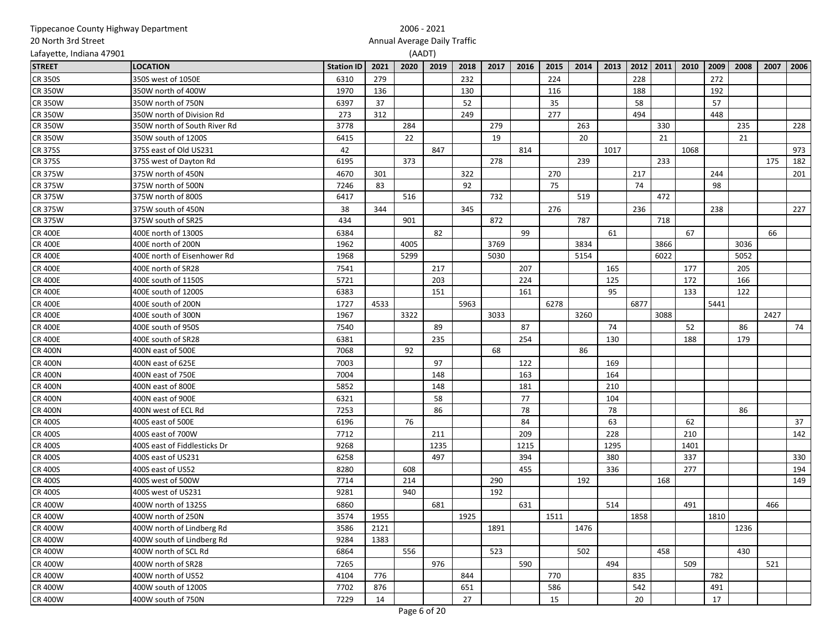| Tippecanoe County Highway Department |                              |                   |      | 2006 - 2021                  |      |      |      |      |      |      |      |      |      |      |      |      |      |      |
|--------------------------------------|------------------------------|-------------------|------|------------------------------|------|------|------|------|------|------|------|------|------|------|------|------|------|------|
| 20 North 3rd Street                  |                              |                   |      | Annual Average Daily Traffic |      |      |      |      |      |      |      |      |      |      |      |      |      |      |
| Lafayette, Indiana 47901             |                              |                   |      | (AADT)                       |      |      |      |      |      |      |      |      |      |      |      |      |      |      |
| <b>STREET</b>                        | <b>LOCATION</b>              | <b>Station ID</b> | 2021 | 2020                         | 2019 | 2018 | 2017 | 2016 | 2015 | 2014 | 2013 | 2012 | 2011 | 2010 | 2009 | 2008 | 2007 | 2006 |
| <b>CR 350S</b>                       | 350S west of 1050E           | 6310              | 279  |                              |      | 232  |      |      | 224  |      |      | 228  |      |      | 272  |      |      |      |
| <b>CR 350W</b>                       | 350W north of 400W           | 1970              | 136  |                              |      | 130  |      |      | 116  |      |      | 188  |      |      | 192  |      |      |      |
| <b>CR 350W</b>                       | 350W north of 750N           | 6397              | 37   |                              |      | 52   |      |      | 35   |      |      | 58   |      |      | 57   |      |      |      |
| <b>CR 350W</b>                       | 350W north of Division Rd    | 273               | 312  |                              |      | 249  |      |      | 277  |      |      | 494  |      |      | 448  |      |      |      |
| <b>CR 350W</b>                       | 350W north of South River Rd | 3778              |      | 284                          |      |      | 279  |      |      | 263  |      |      | 330  |      |      | 235  |      | 228  |
| <b>CR 350W</b>                       | 350W south of 1200S          | 6415              |      | 22                           |      |      | 19   |      |      | 20   |      |      | 21   |      |      | 21   |      |      |
| <b>CR 375S</b>                       | 375S east of Old US231       | 42                |      |                              | 847  |      |      | 814  |      |      | 1017 |      |      | 1068 |      |      |      | 973  |
| <b>CR 375S</b>                       | 375S west of Dayton Rd       | 6195              |      | 373                          |      |      | 278  |      |      | 239  |      |      | 233  |      |      |      | 175  | 182  |
| <b>CR 375W</b>                       | 375W north of 450N           | 4670              | 301  |                              |      | 322  |      |      | 270  |      |      | 217  |      |      | 244  |      |      | 201  |
| <b>CR 375W</b>                       | 375W north of 500N           | 7246              | 83   |                              |      | 92   |      |      | 75   |      |      | 74   |      |      | 98   |      |      |      |
| <b>CR 375W</b>                       | 375W north of 800S           | 6417              |      | 516                          |      |      | 732  |      |      | 519  |      |      | 472  |      |      |      |      |      |
| <b>CR 375W</b>                       | 375W south of 450N           | 38                | 344  |                              |      | 345  |      |      | 276  |      |      | 236  |      |      | 238  |      |      | 227  |
| <b>CR 375W</b>                       | 375W south of SR25           | 434               |      | 901                          |      |      | 872  |      |      | 787  |      |      | 718  |      |      |      |      |      |
| <b>CR 400E</b>                       | 400E north of 1300S          | 6384              |      |                              | 82   |      |      | 99   |      |      | 61   |      |      | 67   |      |      | 66   |      |
| <b>CR 400E</b>                       | 400E north of 200N           | 1962              |      | 4005                         |      |      | 3769 |      |      | 3834 |      |      | 3866 |      |      | 3036 |      |      |
| <b>CR 400E</b>                       | 400E north of Eisenhower Rd  | 1968              |      | 5299                         |      |      | 5030 |      |      | 5154 |      |      | 6022 |      |      | 5052 |      |      |
| <b>CR 400E</b>                       | 400E north of SR28           | 7541              |      |                              | 217  |      |      | 207  |      |      | 165  |      |      | 177  |      | 205  |      |      |
| <b>CR 400E</b>                       | 400E south of 1150S          | 5721              |      |                              | 203  |      |      | 224  |      |      | 125  |      |      | 172  |      | 166  |      |      |
| <b>CR 400E</b>                       | 400E south of 1200S          | 6383              |      |                              | 151  |      |      | 161  |      |      | 95   |      |      | 133  |      | 122  |      |      |
| <b>CR 400E</b>                       | 400E south of 200N           | 1727              | 4533 |                              |      | 5963 |      |      | 6278 |      |      | 6877 |      |      | 5441 |      |      |      |
| <b>CR 400E</b>                       | 400E south of 300N           | 1967              |      | 3322                         |      |      | 3033 |      |      | 3260 |      |      | 3088 |      |      |      | 2427 |      |
| <b>CR 400E</b>                       | 400E south of 950S           | 7540              |      |                              | 89   |      |      | 87   |      |      | 74   |      |      | 52   |      | 86   |      | 74   |
| <b>CR 400E</b>                       | 400E south of SR28           | 6381              |      |                              | 235  |      |      | 254  |      |      | 130  |      |      | 188  |      | 179  |      |      |
| <b>CR 400N</b>                       | 400N east of 500E            | 7068              |      | 92                           |      |      | 68   |      |      | 86   |      |      |      |      |      |      |      |      |
| <b>CR 400N</b>                       | 400N east of 625E            | 7003              |      |                              | 97   |      |      | 122  |      |      | 169  |      |      |      |      |      |      |      |
| <b>CR 400N</b>                       | 400N east of 750E            | 7004              |      |                              | 148  |      |      | 163  |      |      | 164  |      |      |      |      |      |      |      |
| <b>CR 400N</b>                       | 400N east of 800E            | 5852              |      |                              | 148  |      |      | 181  |      |      | 210  |      |      |      |      |      |      |      |
| <b>CR 400N</b>                       | 400N east of 900E            | 6321              |      |                              | 58   |      |      | 77   |      |      | 104  |      |      |      |      |      |      |      |
| <b>CR 400N</b>                       | 400N west of ECL Rd          | 7253              |      |                              | 86   |      |      | 78   |      |      | 78   |      |      |      |      | 86   |      |      |
| <b>CR 400S</b>                       | 400S east of 500E            | 6196              |      | 76                           |      |      |      | 84   |      |      | 63   |      |      | 62   |      |      |      | 37   |
| <b>CR 400S</b>                       | 400S east of 700W            | 7712              |      |                              | 211  |      |      | 209  |      |      | 228  |      |      | 210  |      |      |      | 142  |
| <b>CR 400S</b>                       | 400S east of Fiddlesticks Dr | 9268              |      |                              | 1235 |      |      | 1215 |      |      | 1295 |      |      | 1401 |      |      |      |      |
| <b>CR 400S</b>                       | 400S east of US231           | 6258              |      |                              | 497  |      |      | 394  |      |      | 380  |      |      | 337  |      |      |      | 330  |
| <b>CR 400S</b>                       | 400S east of US52            | 8280              |      | 608                          |      |      |      | 455  |      |      | 336  |      |      | 277  |      |      |      | 194  |
| <b>CR 400S</b>                       | 400S west of 500W            | 7714              |      | 214                          |      |      | 290  |      |      | 192  |      |      | 168  |      |      |      |      | 149  |
| <b>CR 400S</b>                       | 400S west of US231           | 9281              |      | 940                          |      |      | 192  |      |      |      |      |      |      |      |      |      |      |      |
| <b>CR 400W</b>                       | 400W north of 1325S          | 6860              |      |                              | 681  |      |      | 631  |      |      | 514  |      |      | 491  |      |      | 466  |      |
| <b>CR 400W</b>                       | 400W north of 250N           | 3574              | 1955 |                              |      | 1925 |      |      | 1511 |      |      | 1858 |      |      | 1810 |      |      |      |
| <b>CR 400W</b>                       | 400W north of Lindberg Rd    | 3586              | 2121 |                              |      |      | 1891 |      |      | 1476 |      |      |      |      |      | 1236 |      |      |
| <b>CR 400W</b>                       | 400W south of Lindberg Rd    | 9284              | 1383 |                              |      |      |      |      |      |      |      |      |      |      |      |      |      |      |
| <b>CR 400W</b>                       | 400W north of SCL Rd         | 6864              |      | 556                          |      |      | 523  |      |      | 502  |      |      | 458  |      |      | 430  |      |      |
| <b>CR 400W</b>                       | 400W north of SR28           | 7265              |      |                              | 976  |      |      | 590  |      |      | 494  |      |      | 509  |      |      | 521  |      |
| <b>CR 400W</b>                       | 400W north of US52           | 4104              | 776  |                              |      | 844  |      |      | 770  |      |      | 835  |      |      | 782  |      |      |      |
| <b>CR 400W</b>                       | 400W south of 1200S          | 7702              | 876  |                              |      | 651  |      |      | 586  |      |      | 542  |      |      | 491  |      |      |      |
| <b>CR 400W</b>                       | 400W south of 750N           | 7229              | 14   |                              |      | 27   |      |      | 15   |      |      | 20   |      |      | 17   |      |      |      |
|                                      |                              |                   |      |                              |      |      |      |      |      |      |      |      |      |      |      |      |      |      |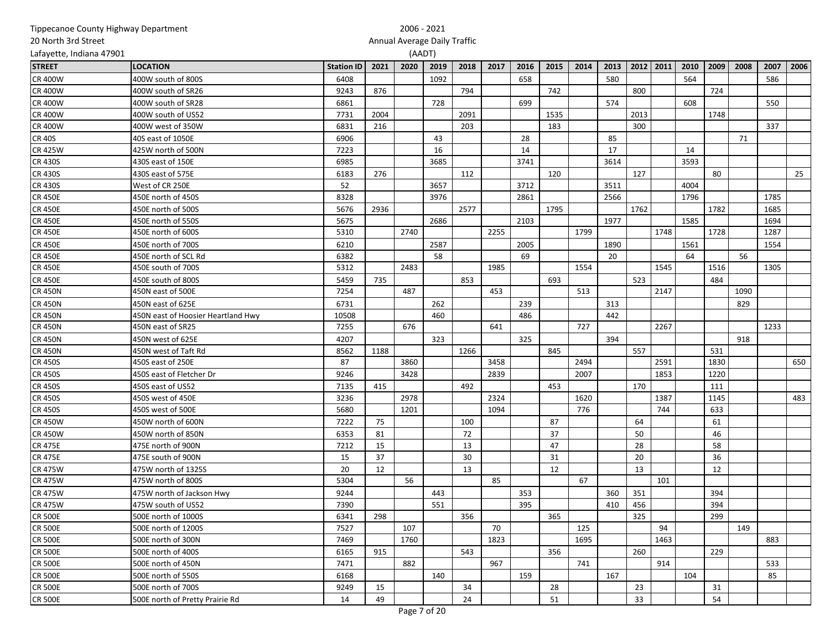| Tippecanoe County Highway Department |                                    |                   | 2006 - 2021 |                              |      |      |      |      |      |      |      |      |      |      |      |      |      |      |
|--------------------------------------|------------------------------------|-------------------|-------------|------------------------------|------|------|------|------|------|------|------|------|------|------|------|------|------|------|
| 20 North 3rd Street                  |                                    |                   |             | Annual Average Daily Traffic |      |      |      |      |      |      |      |      |      |      |      |      |      |      |
| Lafayette, Indiana 47901             |                                    |                   |             | (AADT)                       |      |      |      |      |      |      |      |      |      |      |      |      |      |      |
| <b>STREET</b>                        | <b>LOCATION</b>                    | <b>Station ID</b> | 2021        | 2020                         | 2019 | 2018 | 2017 | 2016 | 2015 | 2014 | 2013 | 2012 | 2011 | 2010 | 2009 | 2008 | 2007 | 2006 |
| <b>CR 400W</b>                       | 400W south of 800S                 | 6408              |             |                              | 1092 |      |      | 658  |      |      | 580  |      |      | 564  |      |      | 586  |      |
| <b>CR 400W</b>                       | 400W south of SR26                 | 9243              | 876         |                              |      | 794  |      |      | 742  |      |      | 800  |      |      | 724  |      |      |      |
| <b>CR 400W</b>                       | 400W south of SR28                 | 6861              |             |                              | 728  |      |      | 699  |      |      | 574  |      |      | 608  |      |      | 550  |      |
| <b>CR 400W</b>                       | 400W south of US52                 | 7731              | 2004        |                              |      | 2091 |      |      | 1535 |      |      | 2013 |      |      | 1748 |      |      |      |
| <b>CR 400W</b>                       | 400W west of 350W                  | 6831              | 216         |                              |      | 203  |      |      | 183  |      |      | 300  |      |      |      |      | 337  |      |
| <b>CR 40S</b>                        | 40S east of 1050E                  | 6906              |             |                              | 43   |      |      | 28   |      |      | 85   |      |      |      |      | 71   |      |      |
| <b>CR 425W</b>                       | 425W north of 500N                 | 7223              |             |                              | 16   |      |      | 14   |      |      | 17   |      |      | 14   |      |      |      |      |
| <b>CR 430S</b>                       | 430S east of 150E                  | 6985              |             |                              | 3685 |      |      | 3741 |      |      | 3614 |      |      | 3593 |      |      |      |      |
| <b>CR 430S</b>                       | 430S east of 575E                  | 6183              | 276         |                              |      | 112  |      |      | 120  |      |      | 127  |      |      | 80   |      |      | 25   |
| <b>CR 430S</b>                       | West of CR 250E                    | 52                |             |                              | 3657 |      |      | 3712 |      |      | 3511 |      |      | 4004 |      |      |      |      |
| <b>CR 450E</b>                       | 450E north of 450S                 | 8328              |             |                              | 3976 |      |      | 2861 |      |      | 2566 |      |      | 1796 |      |      | 1785 |      |
| <b>CR 450E</b>                       | 450E north of 500S                 | 5676              | 2936        |                              |      | 2577 |      |      | 1795 |      |      | 1762 |      |      | 1782 |      | 1685 |      |
| <b>CR 450E</b>                       | 450E north of 550S                 | 5675              |             |                              | 2686 |      |      | 2103 |      |      | 1977 |      |      | 1585 |      |      | 1694 |      |
| <b>CR 450E</b>                       | 450E north of 600S                 | 5310              |             | 2740                         |      |      | 2255 |      |      | 1799 |      |      | 1748 |      | 1728 |      | 1287 |      |
| <b>CR 450E</b>                       | 450E north of 700S                 | 6210              |             |                              | 2587 |      |      | 2005 |      |      | 1890 |      |      | 1561 |      |      | 1554 |      |
| <b>CR 450E</b>                       | 450E north of SCL Rd               | 6382              |             |                              | 58   |      |      | 69   |      |      | 20   |      |      | 64   |      | 56   |      |      |
| <b>CR 450E</b>                       | 450E south of 700S                 | 5312              |             | 2483                         |      |      | 1985 |      |      | 1554 |      |      | 1545 |      | 1516 |      | 1305 |      |
| <b>CR 450E</b>                       | 450E south of 800S                 | 5459              | 735         |                              |      | 853  |      |      | 693  |      |      | 523  |      |      | 484  |      |      |      |
| <b>CR 450N</b>                       | 450N east of 500E                  | 7254              |             | 487                          |      |      | 453  |      |      | 513  |      |      | 2147 |      |      | 1090 |      |      |
| <b>CR 450N</b>                       | 450N east of 625E                  | 6731              |             |                              | 262  |      |      | 239  |      |      | 313  |      |      |      |      | 829  |      |      |
| <b>CR 450N</b>                       | 450N east of Hoosier Heartland Hwy | 10508             |             |                              | 460  |      |      | 486  |      |      | 442  |      |      |      |      |      |      |      |
| <b>CR 450N</b>                       | 450N east of SR25                  | 7255              |             | 676                          |      |      | 641  |      |      | 727  |      |      | 2267 |      |      |      | 1233 |      |
| <b>CR 450N</b>                       | 450N west of 625E                  | 4207              |             |                              | 323  |      |      | 325  |      |      | 394  |      |      |      |      | 918  |      |      |
| <b>CR 450N</b>                       | 450N west of Taft Rd               | 8562              | 1188        |                              |      | 1266 |      |      | 845  |      |      | 557  |      |      | 531  |      |      |      |
| <b>CR 450S</b>                       | 450S east of 250E                  | 87                |             | 3860                         |      |      | 3458 |      |      | 2494 |      |      | 2591 |      | 1830 |      |      | 650  |
| <b>CR 450S</b>                       | 450S east of Fletcher Dr           | 9246              |             | 3428                         |      |      | 2839 |      |      | 2007 |      |      | 1853 |      | 1220 |      |      |      |
| <b>CR 450S</b>                       | 450S east of US52                  | 7135              | 415         |                              |      | 492  |      |      | 453  |      |      | 170  |      |      | 111  |      |      |      |
| <b>CR 450S</b>                       | 450S west of 450E                  | 3236              |             | 2978                         |      |      | 2324 |      |      | 1620 |      |      | 1387 |      | 1145 |      |      | 483  |
| <b>CR 450S</b>                       | 450S west of 500E                  | 5680              |             | 1201                         |      |      | 1094 |      |      | 776  |      |      | 744  |      | 633  |      |      |      |
| <b>CR 450W</b>                       | 450W north of 600N                 | 7222              | 75          |                              |      | 100  |      |      | 87   |      |      | 64   |      |      | 61   |      |      |      |
| <b>CR 450W</b>                       | 450W north of 850N                 | 6353              | 81          |                              |      | 72   |      |      | 37   |      |      | 50   |      |      | 46   |      |      |      |
| <b>CR 475E</b>                       | 475E north of 900N                 | 7212              | 15          |                              |      | 13   |      |      | 47   |      |      | 28   |      |      | 58   |      |      |      |
| <b>CR 475E</b>                       | 475E south of 900N                 | 15                | 37          |                              |      | 30   |      |      | 31   |      |      | 20   |      |      | 36   |      |      |      |
| <b>CR 475W</b>                       | 475W north of 1325S                | 20                | 12          |                              |      | 13   |      |      | 12   |      |      | 13   |      |      | 12   |      |      |      |
| <b>CR 475W</b>                       | 475W north of 800S                 | 5304              |             | 56                           |      |      | 85   |      |      | 67   |      |      | 101  |      |      |      |      |      |
| <b>CR 475W</b>                       | 475W north of Jackson Hwy          | 9244              |             |                              | 443  |      |      | 353  |      |      | 360  | 351  |      |      | 394  |      |      |      |
| <b>CR 475W</b>                       | 475W south of US52                 | 7390              |             |                              | 551  |      |      | 395  |      |      | 410  | 456  |      |      | 394  |      |      |      |
| <b>CR 500E</b>                       | 500E north of 1000S                | 6341              | 298         |                              |      | 356  |      |      | 365  |      |      | 325  |      |      | 299  |      |      |      |
| <b>CR 500E</b>                       | 500E north of 1200S                | 7527              |             | 107                          |      |      | 70   |      |      | 125  |      |      | 94   |      |      | 149  |      |      |
| <b>CR 500E</b>                       | 500E north of 300N                 | 7469              |             | 1760                         |      |      | 1823 |      |      | 1695 |      |      | 1463 |      |      |      | 883  |      |
| <b>CR 500E</b>                       | 500E north of 400S                 | 6165              | 915         |                              |      | 543  |      |      | 356  |      |      | 260  |      |      | 229  |      |      |      |
| <b>CR 500E</b>                       | 500E north of 450N                 | 7471              |             | 882                          |      |      | 967  |      |      | 741  |      |      | 914  |      |      |      | 533  |      |
| <b>CR 500E</b>                       | 500E north of 550S                 | 6168              |             |                              | 140  |      |      | 159  |      |      | 167  |      |      | 104  |      |      | 85   |      |
| <b>CR 500E</b>                       | 500E north of 700S                 | 9249              | 15          |                              |      | 34   |      |      | 28   |      |      | 23   |      |      | 31   |      |      |      |
| <b>CR 500E</b>                       | 500E north of Pretty Prairie Rd    | 14                | 49          |                              |      | 24   |      |      | 51   |      |      | 33   |      |      | 54   |      |      |      |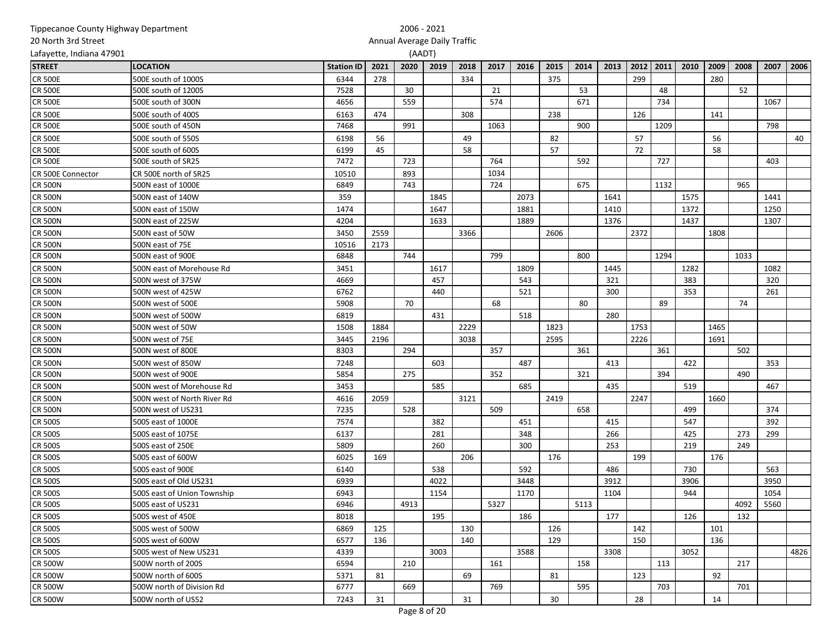| Tippecanoe County Highway Department |                             |                   | 2006 - 2021                  |      |      |      |      |      |      |      |      |      |      |      |      |      |      |      |
|--------------------------------------|-----------------------------|-------------------|------------------------------|------|------|------|------|------|------|------|------|------|------|------|------|------|------|------|
| 20 North 3rd Street                  |                             |                   | Annual Average Daily Traffic |      |      |      |      |      |      |      |      |      |      |      |      |      |      |      |
| Lafayette, Indiana 47901             |                             |                   | (AADT)                       |      |      |      |      |      |      |      |      |      |      |      |      |      |      |      |
| <b>STREET</b>                        | <b>LOCATION</b>             | <b>Station ID</b> | 2021                         | 2020 | 2019 | 2018 | 2017 | 2016 | 2015 | 2014 | 2013 | 2012 | 2011 | 2010 | 2009 | 2008 | 2007 | 2006 |
| <b>CR 500E</b>                       | 500E south of 1000S         | 6344              | 278                          |      |      | 334  |      |      | 375  |      |      | 299  |      |      | 280  |      |      |      |
| <b>CR 500E</b>                       | 500E south of 1200S         | 7528              |                              | 30   |      |      | 21   |      |      | 53   |      |      | 48   |      |      | 52   |      |      |
| <b>CR 500E</b>                       | 500E south of 300N          | 4656              |                              | 559  |      |      | 574  |      |      | 671  |      |      | 734  |      |      |      | 1067 |      |
| <b>CR 500E</b>                       | 500E south of 400S          | 6163              | 474                          |      |      | 308  |      |      | 238  |      |      | 126  |      |      | 141  |      |      |      |
| <b>CR 500E</b>                       | 500E south of 450N          | 7468              |                              | 991  |      |      | 1063 |      |      | 900  |      |      | 1209 |      |      |      | 798  |      |
| <b>CR 500E</b>                       | 500E south of 550S          | 6198              | 56                           |      |      | 49   |      |      | 82   |      |      | 57   |      |      | 56   |      |      | 40   |
| <b>CR 500E</b>                       | 500E south of 600S          | 6199              | 45                           |      |      | 58   |      |      | 57   |      |      | 72   |      |      | 58   |      |      |      |
| <b>CR 500E</b>                       | 500E south of SR25          | 7472              |                              | 723  |      |      | 764  |      |      | 592  |      |      | 727  |      |      |      | 403  |      |
| CR 500E Connector                    | CR 500E north of SR25       | 10510             |                              | 893  |      |      | 1034 |      |      |      |      |      |      |      |      |      |      |      |
| <b>CR 500N</b>                       | 500N east of 1000E          | 6849              |                              | 743  |      |      | 724  |      |      | 675  |      |      | 1132 |      |      | 965  |      |      |
| <b>CR 500N</b>                       | 500N east of 140W           | 359               |                              |      | 1845 |      |      | 2073 |      |      | 1641 |      |      | 1575 |      |      | 1441 |      |
| <b>CR 500N</b>                       | 500N east of 150W           | 1474              |                              |      | 1647 |      |      | 1881 |      |      | 1410 |      |      | 1372 |      |      | 1250 |      |
| <b>CR 500N</b>                       | 500N east of 225W           | 4204              |                              |      | 1633 |      |      | 1889 |      |      | 1376 |      |      | 1437 |      |      | 1307 |      |
| <b>CR 500N</b>                       | 500N east of 50W            | 3450              | 2559                         |      |      | 3366 |      |      | 2606 |      |      | 2372 |      |      | 1808 |      |      |      |
| <b>CR 500N</b>                       | 500N east of 75E            | 10516             | 2173                         |      |      |      |      |      |      |      |      |      |      |      |      |      |      |      |
| <b>CR 500N</b>                       | 500N east of 900E           | 6848              |                              | 744  |      |      | 799  |      |      | 800  |      |      | 1294 |      |      | 1033 |      |      |
| <b>CR 500N</b>                       | 500N east of Morehouse Rd   | 3451              |                              |      | 1617 |      |      | 1809 |      |      | 1445 |      |      | 1282 |      |      | 1082 |      |
| <b>CR 500N</b>                       | 500N west of 375W           | 4669              |                              |      | 457  |      |      | 543  |      |      | 321  |      |      | 383  |      |      | 320  |      |
| <b>CR 500N</b>                       | 500N west of 425W           | 6762              |                              |      | 440  |      |      | 521  |      |      | 300  |      |      | 353  |      |      | 261  |      |
| <b>CR 500N</b>                       | 500N west of 500E           | 5908              |                              | 70   |      |      | 68   |      |      | 80   |      |      | 89   |      |      | 74   |      |      |
| <b>CR 500N</b>                       | 500N west of 500W           | 6819              |                              |      | 431  |      |      | 518  |      |      | 280  |      |      |      |      |      |      |      |
| <b>CR 500N</b>                       | 500N west of 50W            | 1508              | 1884                         |      |      | 2229 |      |      | 1823 |      |      | 1753 |      |      | 1465 |      |      |      |
| <b>CR 500N</b>                       | 500N west of 75E            | 3445              | 2196                         |      |      | 3038 |      |      | 2595 |      |      | 2226 |      |      | 1691 |      |      |      |
| <b>CR 500N</b>                       | 500N west of 800E           | 8303              |                              | 294  |      |      | 357  |      |      | 361  |      |      | 361  |      |      | 502  |      |      |
| <b>CR 500N</b>                       | 500N west of 850W           | 7248              |                              |      | 603  |      |      | 487  |      |      | 413  |      |      | 422  |      |      | 353  |      |
| <b>CR 500N</b>                       | 500N west of 900E           | 5854              |                              | 275  |      |      | 352  |      |      | 321  |      |      | 394  |      |      | 490  |      |      |
| <b>CR 500N</b>                       | 500N west of Morehouse Rd   | 3453              |                              |      | 585  |      |      | 685  |      |      | 435  |      |      | 519  |      |      | 467  |      |
| <b>CR 500N</b>                       | 500N west of North River Rd | 4616              | 2059                         |      |      | 3121 |      |      | 2419 |      |      | 2247 |      |      | 1660 |      |      |      |
| <b>CR 500N</b>                       | 500N west of US231          | 7235              |                              | 528  |      |      | 509  |      |      | 658  |      |      |      | 499  |      |      | 374  |      |
| <b>CR 500S</b>                       | 500S east of 1000E          | 7574              |                              |      | 382  |      |      | 451  |      |      | 415  |      |      | 547  |      |      | 392  |      |
| <b>CR 500S</b>                       | 500S east of 1075E          | 6137              |                              |      | 281  |      |      | 348  |      |      | 266  |      |      | 425  |      | 273  | 299  |      |
| <b>CR 500S</b>                       | 500S east of 250E           | 5809              |                              |      | 260  |      |      | 300  |      |      | 253  |      |      | 219  |      | 249  |      |      |
| <b>CR 500S</b>                       | 500S east of 600W           | 6025              | 169                          |      |      | 206  |      |      | 176  |      |      | 199  |      |      | 176  |      |      |      |
| <b>CR 500S</b>                       | 500S east of 900E           | 6140              |                              |      | 538  |      |      | 592  |      |      | 486  |      |      | 730  |      |      | 563  |      |
| <b>CR 500S</b>                       | 500S east of Old US231      | 6939              |                              |      | 4022 |      |      | 3448 |      |      | 3912 |      |      | 3906 |      |      | 3950 |      |
| <b>CR 500S</b>                       | 500S east of Union Township | 6943              |                              |      | 1154 |      |      | 1170 |      |      | 1104 |      |      | 944  |      |      | 1054 |      |
| <b>CR 500S</b>                       | 500S east of US231          | 6946              |                              | 4913 |      |      | 5327 |      |      | 5113 |      |      |      |      |      | 4092 | 5560 |      |
| <b>CR 500S</b>                       | 500S west of 450E           | 8018              |                              |      | 195  |      |      | 186  |      |      | 177  |      |      | 126  |      | 132  |      |      |
| <b>CR 500S</b>                       | 500S west of 500W           | 6869              | 125                          |      |      | 130  |      |      | 126  |      |      | 142  |      |      | 101  |      |      |      |
| <b>CR 500S</b>                       | 500S west of 600W           | 6577              | 136                          |      |      | 140  |      |      | 129  |      |      | 150  |      |      | 136  |      |      |      |
| <b>CR 500S</b>                       | 500S west of New US231      | 4339              |                              |      | 3003 |      |      | 3588 |      |      | 3308 |      |      | 3052 |      |      |      | 4826 |
| <b>CR 500W</b>                       | 500W north of 200S          | 6594              |                              | 210  |      |      | 161  |      |      | 158  |      |      | 113  |      |      | 217  |      |      |
| <b>CR 500W</b>                       | 500W north of 600S          | 5371              | 81                           |      |      | 69   |      |      | 81   |      |      | 123  |      |      | 92   |      |      |      |
| <b>CR 500W</b>                       | 500W north of Division Rd   | 6777              |                              | 669  |      |      | 769  |      |      | 595  |      |      | 703  |      |      | 701  |      |      |
| <b>CR 500W</b>                       | 500W north of US52          | 7243              | 31                           |      |      | 31   |      |      | 30   |      |      | 28   |      |      | 14   |      |      |      |
|                                      |                             |                   |                              |      |      |      |      |      |      |      |      |      |      |      |      |      |      |      |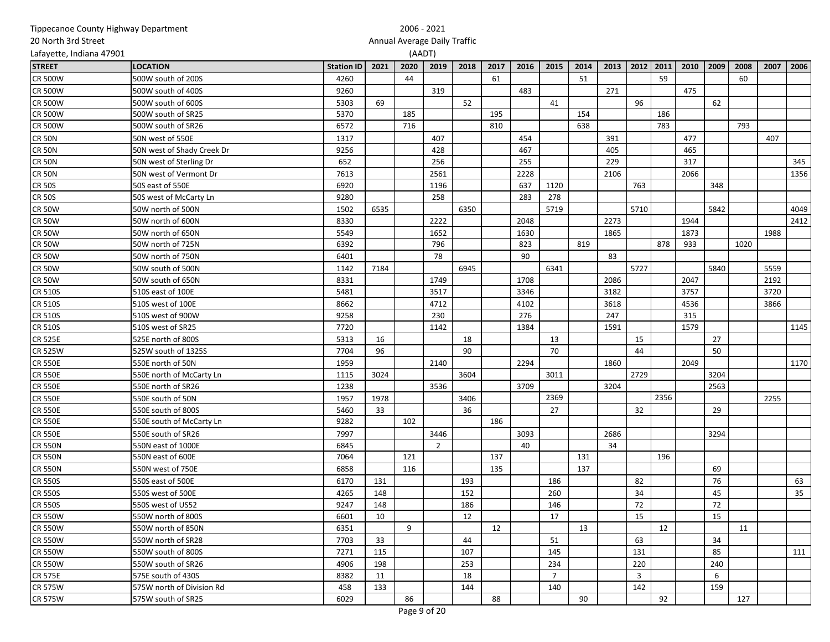| Tippecanoe County Highway Department |                            |                   | 2006 - 2021 |                              |                |      |      |      |                |      |      |                |      |      |      |      |      |                 |
|--------------------------------------|----------------------------|-------------------|-------------|------------------------------|----------------|------|------|------|----------------|------|------|----------------|------|------|------|------|------|-----------------|
| 20 North 3rd Street                  |                            |                   |             | Annual Average Daily Traffic |                |      |      |      |                |      |      |                |      |      |      |      |      |                 |
| Lafayette, Indiana 47901             |                            |                   |             | (AADT)                       |                |      |      |      |                |      |      |                |      |      |      |      |      |                 |
| <b>STREET</b>                        | <b>LOCATION</b>            | <b>Station ID</b> | 2021        | 2020                         | 2019           | 2018 | 2017 | 2016 | 2015           | 2014 | 2013 | 2012           | 2011 | 2010 | 2009 | 2008 | 2007 | 2006            |
| <b>CR 500W</b>                       | 500W south of 200S         | 4260              |             | 44                           |                |      | 61   |      |                | 51   |      |                | 59   |      |      | 60   |      |                 |
| <b>CR 500W</b>                       | 500W south of 400S         | 9260              |             |                              | 319            |      |      | 483  |                |      | 271  |                |      | 475  |      |      |      |                 |
| <b>CR 500W</b>                       | 500W south of 600S         | 5303              | 69          |                              |                | 52   |      |      | 41             |      |      | 96             |      |      | 62   |      |      |                 |
| <b>CR 500W</b>                       | 500W south of SR25         | 5370              |             | 185                          |                |      | 195  |      |                | 154  |      |                | 186  |      |      |      |      |                 |
| <b>CR 500W</b>                       | 500W south of SR26         | 6572              |             | 716                          |                |      | 810  |      |                | 638  |      |                | 783  |      |      | 793  |      |                 |
| <b>CR 50N</b>                        | 50N west of 550E           | 1317              |             |                              | 407            |      |      | 454  |                |      | 391  |                |      | 477  |      |      | 407  |                 |
| <b>CR 50N</b>                        | 50N west of Shady Creek Dr | 9256              |             |                              | 428            |      |      | 467  |                |      | 405  |                |      | 465  |      |      |      |                 |
| <b>CR 50N</b>                        | 50N west of Sterling Dr    | 652               |             |                              | 256            |      |      | 255  |                |      | 229  |                |      | 317  |      |      |      | 345             |
| <b>CR 50N</b>                        | 50N west of Vermont Dr     | 7613              |             |                              | 2561           |      |      | 2228 |                |      | 2106 |                |      | 2066 |      |      |      | 1356            |
| <b>CR 50S</b>                        | 50S east of 550E           | 6920              |             |                              | 1196           |      |      | 637  | 1120           |      |      | 763            |      |      | 348  |      |      |                 |
| <b>CR 50S</b>                        | 50S west of McCarty Ln     | 9280              |             |                              | 258            |      |      | 283  | 278            |      |      |                |      |      |      |      |      |                 |
| <b>CR 50W</b>                        | 50W north of 500N          | 1502              | 6535        |                              |                | 6350 |      |      | 5719           |      |      | 5710           |      |      | 5842 |      |      | 4049            |
| <b>CR 50W</b>                        | 50W north of 600N          | 8330              |             |                              | 2222           |      |      | 2048 |                |      | 2273 |                |      | 1944 |      |      |      | 2412            |
| <b>CR 50W</b>                        | 50W north of 650N          | 5549              |             |                              | 1652           |      |      | 1630 |                |      | 1865 |                |      | 1873 |      |      | 1988 |                 |
| <b>CR 50W</b>                        | 50W north of 725N          | 6392              |             |                              | 796            |      |      | 823  |                | 819  |      |                | 878  | 933  |      | 1020 |      |                 |
| <b>CR 50W</b>                        | 50W north of 750N          | 6401              |             |                              | 78             |      |      | 90   |                |      | 83   |                |      |      |      |      |      |                 |
| <b>CR 50W</b>                        | 50W south of 500N          | 1142              | 7184        |                              |                | 6945 |      |      | 6341           |      |      | 5727           |      |      | 5840 |      | 5559 |                 |
| <b>CR 50W</b>                        | 50W south of 650N          | 8331              |             |                              | 1749           |      |      | 1708 |                |      | 2086 |                |      | 2047 |      |      | 2192 |                 |
| <b>CR 510S</b>                       | 510S east of 100E          | 5481              |             |                              | 3517           |      |      | 3346 |                |      | 3182 |                |      | 3757 |      |      | 3720 |                 |
| <b>CR 510S</b>                       | 510S west of 100E          | 8662              |             |                              | 4712           |      |      | 4102 |                |      | 3618 |                |      | 4536 |      |      | 3866 |                 |
| <b>CR 510S</b>                       | 510S west of 900W          | 9258              |             |                              | 230            |      |      | 276  |                |      | 247  |                |      | 315  |      |      |      |                 |
| <b>CR 510S</b>                       | 510S west of SR25          | 7720              |             |                              | 1142           |      |      | 1384 |                |      | 1591 |                |      | 1579 |      |      |      | 1145            |
| <b>CR 525E</b>                       | 525E north of 800S         | 5313              | 16          |                              |                | 18   |      |      | 13             |      |      | 15             |      |      | 27   |      |      |                 |
| <b>CR 525W</b>                       | 525W south of 1325S        | 7704              | 96          |                              |                | 90   |      |      | 70             |      |      | 44             |      |      | 50   |      |      |                 |
| <b>CR 550E</b>                       | 550E north of 50N          | 1959              |             |                              | 2140           |      |      | 2294 |                |      | 1860 |                |      | 2049 |      |      |      | 1170            |
| <b>CR 550E</b>                       | 550E north of McCarty Ln   | 1115              | 3024        |                              |                | 3604 |      |      | 3011           |      |      | 2729           |      |      | 3204 |      |      |                 |
| <b>CR 550E</b>                       | 550E north of SR26         | 1238              |             |                              | 3536           |      |      | 3709 |                |      | 3204 |                |      |      | 2563 |      |      |                 |
| <b>CR 550E</b>                       | 550E south of 50N          | 1957              | 1978        |                              |                | 3406 |      |      | 2369           |      |      |                | 2356 |      |      |      | 2255 |                 |
| <b>CR 550E</b>                       | 550E south of 800S         | 5460              | 33          |                              |                | 36   |      |      | 27             |      |      | 32             |      |      | 29   |      |      |                 |
| <b>CR 550E</b>                       | 550E south of McCarty Ln   | 9282              |             | 102                          |                |      | 186  |      |                |      |      |                |      |      |      |      |      |                 |
| <b>CR 550E</b>                       | 550E south of SR26         | 7997              |             |                              | 3446           |      |      | 3093 |                |      | 2686 |                |      |      | 3294 |      |      |                 |
| <b>CR 550N</b>                       | 550N east of 1000E         | 6845              |             |                              | $\overline{2}$ |      |      | 40   |                |      | 34   |                |      |      |      |      |      |                 |
| <b>CR 550N</b>                       | 550N east of 600E          | 7064              |             | 121                          |                |      | 137  |      |                | 131  |      |                | 196  |      |      |      |      |                 |
| <b>CR 550N</b>                       | 550N west of 750E          | 6858              |             | 116                          |                |      | 135  |      |                | 137  |      |                |      |      | 69   |      |      |                 |
| <b>CR 550S</b>                       | 550S east of 500E          | 6170              | 131         |                              |                | 193  |      |      | 186            |      |      | 82             |      |      | 76   |      |      | 63              |
| <b>CR 550S</b>                       | 550S west of 500E          | 4265              | 148         |                              |                | 152  |      |      | 260            |      |      | 34             |      |      | 45   |      |      | 35 <sup>5</sup> |
| <b>CR 550S</b>                       | 550S west of US52          | 9247              | 148         |                              |                | 186  |      |      | 146            |      |      | 72             |      |      | 72   |      |      |                 |
| <b>CR 550W</b>                       | 550W north of 800S         | 6601              | 10          |                              |                | 12   |      |      | 17             |      |      | 15             |      |      | 15   |      |      |                 |
| <b>CR 550W</b>                       | 550W north of 850N         | 6351              |             | 9                            |                |      | 12   |      |                | 13   |      |                | 12   |      |      | 11   |      |                 |
| <b>CR 550W</b>                       | 550W north of SR28         | 7703              | 33          |                              |                | 44   |      |      | 51             |      |      | 63             |      |      | 34   |      |      |                 |
| <b>CR 550W</b>                       | 550W south of 800S         | 7271              | 115         |                              |                | 107  |      |      | 145            |      |      | 131            |      |      | 85   |      |      | 111             |
| <b>CR 550W</b>                       | 550W south of SR26         | 4906              | 198         |                              |                | 253  |      |      | 234            |      |      | 220            |      |      | 240  |      |      |                 |
| <b>CR 575E</b>                       | 575E south of 430S         | 8382              | 11          |                              |                | 18   |      |      | $\overline{7}$ |      |      | $\overline{3}$ |      |      | 6    |      |      |                 |
| <b>CR 575W</b>                       | 575W north of Division Rd  | 458               | 133         |                              |                | 144  |      |      | 140            |      |      | 142            |      |      | 159  |      |      |                 |
| <b>CR 575W</b>                       | 575W south of SR25         | 6029              |             | 86                           |                |      | 88   |      |                | 90   |      |                | 92   |      |      | 127  |      |                 |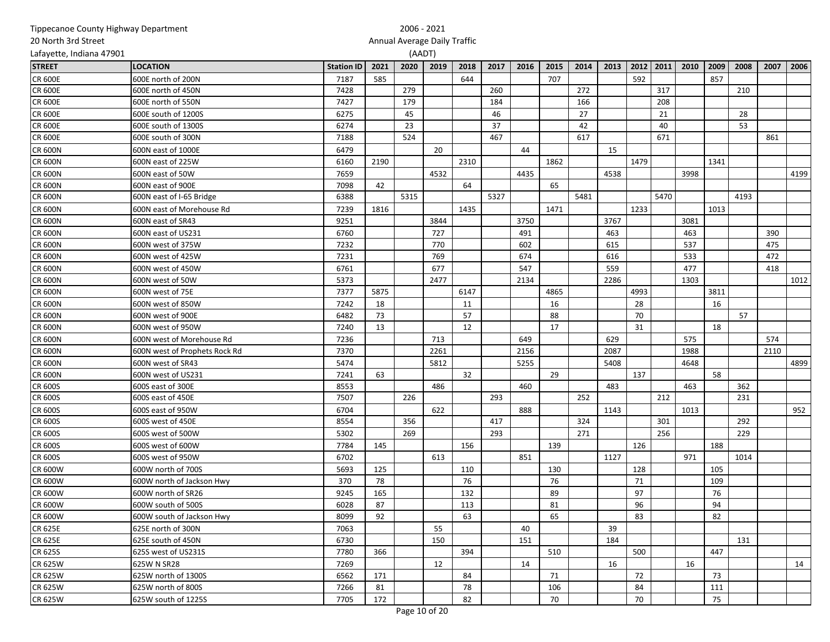| Lafayette, Indiana 47901<br>(AADT)<br>2019<br>2016<br>2013<br>2011<br>2010<br>2009<br>2008<br>2007<br><b>LOCATION</b><br>2021<br>2020<br>2018<br>2017<br>2015<br>2014<br>2012<br><b>STREET</b><br><b>Station ID</b><br>707<br>592<br>857<br>600E north of 200N<br>7187<br>585<br>644<br><b>CR 600E</b><br><b>CR 600E</b><br>7428<br>279<br>260<br>272<br>317<br>600E north of 450N<br>210<br><b>CR 600E</b><br>7427<br>179<br>184<br>166<br>208<br>600E north of 550N<br>27<br>45<br>46<br>21<br>28<br><b>CR 600E</b><br>600E south of 1200S<br>6275<br><b>CR 600E</b><br>6274<br>23<br>37<br>42<br>40<br>53<br>600E south of 1300S<br>600E south of 300N<br>524<br>467<br>617<br>671<br><b>CR 600E</b><br>7188<br>861<br><b>CR 600N</b><br>600N east of 1000E<br>6479<br>20<br>44<br>15<br>600N east of 225W<br>6160<br>2310<br>1479<br><b>CR 600N</b><br>2190<br>1862<br>1341<br>4532<br>600N east of 50W<br>7659<br>4435<br>4538<br>3998<br><b>CR 600N</b><br>7098<br>65<br><b>CR 600N</b><br>600N east of 900E<br>42<br>64<br><b>CR 600N</b><br>6388<br>5315<br>5327<br>5481<br>5470<br>4193<br>600N east of I-65 Bridge<br>1233<br><b>CR 600N</b><br>7239<br>1816<br>1435<br>1471<br>1013<br>600N east of Morehouse Rd<br>3844<br>3750<br>3767<br><b>CR 600N</b><br>600N east of SR43<br>9251<br>3081<br><b>CR 600N</b><br>6760<br>727<br>491<br>463<br>463<br>390<br>600N east of US231<br>770<br>537<br>475<br><b>CR 600N</b><br>600N west of 375W<br>7232<br>602<br>615<br><b>CR 600N</b><br>600N west of 425W<br>7231<br>769<br>674<br>616<br>533<br>472<br>6761<br>677<br>547<br>559<br>477<br><b>CR 600N</b><br>600N west of 450W<br>418<br>2286<br>5373<br>2477<br>2134<br><b>CR 600N</b><br>600N west of 50W<br>1303<br>3811<br><b>CR 600N</b><br>7377<br>5875<br>4865<br>4993<br>600N west of 75E<br>6147<br>16<br><b>CR 600N</b><br>7242<br>18<br>16<br>28<br>600N west of 850W<br>11<br>57<br>6482<br>73<br>88<br>70<br>57<br><b>CR 600N</b><br>600N west of 900E<br>7240<br>12<br>17<br><b>CR 600N</b><br>600N west of 950W<br>13<br>31<br>18<br>713<br><b>CR 600N</b><br>600N west of Morehouse Rd<br>7236<br>649<br>629<br>575<br>574<br>2156<br>2261<br>2087<br>1988<br>2110<br><b>CR 600N</b><br>600N west of Prophets Rock Rd<br>7370<br>5474<br>5812<br>5255<br>5408<br><b>CR 600N</b><br>600N west of SR43<br>4648<br>32<br>29<br>137<br>58<br>600N west of US231<br>7241<br>63<br><b>CR 600N</b><br>486<br>483<br>463<br>362<br>CR 600S<br>600S east of 300E<br>8553<br>460<br>CR 600S<br>600S east of 450E<br>7507<br>226<br>293<br>252<br>212<br>231<br>6704<br>622<br>888<br>1013<br><b>CR 600S</b><br>600S east of 950W<br>1143<br>CR 600S<br>8554<br>356<br>417<br>324<br>301<br>292<br>600S west of 450E<br>CR 600S<br>600S west of 500W<br>5302<br>269<br>293<br>271<br>256<br>229<br>CR 600S<br>600S west of 600W<br>7784<br>145<br>126<br>188<br>156<br>139<br><b>CR 600S</b><br>600S west of 950W<br>6702<br>613<br>851<br>1127<br>971<br>1014<br><b>CR 600W</b><br>600W north of 700S<br>5693<br>125<br>110<br>130<br>128<br>105<br>76<br>CR 600W<br>370<br>78<br>71<br>109<br>600W north of Jackson Hwy<br>76 | 20 North 3rd Street |  | Annual Average Daily Traffic |  |  |  |  |  |    |  |      |
|----------------------------------------------------------------------------------------------------------------------------------------------------------------------------------------------------------------------------------------------------------------------------------------------------------------------------------------------------------------------------------------------------------------------------------------------------------------------------------------------------------------------------------------------------------------------------------------------------------------------------------------------------------------------------------------------------------------------------------------------------------------------------------------------------------------------------------------------------------------------------------------------------------------------------------------------------------------------------------------------------------------------------------------------------------------------------------------------------------------------------------------------------------------------------------------------------------------------------------------------------------------------------------------------------------------------------------------------------------------------------------------------------------------------------------------------------------------------------------------------------------------------------------------------------------------------------------------------------------------------------------------------------------------------------------------------------------------------------------------------------------------------------------------------------------------------------------------------------------------------------------------------------------------------------------------------------------------------------------------------------------------------------------------------------------------------------------------------------------------------------------------------------------------------------------------------------------------------------------------------------------------------------------------------------------------------------------------------------------------------------------------------------------------------------------------------------------------------------------------------------------------------------------------------------------------------------------------------------------------------------------------------------------------------------------------------------------------------------------------------------------------------------------------------------------------------------------------------------------------------------------------------------------------------------------------------------------------------------------------------------------------------------------------------------------------------------------------------------------------------------------------------------|---------------------|--|------------------------------|--|--|--|--|--|----|--|------|
|                                                                                                                                                                                                                                                                                                                                                                                                                                                                                                                                                                                                                                                                                                                                                                                                                                                                                                                                                                                                                                                                                                                                                                                                                                                                                                                                                                                                                                                                                                                                                                                                                                                                                                                                                                                                                                                                                                                                                                                                                                                                                                                                                                                                                                                                                                                                                                                                                                                                                                                                                                                                                                                                                                                                                                                                                                                                                                                                                                                                                                                                                                                                                    |                     |  |                              |  |  |  |  |  |    |  |      |
|                                                                                                                                                                                                                                                                                                                                                                                                                                                                                                                                                                                                                                                                                                                                                                                                                                                                                                                                                                                                                                                                                                                                                                                                                                                                                                                                                                                                                                                                                                                                                                                                                                                                                                                                                                                                                                                                                                                                                                                                                                                                                                                                                                                                                                                                                                                                                                                                                                                                                                                                                                                                                                                                                                                                                                                                                                                                                                                                                                                                                                                                                                                                                    |                     |  |                              |  |  |  |  |  |    |  | 2006 |
|                                                                                                                                                                                                                                                                                                                                                                                                                                                                                                                                                                                                                                                                                                                                                                                                                                                                                                                                                                                                                                                                                                                                                                                                                                                                                                                                                                                                                                                                                                                                                                                                                                                                                                                                                                                                                                                                                                                                                                                                                                                                                                                                                                                                                                                                                                                                                                                                                                                                                                                                                                                                                                                                                                                                                                                                                                                                                                                                                                                                                                                                                                                                                    |                     |  |                              |  |  |  |  |  |    |  |      |
|                                                                                                                                                                                                                                                                                                                                                                                                                                                                                                                                                                                                                                                                                                                                                                                                                                                                                                                                                                                                                                                                                                                                                                                                                                                                                                                                                                                                                                                                                                                                                                                                                                                                                                                                                                                                                                                                                                                                                                                                                                                                                                                                                                                                                                                                                                                                                                                                                                                                                                                                                                                                                                                                                                                                                                                                                                                                                                                                                                                                                                                                                                                                                    |                     |  |                              |  |  |  |  |  |    |  |      |
|                                                                                                                                                                                                                                                                                                                                                                                                                                                                                                                                                                                                                                                                                                                                                                                                                                                                                                                                                                                                                                                                                                                                                                                                                                                                                                                                                                                                                                                                                                                                                                                                                                                                                                                                                                                                                                                                                                                                                                                                                                                                                                                                                                                                                                                                                                                                                                                                                                                                                                                                                                                                                                                                                                                                                                                                                                                                                                                                                                                                                                                                                                                                                    |                     |  |                              |  |  |  |  |  |    |  |      |
|                                                                                                                                                                                                                                                                                                                                                                                                                                                                                                                                                                                                                                                                                                                                                                                                                                                                                                                                                                                                                                                                                                                                                                                                                                                                                                                                                                                                                                                                                                                                                                                                                                                                                                                                                                                                                                                                                                                                                                                                                                                                                                                                                                                                                                                                                                                                                                                                                                                                                                                                                                                                                                                                                                                                                                                                                                                                                                                                                                                                                                                                                                                                                    |                     |  |                              |  |  |  |  |  |    |  |      |
|                                                                                                                                                                                                                                                                                                                                                                                                                                                                                                                                                                                                                                                                                                                                                                                                                                                                                                                                                                                                                                                                                                                                                                                                                                                                                                                                                                                                                                                                                                                                                                                                                                                                                                                                                                                                                                                                                                                                                                                                                                                                                                                                                                                                                                                                                                                                                                                                                                                                                                                                                                                                                                                                                                                                                                                                                                                                                                                                                                                                                                                                                                                                                    |                     |  |                              |  |  |  |  |  |    |  |      |
|                                                                                                                                                                                                                                                                                                                                                                                                                                                                                                                                                                                                                                                                                                                                                                                                                                                                                                                                                                                                                                                                                                                                                                                                                                                                                                                                                                                                                                                                                                                                                                                                                                                                                                                                                                                                                                                                                                                                                                                                                                                                                                                                                                                                                                                                                                                                                                                                                                                                                                                                                                                                                                                                                                                                                                                                                                                                                                                                                                                                                                                                                                                                                    |                     |  |                              |  |  |  |  |  |    |  |      |
|                                                                                                                                                                                                                                                                                                                                                                                                                                                                                                                                                                                                                                                                                                                                                                                                                                                                                                                                                                                                                                                                                                                                                                                                                                                                                                                                                                                                                                                                                                                                                                                                                                                                                                                                                                                                                                                                                                                                                                                                                                                                                                                                                                                                                                                                                                                                                                                                                                                                                                                                                                                                                                                                                                                                                                                                                                                                                                                                                                                                                                                                                                                                                    |                     |  |                              |  |  |  |  |  |    |  |      |
|                                                                                                                                                                                                                                                                                                                                                                                                                                                                                                                                                                                                                                                                                                                                                                                                                                                                                                                                                                                                                                                                                                                                                                                                                                                                                                                                                                                                                                                                                                                                                                                                                                                                                                                                                                                                                                                                                                                                                                                                                                                                                                                                                                                                                                                                                                                                                                                                                                                                                                                                                                                                                                                                                                                                                                                                                                                                                                                                                                                                                                                                                                                                                    |                     |  |                              |  |  |  |  |  |    |  |      |
|                                                                                                                                                                                                                                                                                                                                                                                                                                                                                                                                                                                                                                                                                                                                                                                                                                                                                                                                                                                                                                                                                                                                                                                                                                                                                                                                                                                                                                                                                                                                                                                                                                                                                                                                                                                                                                                                                                                                                                                                                                                                                                                                                                                                                                                                                                                                                                                                                                                                                                                                                                                                                                                                                                                                                                                                                                                                                                                                                                                                                                                                                                                                                    |                     |  |                              |  |  |  |  |  |    |  | 4199 |
|                                                                                                                                                                                                                                                                                                                                                                                                                                                                                                                                                                                                                                                                                                                                                                                                                                                                                                                                                                                                                                                                                                                                                                                                                                                                                                                                                                                                                                                                                                                                                                                                                                                                                                                                                                                                                                                                                                                                                                                                                                                                                                                                                                                                                                                                                                                                                                                                                                                                                                                                                                                                                                                                                                                                                                                                                                                                                                                                                                                                                                                                                                                                                    |                     |  |                              |  |  |  |  |  |    |  |      |
|                                                                                                                                                                                                                                                                                                                                                                                                                                                                                                                                                                                                                                                                                                                                                                                                                                                                                                                                                                                                                                                                                                                                                                                                                                                                                                                                                                                                                                                                                                                                                                                                                                                                                                                                                                                                                                                                                                                                                                                                                                                                                                                                                                                                                                                                                                                                                                                                                                                                                                                                                                                                                                                                                                                                                                                                                                                                                                                                                                                                                                                                                                                                                    |                     |  |                              |  |  |  |  |  |    |  |      |
|                                                                                                                                                                                                                                                                                                                                                                                                                                                                                                                                                                                                                                                                                                                                                                                                                                                                                                                                                                                                                                                                                                                                                                                                                                                                                                                                                                                                                                                                                                                                                                                                                                                                                                                                                                                                                                                                                                                                                                                                                                                                                                                                                                                                                                                                                                                                                                                                                                                                                                                                                                                                                                                                                                                                                                                                                                                                                                                                                                                                                                                                                                                                                    |                     |  |                              |  |  |  |  |  |    |  |      |
|                                                                                                                                                                                                                                                                                                                                                                                                                                                                                                                                                                                                                                                                                                                                                                                                                                                                                                                                                                                                                                                                                                                                                                                                                                                                                                                                                                                                                                                                                                                                                                                                                                                                                                                                                                                                                                                                                                                                                                                                                                                                                                                                                                                                                                                                                                                                                                                                                                                                                                                                                                                                                                                                                                                                                                                                                                                                                                                                                                                                                                                                                                                                                    |                     |  |                              |  |  |  |  |  |    |  |      |
|                                                                                                                                                                                                                                                                                                                                                                                                                                                                                                                                                                                                                                                                                                                                                                                                                                                                                                                                                                                                                                                                                                                                                                                                                                                                                                                                                                                                                                                                                                                                                                                                                                                                                                                                                                                                                                                                                                                                                                                                                                                                                                                                                                                                                                                                                                                                                                                                                                                                                                                                                                                                                                                                                                                                                                                                                                                                                                                                                                                                                                                                                                                                                    |                     |  |                              |  |  |  |  |  |    |  |      |
|                                                                                                                                                                                                                                                                                                                                                                                                                                                                                                                                                                                                                                                                                                                                                                                                                                                                                                                                                                                                                                                                                                                                                                                                                                                                                                                                                                                                                                                                                                                                                                                                                                                                                                                                                                                                                                                                                                                                                                                                                                                                                                                                                                                                                                                                                                                                                                                                                                                                                                                                                                                                                                                                                                                                                                                                                                                                                                                                                                                                                                                                                                                                                    |                     |  |                              |  |  |  |  |  |    |  |      |
|                                                                                                                                                                                                                                                                                                                                                                                                                                                                                                                                                                                                                                                                                                                                                                                                                                                                                                                                                                                                                                                                                                                                                                                                                                                                                                                                                                                                                                                                                                                                                                                                                                                                                                                                                                                                                                                                                                                                                                                                                                                                                                                                                                                                                                                                                                                                                                                                                                                                                                                                                                                                                                                                                                                                                                                                                                                                                                                                                                                                                                                                                                                                                    |                     |  |                              |  |  |  |  |  |    |  |      |
|                                                                                                                                                                                                                                                                                                                                                                                                                                                                                                                                                                                                                                                                                                                                                                                                                                                                                                                                                                                                                                                                                                                                                                                                                                                                                                                                                                                                                                                                                                                                                                                                                                                                                                                                                                                                                                                                                                                                                                                                                                                                                                                                                                                                                                                                                                                                                                                                                                                                                                                                                                                                                                                                                                                                                                                                                                                                                                                                                                                                                                                                                                                                                    |                     |  |                              |  |  |  |  |  |    |  |      |
|                                                                                                                                                                                                                                                                                                                                                                                                                                                                                                                                                                                                                                                                                                                                                                                                                                                                                                                                                                                                                                                                                                                                                                                                                                                                                                                                                                                                                                                                                                                                                                                                                                                                                                                                                                                                                                                                                                                                                                                                                                                                                                                                                                                                                                                                                                                                                                                                                                                                                                                                                                                                                                                                                                                                                                                                                                                                                                                                                                                                                                                                                                                                                    |                     |  |                              |  |  |  |  |  |    |  | 1012 |
|                                                                                                                                                                                                                                                                                                                                                                                                                                                                                                                                                                                                                                                                                                                                                                                                                                                                                                                                                                                                                                                                                                                                                                                                                                                                                                                                                                                                                                                                                                                                                                                                                                                                                                                                                                                                                                                                                                                                                                                                                                                                                                                                                                                                                                                                                                                                                                                                                                                                                                                                                                                                                                                                                                                                                                                                                                                                                                                                                                                                                                                                                                                                                    |                     |  |                              |  |  |  |  |  |    |  |      |
|                                                                                                                                                                                                                                                                                                                                                                                                                                                                                                                                                                                                                                                                                                                                                                                                                                                                                                                                                                                                                                                                                                                                                                                                                                                                                                                                                                                                                                                                                                                                                                                                                                                                                                                                                                                                                                                                                                                                                                                                                                                                                                                                                                                                                                                                                                                                                                                                                                                                                                                                                                                                                                                                                                                                                                                                                                                                                                                                                                                                                                                                                                                                                    |                     |  |                              |  |  |  |  |  |    |  |      |
|                                                                                                                                                                                                                                                                                                                                                                                                                                                                                                                                                                                                                                                                                                                                                                                                                                                                                                                                                                                                                                                                                                                                                                                                                                                                                                                                                                                                                                                                                                                                                                                                                                                                                                                                                                                                                                                                                                                                                                                                                                                                                                                                                                                                                                                                                                                                                                                                                                                                                                                                                                                                                                                                                                                                                                                                                                                                                                                                                                                                                                                                                                                                                    |                     |  |                              |  |  |  |  |  |    |  |      |
|                                                                                                                                                                                                                                                                                                                                                                                                                                                                                                                                                                                                                                                                                                                                                                                                                                                                                                                                                                                                                                                                                                                                                                                                                                                                                                                                                                                                                                                                                                                                                                                                                                                                                                                                                                                                                                                                                                                                                                                                                                                                                                                                                                                                                                                                                                                                                                                                                                                                                                                                                                                                                                                                                                                                                                                                                                                                                                                                                                                                                                                                                                                                                    |                     |  |                              |  |  |  |  |  |    |  |      |
|                                                                                                                                                                                                                                                                                                                                                                                                                                                                                                                                                                                                                                                                                                                                                                                                                                                                                                                                                                                                                                                                                                                                                                                                                                                                                                                                                                                                                                                                                                                                                                                                                                                                                                                                                                                                                                                                                                                                                                                                                                                                                                                                                                                                                                                                                                                                                                                                                                                                                                                                                                                                                                                                                                                                                                                                                                                                                                                                                                                                                                                                                                                                                    |                     |  |                              |  |  |  |  |  |    |  |      |
|                                                                                                                                                                                                                                                                                                                                                                                                                                                                                                                                                                                                                                                                                                                                                                                                                                                                                                                                                                                                                                                                                                                                                                                                                                                                                                                                                                                                                                                                                                                                                                                                                                                                                                                                                                                                                                                                                                                                                                                                                                                                                                                                                                                                                                                                                                                                                                                                                                                                                                                                                                                                                                                                                                                                                                                                                                                                                                                                                                                                                                                                                                                                                    |                     |  |                              |  |  |  |  |  |    |  |      |
|                                                                                                                                                                                                                                                                                                                                                                                                                                                                                                                                                                                                                                                                                                                                                                                                                                                                                                                                                                                                                                                                                                                                                                                                                                                                                                                                                                                                                                                                                                                                                                                                                                                                                                                                                                                                                                                                                                                                                                                                                                                                                                                                                                                                                                                                                                                                                                                                                                                                                                                                                                                                                                                                                                                                                                                                                                                                                                                                                                                                                                                                                                                                                    |                     |  |                              |  |  |  |  |  |    |  | 4899 |
|                                                                                                                                                                                                                                                                                                                                                                                                                                                                                                                                                                                                                                                                                                                                                                                                                                                                                                                                                                                                                                                                                                                                                                                                                                                                                                                                                                                                                                                                                                                                                                                                                                                                                                                                                                                                                                                                                                                                                                                                                                                                                                                                                                                                                                                                                                                                                                                                                                                                                                                                                                                                                                                                                                                                                                                                                                                                                                                                                                                                                                                                                                                                                    |                     |  |                              |  |  |  |  |  |    |  |      |
|                                                                                                                                                                                                                                                                                                                                                                                                                                                                                                                                                                                                                                                                                                                                                                                                                                                                                                                                                                                                                                                                                                                                                                                                                                                                                                                                                                                                                                                                                                                                                                                                                                                                                                                                                                                                                                                                                                                                                                                                                                                                                                                                                                                                                                                                                                                                                                                                                                                                                                                                                                                                                                                                                                                                                                                                                                                                                                                                                                                                                                                                                                                                                    |                     |  |                              |  |  |  |  |  |    |  |      |
|                                                                                                                                                                                                                                                                                                                                                                                                                                                                                                                                                                                                                                                                                                                                                                                                                                                                                                                                                                                                                                                                                                                                                                                                                                                                                                                                                                                                                                                                                                                                                                                                                                                                                                                                                                                                                                                                                                                                                                                                                                                                                                                                                                                                                                                                                                                                                                                                                                                                                                                                                                                                                                                                                                                                                                                                                                                                                                                                                                                                                                                                                                                                                    |                     |  |                              |  |  |  |  |  |    |  |      |
|                                                                                                                                                                                                                                                                                                                                                                                                                                                                                                                                                                                                                                                                                                                                                                                                                                                                                                                                                                                                                                                                                                                                                                                                                                                                                                                                                                                                                                                                                                                                                                                                                                                                                                                                                                                                                                                                                                                                                                                                                                                                                                                                                                                                                                                                                                                                                                                                                                                                                                                                                                                                                                                                                                                                                                                                                                                                                                                                                                                                                                                                                                                                                    |                     |  |                              |  |  |  |  |  |    |  | 952  |
|                                                                                                                                                                                                                                                                                                                                                                                                                                                                                                                                                                                                                                                                                                                                                                                                                                                                                                                                                                                                                                                                                                                                                                                                                                                                                                                                                                                                                                                                                                                                                                                                                                                                                                                                                                                                                                                                                                                                                                                                                                                                                                                                                                                                                                                                                                                                                                                                                                                                                                                                                                                                                                                                                                                                                                                                                                                                                                                                                                                                                                                                                                                                                    |                     |  |                              |  |  |  |  |  |    |  |      |
|                                                                                                                                                                                                                                                                                                                                                                                                                                                                                                                                                                                                                                                                                                                                                                                                                                                                                                                                                                                                                                                                                                                                                                                                                                                                                                                                                                                                                                                                                                                                                                                                                                                                                                                                                                                                                                                                                                                                                                                                                                                                                                                                                                                                                                                                                                                                                                                                                                                                                                                                                                                                                                                                                                                                                                                                                                                                                                                                                                                                                                                                                                                                                    |                     |  |                              |  |  |  |  |  |    |  |      |
|                                                                                                                                                                                                                                                                                                                                                                                                                                                                                                                                                                                                                                                                                                                                                                                                                                                                                                                                                                                                                                                                                                                                                                                                                                                                                                                                                                                                                                                                                                                                                                                                                                                                                                                                                                                                                                                                                                                                                                                                                                                                                                                                                                                                                                                                                                                                                                                                                                                                                                                                                                                                                                                                                                                                                                                                                                                                                                                                                                                                                                                                                                                                                    |                     |  |                              |  |  |  |  |  |    |  |      |
|                                                                                                                                                                                                                                                                                                                                                                                                                                                                                                                                                                                                                                                                                                                                                                                                                                                                                                                                                                                                                                                                                                                                                                                                                                                                                                                                                                                                                                                                                                                                                                                                                                                                                                                                                                                                                                                                                                                                                                                                                                                                                                                                                                                                                                                                                                                                                                                                                                                                                                                                                                                                                                                                                                                                                                                                                                                                                                                                                                                                                                                                                                                                                    |                     |  |                              |  |  |  |  |  |    |  |      |
|                                                                                                                                                                                                                                                                                                                                                                                                                                                                                                                                                                                                                                                                                                                                                                                                                                                                                                                                                                                                                                                                                                                                                                                                                                                                                                                                                                                                                                                                                                                                                                                                                                                                                                                                                                                                                                                                                                                                                                                                                                                                                                                                                                                                                                                                                                                                                                                                                                                                                                                                                                                                                                                                                                                                                                                                                                                                                                                                                                                                                                                                                                                                                    |                     |  |                              |  |  |  |  |  |    |  |      |
|                                                                                                                                                                                                                                                                                                                                                                                                                                                                                                                                                                                                                                                                                                                                                                                                                                                                                                                                                                                                                                                                                                                                                                                                                                                                                                                                                                                                                                                                                                                                                                                                                                                                                                                                                                                                                                                                                                                                                                                                                                                                                                                                                                                                                                                                                                                                                                                                                                                                                                                                                                                                                                                                                                                                                                                                                                                                                                                                                                                                                                                                                                                                                    |                     |  |                              |  |  |  |  |  |    |  |      |
| CR 600W<br>9245<br>165<br>132<br>89<br>97<br>600W north of SR26                                                                                                                                                                                                                                                                                                                                                                                                                                                                                                                                                                                                                                                                                                                                                                                                                                                                                                                                                                                                                                                                                                                                                                                                                                                                                                                                                                                                                                                                                                                                                                                                                                                                                                                                                                                                                                                                                                                                                                                                                                                                                                                                                                                                                                                                                                                                                                                                                                                                                                                                                                                                                                                                                                                                                                                                                                                                                                                                                                                                                                                                                    |                     |  |                              |  |  |  |  |  | 76 |  |      |
| 96<br>CR 600W<br>87<br>113<br>81<br>94<br>600W south of 500S<br>6028                                                                                                                                                                                                                                                                                                                                                                                                                                                                                                                                                                                                                                                                                                                                                                                                                                                                                                                                                                                                                                                                                                                                                                                                                                                                                                                                                                                                                                                                                                                                                                                                                                                                                                                                                                                                                                                                                                                                                                                                                                                                                                                                                                                                                                                                                                                                                                                                                                                                                                                                                                                                                                                                                                                                                                                                                                                                                                                                                                                                                                                                               |                     |  |                              |  |  |  |  |  |    |  |      |
| 63<br>82<br>CR 600W<br>600W south of Jackson Hwy<br>8099<br>92<br>65<br>83                                                                                                                                                                                                                                                                                                                                                                                                                                                                                                                                                                                                                                                                                                                                                                                                                                                                                                                                                                                                                                                                                                                                                                                                                                                                                                                                                                                                                                                                                                                                                                                                                                                                                                                                                                                                                                                                                                                                                                                                                                                                                                                                                                                                                                                                                                                                                                                                                                                                                                                                                                                                                                                                                                                                                                                                                                                                                                                                                                                                                                                                         |                     |  |                              |  |  |  |  |  |    |  |      |
| <b>CR 625E</b><br>55<br>625E north of 300N<br>7063<br>40<br>39                                                                                                                                                                                                                                                                                                                                                                                                                                                                                                                                                                                                                                                                                                                                                                                                                                                                                                                                                                                                                                                                                                                                                                                                                                                                                                                                                                                                                                                                                                                                                                                                                                                                                                                                                                                                                                                                                                                                                                                                                                                                                                                                                                                                                                                                                                                                                                                                                                                                                                                                                                                                                                                                                                                                                                                                                                                                                                                                                                                                                                                                                     |                     |  |                              |  |  |  |  |  |    |  |      |
| <b>CR 625E</b><br>625E south of 450N<br>150<br>151<br>184<br>131<br>6730                                                                                                                                                                                                                                                                                                                                                                                                                                                                                                                                                                                                                                                                                                                                                                                                                                                                                                                                                                                                                                                                                                                                                                                                                                                                                                                                                                                                                                                                                                                                                                                                                                                                                                                                                                                                                                                                                                                                                                                                                                                                                                                                                                                                                                                                                                                                                                                                                                                                                                                                                                                                                                                                                                                                                                                                                                                                                                                                                                                                                                                                           |                     |  |                              |  |  |  |  |  |    |  |      |
| 625S west of US231S<br>7780<br>366<br>394<br>500<br>447<br><b>CR 625S</b><br>510                                                                                                                                                                                                                                                                                                                                                                                                                                                                                                                                                                                                                                                                                                                                                                                                                                                                                                                                                                                                                                                                                                                                                                                                                                                                                                                                                                                                                                                                                                                                                                                                                                                                                                                                                                                                                                                                                                                                                                                                                                                                                                                                                                                                                                                                                                                                                                                                                                                                                                                                                                                                                                                                                                                                                                                                                                                                                                                                                                                                                                                                   |                     |  |                              |  |  |  |  |  |    |  |      |
| 12<br>16<br><b>CR 625W</b><br>625W N SR28<br>7269<br>16<br>14                                                                                                                                                                                                                                                                                                                                                                                                                                                                                                                                                                                                                                                                                                                                                                                                                                                                                                                                                                                                                                                                                                                                                                                                                                                                                                                                                                                                                                                                                                                                                                                                                                                                                                                                                                                                                                                                                                                                                                                                                                                                                                                                                                                                                                                                                                                                                                                                                                                                                                                                                                                                                                                                                                                                                                                                                                                                                                                                                                                                                                                                                      |                     |  |                              |  |  |  |  |  |    |  | 14   |
| <b>CR 625W</b><br>625W north of 1300S<br>6562<br>84<br>71<br>72<br>73<br>171                                                                                                                                                                                                                                                                                                                                                                                                                                                                                                                                                                                                                                                                                                                                                                                                                                                                                                                                                                                                                                                                                                                                                                                                                                                                                                                                                                                                                                                                                                                                                                                                                                                                                                                                                                                                                                                                                                                                                                                                                                                                                                                                                                                                                                                                                                                                                                                                                                                                                                                                                                                                                                                                                                                                                                                                                                                                                                                                                                                                                                                                       |                     |  |                              |  |  |  |  |  |    |  |      |
| CR 625W<br>78<br>84<br>625W north of 800S<br>7266<br>81<br>111<br>106                                                                                                                                                                                                                                                                                                                                                                                                                                                                                                                                                                                                                                                                                                                                                                                                                                                                                                                                                                                                                                                                                                                                                                                                                                                                                                                                                                                                                                                                                                                                                                                                                                                                                                                                                                                                                                                                                                                                                                                                                                                                                                                                                                                                                                                                                                                                                                                                                                                                                                                                                                                                                                                                                                                                                                                                                                                                                                                                                                                                                                                                              |                     |  |                              |  |  |  |  |  |    |  |      |
| 172<br>82<br>70<br>75<br>CR 625W<br>625W south of 1225S<br>7705<br>70                                                                                                                                                                                                                                                                                                                                                                                                                                                                                                                                                                                                                                                                                                                                                                                                                                                                                                                                                                                                                                                                                                                                                                                                                                                                                                                                                                                                                                                                                                                                                                                                                                                                                                                                                                                                                                                                                                                                                                                                                                                                                                                                                                                                                                                                                                                                                                                                                                                                                                                                                                                                                                                                                                                                                                                                                                                                                                                                                                                                                                                                              |                     |  |                              |  |  |  |  |  |    |  |      |

2006 - 2021

Tippecanoe County Highway Department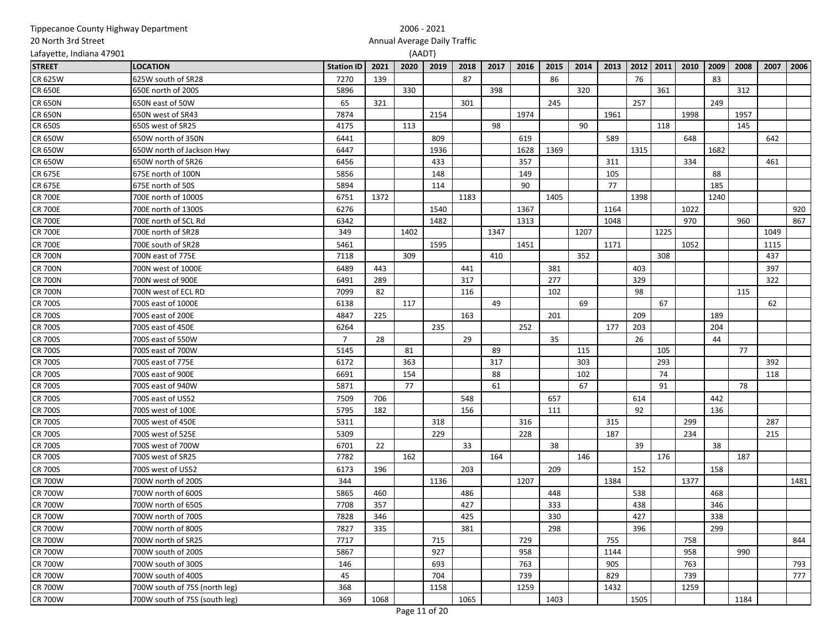| Tippecanoe County Highway Department |                               |                   |      | 2006 - 2021 |                              |      |      |      |      |      |      |      |      |      |      |      |      |      |
|--------------------------------------|-------------------------------|-------------------|------|-------------|------------------------------|------|------|------|------|------|------|------|------|------|------|------|------|------|
| 20 North 3rd Street                  |                               |                   |      |             | Annual Average Daily Traffic |      |      |      |      |      |      |      |      |      |      |      |      |      |
| Lafayette, Indiana 47901             |                               |                   |      | (AADT)      |                              |      |      |      |      |      |      |      |      |      |      |      |      |      |
| <b>STREET</b>                        | <b>LOCATION</b>               | <b>Station ID</b> | 2021 | 2020        | 2019                         | 2018 | 2017 | 2016 | 2015 | 2014 | 2013 | 2012 | 2011 | 2010 | 2009 | 2008 | 2007 | 2006 |
| <b>CR 625W</b>                       | 625W south of SR28            | 7270              | 139  |             |                              | 87   |      |      | 86   |      |      | 76   |      |      | 83   |      |      |      |
| <b>CR 650E</b>                       | 650E north of 200S            | 5896              |      | 330         |                              |      | 398  |      |      | 320  |      |      | 361  |      |      | 312  |      |      |
| <b>CR 650N</b>                       | 650N east of 50W              | 65                | 321  |             |                              | 301  |      |      | 245  |      |      | 257  |      |      | 249  |      |      |      |
| <b>CR 650N</b>                       | 650N west of SR43             | 7874              |      |             | 2154                         |      |      | 1974 |      |      | 1961 |      |      | 1998 |      | 1957 |      |      |
| <b>CR 650S</b>                       | 650S west of SR25             | 4175              |      | 113         |                              |      | 98   |      |      | 90   |      |      | 118  |      |      | 145  |      |      |
| <b>CR 650W</b>                       | 650W north of 350N            | 6441              |      |             | 809                          |      |      | 619  |      |      | 589  |      |      | 648  |      |      | 642  |      |
| <b>CR 650W</b>                       | 650W north of Jackson Hwy     | 6447              |      |             | 1936                         |      |      | 1628 | 1369 |      |      | 1315 |      |      | 1682 |      |      |      |
| <b>CR 650W</b>                       | 650W north of SR26            | 6456              |      |             | 433                          |      |      | 357  |      |      | 311  |      |      | 334  |      |      | 461  |      |
| <b>CR 675E</b>                       | 675E north of 100N            | 5856              |      |             | 148                          |      |      | 149  |      |      | 105  |      |      |      | 88   |      |      |      |
| <b>CR 675E</b>                       | 675E north of 50S             | 5894              |      |             | 114                          |      |      | 90   |      |      | 77   |      |      |      | 185  |      |      |      |
| <b>CR 700E</b>                       | 700E north of 1000S           | 6751              | 1372 |             |                              | 1183 |      |      | 1405 |      |      | 1398 |      |      | 1240 |      |      |      |
| <b>CR 700E</b>                       | 700E north of 1300S           | 6276              |      |             | 1540                         |      |      | 1367 |      |      | 1164 |      |      | 1022 |      |      |      | 920  |
| <b>CR 700E</b>                       | 700E north of SCL Rd          | 6342              |      |             | 1482                         |      |      | 1313 |      |      | 1048 |      |      | 970  |      | 960  |      | 867  |
| <b>CR 700E</b>                       | 700E north of SR28            | 349               |      | 1402        |                              |      | 1347 |      |      | 1207 |      |      | 1225 |      |      |      | 1049 |      |
| <b>CR 700E</b>                       | 700E south of SR28            | 5461              |      |             | 1595                         |      |      | 1451 |      |      | 1171 |      |      | 1052 |      |      | 1115 |      |
| <b>CR 700N</b>                       | 700N east of 775E             | 7118              |      | 309         |                              |      | 410  |      |      | 352  |      |      | 308  |      |      |      | 437  |      |
| <b>CR 700N</b>                       | 700N west of 1000E            | 6489              | 443  |             |                              | 441  |      |      | 381  |      |      | 403  |      |      |      |      | 397  |      |
| <b>CR 700N</b>                       | 700N west of 900E             | 6491              | 289  |             |                              | 317  |      |      | 277  |      |      | 329  |      |      |      |      | 322  |      |
| <b>CR 700N</b>                       | 700N west of ECL RD           | 7099              | 82   |             |                              | 116  |      |      | 102  |      |      | 98   |      |      |      | 115  |      |      |
| <b>CR 700S</b>                       | 700S east of 1000E            | 6138              |      | 117         |                              |      | 49   |      |      | 69   |      |      | 67   |      |      |      | 62   |      |
| <b>CR 700S</b>                       | 700S east of 200E             | 4847              | 225  |             |                              | 163  |      |      | 201  |      |      | 209  |      |      | 189  |      |      |      |
| <b>CR 700S</b>                       | 700S east of 450E             | 6264              |      |             | 235                          |      |      | 252  |      |      | 177  | 203  |      |      | 204  |      |      |      |
| <b>CR 700S</b>                       | 700S east of 550W             | $\overline{7}$    | 28   |             |                              | 29   |      |      | 35   |      |      | 26   |      |      | 44   |      |      |      |
| <b>CR 700S</b>                       | 700S east of 700W             | 5145              |      | 81          |                              |      | 89   |      |      | 115  |      |      | 105  |      |      | 77   |      |      |
| <b>CR 700S</b>                       | 700S east of 775E             | 6172              |      | 363         |                              |      | 317  |      |      | 303  |      |      | 293  |      |      |      | 392  |      |
| <b>CR 700S</b>                       | 700S east of 900E             | 6691              |      | 154         |                              |      | 88   |      |      | 102  |      |      | 74   |      |      |      | 118  |      |
| <b>CR 700S</b>                       | 700S east of 940W             | 5871              |      | 77          |                              |      | 61   |      |      | 67   |      |      | 91   |      |      | 78   |      |      |
| <b>CR 700S</b>                       | 700S east of US52             | 7509              | 706  |             |                              | 548  |      |      | 657  |      |      | 614  |      |      | 442  |      |      |      |
| <b>CR 700S</b>                       | 700S west of 100E             | 5795              | 182  |             |                              | 156  |      |      | 111  |      |      | 92   |      |      | 136  |      |      |      |
| <b>CR 700S</b>                       | 700S west of 450E             | 5311              |      |             | 318                          |      |      | 316  |      |      | 315  |      |      | 299  |      |      | 287  |      |
| <b>CR 700S</b>                       | 700S west of 525E             | 5309              |      |             | 229                          |      |      | 228  |      |      | 187  |      |      | 234  |      |      | 215  |      |
| <b>CR 700S</b>                       | 700S west of 700W             | 6701              | 22   |             |                              | 33   |      |      | 38   |      |      | 39   |      |      | 38   |      |      |      |
| <b>CR 700S</b>                       | 700S west of SR25             | 7782              |      | 162         |                              |      | 164  |      |      | 146  |      |      | 176  |      |      | 187  |      |      |
| <b>CR 700S</b>                       | 700S west of US52             | 6173              | 196  |             |                              | 203  |      |      | 209  |      |      | 152  |      |      | 158  |      |      |      |
| <b>CR 700W</b>                       | 700W north of 200S            | 344               |      |             | 1136                         |      |      | 1207 |      |      | 1384 |      |      | 1377 |      |      |      | 1481 |
| <b>CR 700W</b>                       | 700W north of 600S            | 5865              | 460  |             |                              | 486  |      |      | 448  |      |      | 538  |      |      | 468  |      |      |      |
| <b>CR 700W</b>                       | 700W north of 650S            | 7708              | 357  |             |                              | 427  |      |      | 333  |      |      | 438  |      |      | 346  |      |      |      |
| <b>CR 700W</b>                       | 700W north of 700S            | 7828              | 346  |             |                              | 425  |      |      | 330  |      |      | 427  |      |      | 338  |      |      |      |
| <b>CR 700W</b>                       | 700W north of 800S            | 7827              | 335  |             |                              | 381  |      |      | 298  |      |      | 396  |      |      | 299  |      |      |      |
| <b>CR 700W</b>                       | 700W north of SR25            | 7717              |      |             | 715                          |      |      | 729  |      |      | 755  |      |      | 758  |      |      |      | 844  |
| <b>CR 700W</b>                       | 700W south of 200S            | 5867              |      |             | 927                          |      |      | 958  |      |      | 1144 |      |      | 958  |      | 990  |      |      |
| <b>CR 700W</b>                       | 700W south of 300S            | 146               |      |             | 693                          |      |      | 763  |      |      | 905  |      |      | 763  |      |      |      | 793  |
| <b>CR 700W</b>                       | 700W south of 400S            | 45                |      |             | 704                          |      |      | 739  |      |      | 829  |      |      | 739  |      |      |      | 777  |
| <b>CR 700W</b>                       | 700W south of 75S (north leg) | 368               |      |             | 1158                         |      |      | 1259 |      |      | 1432 |      |      | 1259 |      |      |      |      |
| <b>CR 700W</b>                       | 700W south of 75S (south leg) | 369               | 1068 |             |                              | 1065 |      |      | 1403 |      |      | 1505 |      |      |      | 1184 |      |      |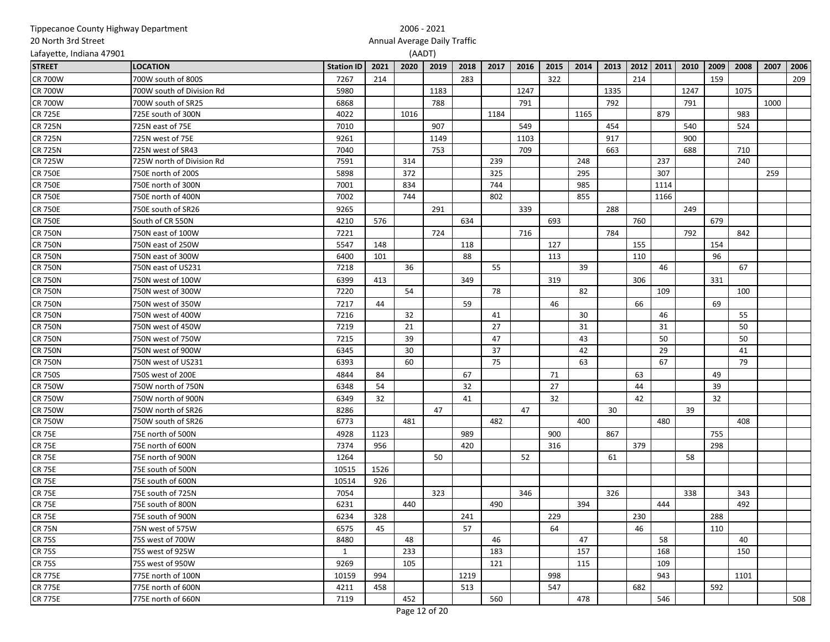| Tippecanoe County Highway Department |                           |                   |      | 2006 - 2021 |                              |      |      |      |      |      |      |      |      |      |      |      |      |      |
|--------------------------------------|---------------------------|-------------------|------|-------------|------------------------------|------|------|------|------|------|------|------|------|------|------|------|------|------|
| 20 North 3rd Street                  |                           |                   |      |             | Annual Average Daily Traffic |      |      |      |      |      |      |      |      |      |      |      |      |      |
| Lafayette, Indiana 47901             |                           |                   |      |             | (AADT)                       |      |      |      |      |      |      |      |      |      |      |      |      |      |
| <b>STREET</b>                        | <b>LOCATION</b>           | <b>Station ID</b> | 2021 | 2020        | 2019                         | 2018 | 2017 | 2016 | 2015 | 2014 | 2013 | 2012 | 2011 | 2010 | 2009 | 2008 | 2007 | 2006 |
| <b>CR 700W</b>                       | 700W south of 800S        | 7267              | 214  |             |                              | 283  |      |      | 322  |      |      | 214  |      |      | 159  |      |      | 209  |
| <b>CR 700W</b>                       | 700W south of Division Rd | 5980              |      |             | 1183                         |      |      | 1247 |      |      | 1335 |      |      | 1247 |      | 1075 |      |      |
| <b>CR 700W</b>                       | 700W south of SR25        | 6868              |      |             | 788                          |      |      | 791  |      |      | 792  |      |      | 791  |      |      | 1000 |      |
| <b>CR 725E</b>                       | 725E south of 300N        | 4022              |      | 1016        |                              |      | 1184 |      |      | 1165 |      |      | 879  |      |      | 983  |      |      |
| <b>CR 725N</b>                       | 725N east of 75E          | 7010              |      |             | 907                          |      |      | 549  |      |      | 454  |      |      | 540  |      | 524  |      |      |
| <b>CR 725N</b>                       | 725N west of 75E          | 9261              |      |             | 1149                         |      |      | 1103 |      |      | 917  |      |      | 900  |      |      |      |      |
| <b>CR 725N</b>                       | 725N west of SR43         | 7040              |      |             | 753                          |      |      | 709  |      |      | 663  |      |      | 688  |      | 710  |      |      |
| <b>CR 725W</b>                       | 725W north of Division Rd | 7591              |      | 314         |                              |      | 239  |      |      | 248  |      |      | 237  |      |      | 240  |      |      |
| <b>CR 750E</b>                       | 750E north of 200S        | 5898              |      | 372         |                              |      | 325  |      |      | 295  |      |      | 307  |      |      |      | 259  |      |
| <b>CR 750E</b>                       | 750E north of 300N        | 7001              |      | 834         |                              |      | 744  |      |      | 985  |      |      | 1114 |      |      |      |      |      |
| <b>CR 750E</b>                       | 750E north of 400N        | 7002              |      | 744         |                              |      | 802  |      |      | 855  |      |      | 1166 |      |      |      |      |      |
| <b>CR 750E</b>                       | 750E south of SR26        | 9265              |      |             | 291                          |      |      | 339  |      |      | 288  |      |      | 249  |      |      |      |      |
| <b>CR 750E</b>                       | South of CR 550N          | 4210              | 576  |             |                              | 634  |      |      | 693  |      |      | 760  |      |      | 679  |      |      |      |
| <b>CR 750N</b>                       | 750N east of 100W         | 7221              |      |             | 724                          |      |      | 716  |      |      | 784  |      |      | 792  |      | 842  |      |      |
| <b>CR 750N</b>                       | 750N east of 250W         | 5547              | 148  |             |                              | 118  |      |      | 127  |      |      | 155  |      |      | 154  |      |      |      |
| <b>CR 750N</b>                       | 750N east of 300W         | 6400              | 101  |             |                              | 88   |      |      | 113  |      |      | 110  |      |      | 96   |      |      |      |
| <b>CR 750N</b>                       | 750N east of US231        | 7218              |      | 36          |                              |      | 55   |      |      | 39   |      |      | 46   |      |      | 67   |      |      |
| <b>CR 750N</b>                       | 750N west of 100W         | 6399              | 413  |             |                              | 349  |      |      | 319  |      |      | 306  |      |      | 331  |      |      |      |
| <b>CR 750N</b>                       | 750N west of 300W         | 7220              |      | 54          |                              |      | 78   |      |      | 82   |      |      | 109  |      |      | 100  |      |      |
| <b>CR 750N</b>                       | 750N west of 350W         | 7217              | 44   |             |                              | 59   |      |      | 46   |      |      | 66   |      |      | 69   |      |      |      |
| <b>CR 750N</b>                       | 750N west of 400W         | 7216              |      | 32          |                              |      | 41   |      |      | 30   |      |      | 46   |      |      | 55   |      |      |
| <b>CR 750N</b>                       | 750N west of 450W         | 7219              |      | 21          |                              |      | 27   |      |      | 31   |      |      | 31   |      |      | 50   |      |      |
| <b>CR 750N</b>                       | 750N west of 750W         | 7215              |      | 39          |                              |      | 47   |      |      | 43   |      |      | 50   |      |      | 50   |      |      |
| <b>CR 750N</b>                       | 750N west of 900W         | 6345              |      | 30          |                              |      | 37   |      |      | 42   |      |      | 29   |      |      | 41   |      |      |
| <b>CR 750N</b>                       | 750N west of US231        | 6393              |      | 60          |                              |      | 75   |      |      | 63   |      |      | 67   |      |      | 79   |      |      |
| <b>CR 750S</b>                       | 750S west of 200E         | 4844              | 84   |             |                              | 67   |      |      | 71   |      |      | 63   |      |      | 49   |      |      |      |
| <b>CR 750W</b>                       | 750W north of 750N        | 6348              | 54   |             |                              | 32   |      |      | 27   |      |      | 44   |      |      | 39   |      |      |      |
| <b>CR 750W</b>                       | 750W north of 900N        | 6349              | 32   |             |                              | 41   |      |      | 32   |      |      | 42   |      |      | 32   |      |      |      |
| <b>CR 750W</b>                       | 750W north of SR26        | 8286              |      |             | 47                           |      |      | 47   |      |      | 30   |      |      | 39   |      |      |      |      |
| <b>CR 750W</b>                       | 750W south of SR26        | 6773              |      | 481         |                              |      | 482  |      |      | 400  |      |      | 480  |      |      | 408  |      |      |
| <b>CR 75E</b>                        | 75E north of 500N         | 4928              | 1123 |             |                              | 989  |      |      | 900  |      | 867  |      |      |      | 755  |      |      |      |
| <b>CR 75E</b>                        | 75E north of 600N         | 7374              | 956  |             |                              | 420  |      |      | 316  |      |      | 379  |      |      | 298  |      |      |      |
| <b>CR 75E</b>                        | 75E north of 900N         | 1264              |      |             | 50                           |      |      | 52   |      |      | 61   |      |      | 58   |      |      |      |      |
| <b>CR 75E</b>                        | 75E south of 500N         | 10515             | 1526 |             |                              |      |      |      |      |      |      |      |      |      |      |      |      |      |
| <b>CR 75E</b>                        | 75E south of 600N         | 10514             | 926  |             |                              |      |      |      |      |      |      |      |      |      |      |      |      |      |
| <b>CR 75E</b>                        | 75E south of 725N         | 7054              |      |             | 323                          |      |      | 346  |      |      | 326  |      |      | 338  |      | 343  |      |      |
| <b>CR 75E</b>                        | 75E south of 800N         | 6231              |      | 440         |                              |      | 490  |      |      | 394  |      |      | 444  |      |      | 492  |      |      |
| <b>CR 75E</b>                        | 75E south of 900N         | 6234              | 328  |             |                              | 241  |      |      | 229  |      |      | 230  |      |      | 288  |      |      |      |
| <b>CR 75N</b>                        | 75N west of 575W          | 6575              | 45   |             |                              | 57   |      |      | 64   |      |      | 46   |      |      | 110  |      |      |      |
| <b>CR 75S</b>                        | 75S west of 700W          | 8480              |      | 48          |                              |      | 46   |      |      | 47   |      |      | 58   |      |      | 40   |      |      |
| <b>CR 75S</b>                        | 75S west of 925W          | $\mathbf{1}$      |      | 233         |                              |      | 183  |      |      | 157  |      |      | 168  |      |      | 150  |      |      |
| <b>CR 75S</b>                        | 75S west of 950W          | 9269              |      | 105         |                              |      | 121  |      |      | 115  |      |      | 109  |      |      |      |      |      |
| <b>CR 775E</b>                       | 775E north of 100N        | 10159             | 994  |             |                              | 1219 |      |      | 998  |      |      |      | 943  |      |      | 1101 |      |      |
| <b>CR 775E</b>                       | 775E north of 600N        | 4211              | 458  |             |                              | 513  |      |      | 547  |      |      | 682  |      |      | 592  |      |      |      |
| <b>CR 775E</b>                       | 775E north of 660N        | 7119              |      | 452         |                              |      | 560  |      |      | 478  |      |      | 546  |      |      |      |      | 508  |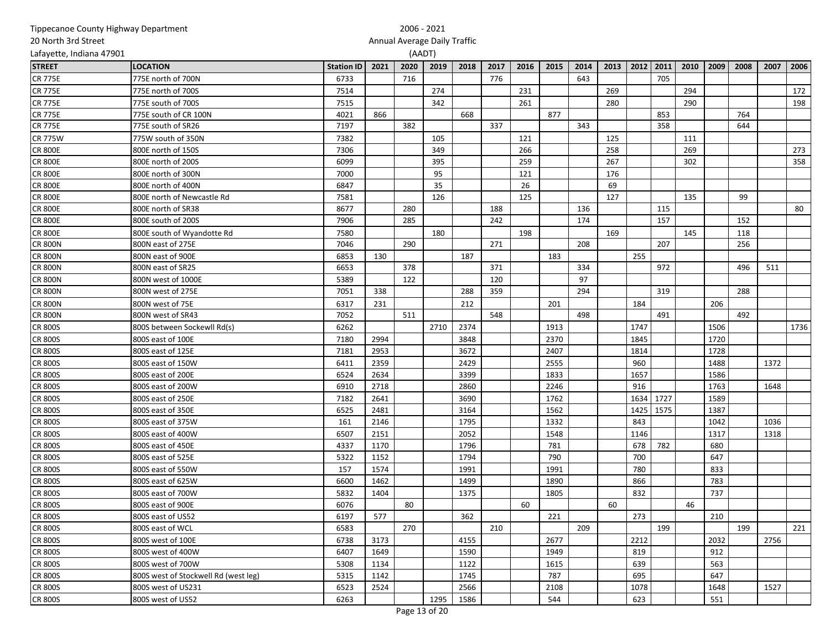| Tippecanoe County Highway Department |                                      |                   |      | 2006 - 2021                  |      |      |      |      |      |      |      |      |      |      |      |      |      |      |
|--------------------------------------|--------------------------------------|-------------------|------|------------------------------|------|------|------|------|------|------|------|------|------|------|------|------|------|------|
| 20 North 3rd Street                  |                                      |                   |      | Annual Average Daily Traffic |      |      |      |      |      |      |      |      |      |      |      |      |      |      |
| Lafayette, Indiana 47901             |                                      |                   |      | (AADT)                       |      |      |      |      |      |      |      |      |      |      |      |      |      |      |
| <b>STREET</b>                        | <b>LOCATION</b>                      | <b>Station ID</b> | 2021 | 2020                         | 2019 | 2018 | 2017 | 2016 | 2015 | 2014 | 2013 | 2012 | 2011 | 2010 | 2009 | 2008 | 2007 | 2006 |
| <b>CR 775E</b>                       | 775E north of 700N                   | 6733              |      | 716                          |      |      | 776  |      |      | 643  |      |      | 705  |      |      |      |      |      |
| <b>CR 775E</b>                       | 775E north of 700S                   | 7514              |      |                              | 274  |      |      | 231  |      |      | 269  |      |      | 294  |      |      |      | 172  |
| <b>CR 775E</b>                       | 775E south of 700S                   | 7515              |      |                              | 342  |      |      | 261  |      |      | 280  |      |      | 290  |      |      |      | 198  |
| <b>CR 775E</b>                       | 775E south of CR 100N                | 4021              | 866  |                              |      | 668  |      |      | 877  |      |      |      | 853  |      |      | 764  |      |      |
| <b>CR 775E</b>                       | 775E south of SR26                   | 7197              |      | 382                          |      |      | 337  |      |      | 343  |      |      | 358  |      |      | 644  |      |      |
| <b>CR 775W</b>                       | 775W south of 350N                   | 7382              |      |                              | 105  |      |      | 121  |      |      | 125  |      |      | 111  |      |      |      |      |
| <b>CR 800E</b>                       | 800E north of 150S                   | 7306              |      |                              | 349  |      |      | 266  |      |      | 258  |      |      | 269  |      |      |      | 273  |
| <b>CR 800E</b>                       | 800E north of 200S                   | 6099              |      |                              | 395  |      |      | 259  |      |      | 267  |      |      | 302  |      |      |      | 358  |
| <b>CR 800E</b>                       | 800E north of 300N                   | 7000              |      |                              | 95   |      |      | 121  |      |      | 176  |      |      |      |      |      |      |      |
| <b>CR 800E</b>                       | 800E north of 400N                   | 6847              |      |                              | 35   |      |      | 26   |      |      | 69   |      |      |      |      |      |      |      |
| <b>CR 800E</b>                       | 800E north of Newcastle Rd           | 7581              |      |                              | 126  |      |      | 125  |      |      | 127  |      |      | 135  |      | 99   |      |      |
| <b>CR 800E</b>                       | 800E north of SR38                   | 8677              |      | 280                          |      |      | 188  |      |      | 136  |      |      | 115  |      |      |      |      | 80   |
| <b>CR 800E</b>                       | 800E south of 200S                   | 7906              |      | 285                          |      |      | 242  |      |      | 174  |      |      | 157  |      |      | 152  |      |      |
| <b>CR 800E</b>                       | 800E south of Wyandotte Rd           | 7580              |      |                              | 180  |      |      | 198  |      |      | 169  |      |      | 145  |      | 118  |      |      |
| <b>CR 800N</b>                       | 800N east of 275E                    | 7046              |      | 290                          |      |      | 271  |      |      | 208  |      |      | 207  |      |      | 256  |      |      |
| <b>CR 800N</b>                       | 800N east of 900E                    | 6853              | 130  |                              |      | 187  |      |      | 183  |      |      | 255  |      |      |      |      |      |      |
| <b>CR 800N</b>                       | 800N east of SR25                    | 6653              |      | 378                          |      |      | 371  |      |      | 334  |      |      | 972  |      |      | 496  | 511  |      |
| <b>CR 800N</b>                       | 800N west of 1000E                   | 5389              |      | 122                          |      |      | 120  |      |      | 97   |      |      |      |      |      |      |      |      |
| <b>CR 800N</b>                       | 800N west of 275E                    | 7051              | 338  |                              |      | 288  | 359  |      |      | 294  |      |      | 319  |      |      | 288  |      |      |
| <b>CR 800N</b>                       | 800N west of 75E                     | 6317              | 231  |                              |      | 212  |      |      | 201  |      |      | 184  |      |      | 206  |      |      |      |
| <b>CR 800N</b>                       | 800N west of SR43                    | 7052              |      | 511                          |      |      | 548  |      |      | 498  |      |      | 491  |      |      | 492  |      |      |
| <b>CR 800S</b>                       | 800S between Sockewll Rd(s)          | 6262              |      |                              | 2710 | 2374 |      |      | 1913 |      |      | 1747 |      |      | 1506 |      |      | 1736 |
| <b>CR 800S</b>                       | 800S east of 100E                    | 7180              | 2994 |                              |      | 3848 |      |      | 2370 |      |      | 1845 |      |      | 1720 |      |      |      |
| <b>CR 800S</b>                       | 800S east of 125E                    | 7181              | 2953 |                              |      | 3672 |      |      | 2407 |      |      | 1814 |      |      | 1728 |      |      |      |
| <b>CR 800S</b>                       | 800S east of 150W                    | 6411              | 2359 |                              |      | 2429 |      |      | 2555 |      |      | 960  |      |      | 1488 |      | 1372 |      |
| <b>CR 800S</b>                       | 800S east of 200E                    | 6524              | 2634 |                              |      | 3399 |      |      | 1833 |      |      | 1657 |      |      | 1586 |      |      |      |
| <b>CR 800S</b>                       | 800S east of 200W                    | 6910              | 2718 |                              |      | 2860 |      |      | 2246 |      |      | 916  |      |      | 1763 |      | 1648 |      |
| <b>CR 800S</b>                       | 800S east of 250E                    | 7182              | 2641 |                              |      | 3690 |      |      | 1762 |      |      | 1634 | 1727 |      | 1589 |      |      |      |
| <b>CR 800S</b>                       | 800S east of 350E                    | 6525              | 2481 |                              |      | 3164 |      |      | 1562 |      |      | 1425 | 1575 |      | 1387 |      |      |      |
| <b>CR 800S</b>                       | 800S east of 375W                    | 161               | 2146 |                              |      | 1795 |      |      | 1332 |      |      | 843  |      |      | 1042 |      | 1036 |      |
| <b>CR 800S</b>                       | 800S east of 400W                    | 6507              | 2151 |                              |      | 2052 |      |      | 1548 |      |      | 1146 |      |      | 1317 |      | 1318 |      |
| <b>CR 800S</b>                       | 800S east of 450E                    | 4337              | 1170 |                              |      | 1796 |      |      | 781  |      |      | 678  | 782  |      | 680  |      |      |      |
| <b>CR 800S</b>                       | 800S east of 525E                    | 5322              | 1152 |                              |      | 1794 |      |      | 790  |      |      | 700  |      |      | 647  |      |      |      |
| <b>CR 800S</b>                       | 800S east of 550W                    | 157               | 1574 |                              |      | 1991 |      |      | 1991 |      |      | 780  |      |      | 833  |      |      |      |
| <b>CR 800S</b>                       | 800S east of 625W                    | 6600              | 1462 |                              |      | 1499 |      |      | 1890 |      |      | 866  |      |      | 783  |      |      |      |
| <b>CR 800S</b>                       | 800S east of 700W                    | 5832              | 1404 |                              |      | 1375 |      |      | 1805 |      |      | 832  |      |      | 737  |      |      |      |
| <b>CR 800S</b>                       | 800S east of 900E                    | 6076              |      | 80                           |      |      |      | 60   |      |      | 60   |      |      | 46   |      |      |      |      |
| <b>CR 800S</b>                       | 800S east of US52                    | 6197              | 577  |                              |      | 362  |      |      | 221  |      |      | 273  |      |      | 210  |      |      |      |
| <b>CR 800S</b>                       | 800S east of WCL                     | 6583              |      | 270                          |      |      | 210  |      |      | 209  |      |      | 199  |      |      | 199  |      | 221  |
| <b>CR 800S</b>                       | 800S west of 100E                    | 6738              | 3173 |                              |      | 4155 |      |      | 2677 |      |      | 2212 |      |      | 2032 |      | 2756 |      |
| <b>CR 800S</b>                       | 800S west of 400W                    | 6407              | 1649 |                              |      | 1590 |      |      | 1949 |      |      | 819  |      |      | 912  |      |      |      |
| <b>CR 800S</b>                       | 800S west of 700W                    | 5308              | 1134 |                              |      | 1122 |      |      | 1615 |      |      | 639  |      |      | 563  |      |      |      |
| <b>CR 800S</b>                       | 800S west of Stockwell Rd (west leg) | 5315              | 1142 |                              |      | 1745 |      |      | 787  |      |      | 695  |      |      | 647  |      |      |      |
| <b>CR 800S</b>                       | 800S west of US231                   | 6523              | 2524 |                              |      | 2566 |      |      | 2108 |      |      | 1078 |      |      | 1648 |      | 1527 |      |
| <b>CR 800S</b>                       | 800S west of US52                    | 6263              |      |                              | 1295 | 1586 |      |      | 544  |      |      | 623  |      |      | 551  |      |      |      |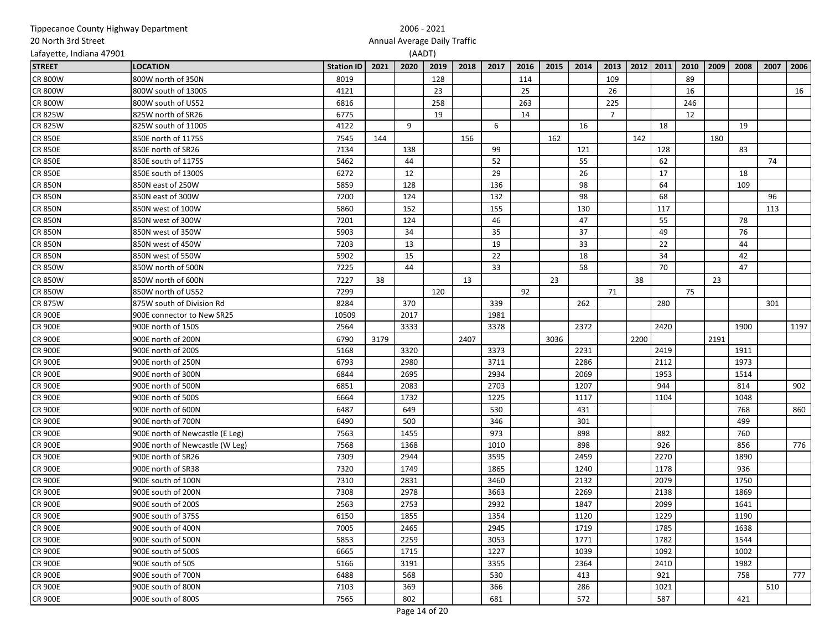|                          | Tippecanoe County Highway Department |                   |      | 2006 - 2021                  |      |      |      |      |      |      |                |      |      |      |      |      |      |      |
|--------------------------|--------------------------------------|-------------------|------|------------------------------|------|------|------|------|------|------|----------------|------|------|------|------|------|------|------|
| 20 North 3rd Street      |                                      |                   |      | Annual Average Daily Traffic |      |      |      |      |      |      |                |      |      |      |      |      |      |      |
| Lafayette, Indiana 47901 |                                      |                   |      | (AADT)                       |      |      |      |      |      |      |                |      |      |      |      |      |      |      |
| <b>STREET</b>            | <b>LOCATION</b>                      | <b>Station ID</b> | 2021 | 2020                         | 2019 | 2018 | 2017 | 2016 | 2015 | 2014 | 2013           | 2012 | 2011 | 2010 | 2009 | 2008 | 2007 | 2006 |
| <b>CR 800W</b>           | 800W north of 350N                   | 8019              |      |                              | 128  |      |      | 114  |      |      | 109            |      |      | 89   |      |      |      |      |
| <b>CR 800W</b>           | 800W south of 1300S                  | 4121              |      |                              | 23   |      |      | 25   |      |      | 26             |      |      | 16   |      |      |      | 16   |
| <b>CR 800W</b>           | 800W south of US52                   | 6816              |      |                              | 258  |      |      | 263  |      |      | 225            |      |      | 246  |      |      |      |      |
| <b>CR 825W</b>           | 825W north of SR26                   | 6775              |      |                              | 19   |      |      | 14   |      |      | $\overline{7}$ |      |      | 12   |      |      |      |      |
| <b>CR 825W</b>           | 825W south of 1100S                  | 4122              |      | 9                            |      |      | 6    |      |      | 16   |                |      | 18   |      |      | 19   |      |      |
| <b>CR 850E</b>           | 850E north of 1175S                  | 7545              | 144  |                              |      | 156  |      |      | 162  |      |                | 142  |      |      | 180  |      |      |      |
| <b>CR 850E</b>           | 850E north of SR26                   | 7134              |      | 138                          |      |      | 99   |      |      | 121  |                |      | 128  |      |      | 83   |      |      |
| <b>CR 850E</b>           | 850E south of 1175S                  | 5462              |      | 44                           |      |      | 52   |      |      | 55   |                |      | 62   |      |      |      | 74   |      |
| <b>CR 850E</b>           | 850E south of 1300S                  | 6272              |      | 12                           |      |      | 29   |      |      | 26   |                |      | 17   |      |      | 18   |      |      |
| <b>CR 850N</b>           | 850N east of 250W                    | 5859              |      | 128                          |      |      | 136  |      |      | 98   |                |      | 64   |      |      | 109  |      |      |
| <b>CR 850N</b>           | 850N east of 300W                    | 7200              |      | 124                          |      |      | 132  |      |      | 98   |                |      | 68   |      |      |      | 96   |      |
| <b>CR 850N</b>           | 850N west of 100W                    | 5860              |      | 152                          |      |      | 155  |      |      | 130  |                |      | 117  |      |      |      | 113  |      |
| <b>CR 850N</b>           | 850N west of 300W                    | 7201              |      | 124                          |      |      | 46   |      |      | 47   |                |      | 55   |      |      | 78   |      |      |
| <b>CR 850N</b>           | 850N west of 350W                    | 5903              |      | 34                           |      |      | 35   |      |      | 37   |                |      | 49   |      |      | 76   |      |      |
| <b>CR 850N</b>           | 850N west of 450W                    | 7203              |      | 13                           |      |      | 19   |      |      | 33   |                |      | 22   |      |      | 44   |      |      |
| <b>CR 850N</b>           | 850N west of 550W                    | 5902              |      | 15                           |      |      | 22   |      |      | 18   |                |      | 34   |      |      | 42   |      |      |
| <b>CR 850W</b>           | 850W north of 500N                   | 7225              |      | 44                           |      |      | 33   |      |      | 58   |                |      | 70   |      |      | 47   |      |      |
| <b>CR 850W</b>           | 850W north of 600N                   | 7227              | 38   |                              |      | 13   |      |      | 23   |      |                | 38   |      |      | 23   |      |      |      |
| <b>CR 850W</b>           | 850W north of US52                   | 7299              |      |                              | 120  |      |      | 92   |      |      | 71             |      |      | 75   |      |      |      |      |
| <b>CR 875W</b>           | 875W south of Division Rd            | 8284              |      | 370                          |      |      | 339  |      |      | 262  |                |      | 280  |      |      |      | 301  |      |
| <b>CR 900E</b>           | 900E connector to New SR25           | 10509             |      | 2017                         |      |      | 1981 |      |      |      |                |      |      |      |      |      |      |      |
| <b>CR 900E</b>           | 900E north of 150S                   | 2564              |      | 3333                         |      |      | 3378 |      |      | 2372 |                |      | 2420 |      |      | 1900 |      | 1197 |
| <b>CR 900E</b>           | 900E north of 200N                   | 6790              | 3179 |                              |      | 2407 |      |      | 3036 |      |                | 2200 |      |      | 2191 |      |      |      |
| <b>CR 900E</b>           | 900E north of 200S                   | 5168              |      | 3320                         |      |      | 3373 |      |      | 2231 |                |      | 2419 |      |      | 1911 |      |      |
| <b>CR 900E</b>           | 900E north of 250N                   | 6793              |      | 2980                         |      |      | 3711 |      |      | 2286 |                |      | 2112 |      |      | 1973 |      |      |
| <b>CR 900E</b>           | 900E north of 300N                   | 6844              |      | 2695                         |      |      | 2934 |      |      | 2069 |                |      | 1953 |      |      | 1514 |      |      |
| <b>CR 900E</b>           | 900E north of 500N                   | 6851              |      | 2083                         |      |      | 2703 |      |      | 1207 |                |      | 944  |      |      | 814  |      | 902  |
| <b>CR 900E</b>           | 900E north of 500S                   | 6664              |      | 1732                         |      |      | 1225 |      |      | 1117 |                |      | 1104 |      |      | 1048 |      |      |
| <b>CR 900E</b>           | 900E north of 600N                   | 6487              |      | 649                          |      |      | 530  |      |      | 431  |                |      |      |      |      | 768  |      | 860  |
| <b>CR 900E</b>           | 900E north of 700N                   | 6490              |      | 500                          |      |      | 346  |      |      | 301  |                |      |      |      |      | 499  |      |      |
| <b>CR 900E</b>           | 900E north of Newcastle (E Leg)      | 7563              |      | 1455                         |      |      | 973  |      |      | 898  |                |      | 882  |      |      | 760  |      |      |
| <b>CR 900E</b>           | 900E north of Newcastle (W Leg)      | 7568              |      | 1368                         |      |      | 1010 |      |      | 898  |                |      | 926  |      |      | 856  |      | 776  |
| <b>CR 900E</b>           | 900E north of SR26                   | 7309              |      | 2944                         |      |      | 3595 |      |      | 2459 |                |      | 2270 |      |      | 1890 |      |      |
| <b>CR 900E</b>           | 900E north of SR38                   | 7320              |      | 1749                         |      |      | 1865 |      |      | 1240 |                |      | 1178 |      |      | 936  |      |      |
| <b>CR 900E</b>           | 900E south of 100N                   | 7310              |      | 2831                         |      |      | 3460 |      |      | 2132 |                |      | 2079 |      |      | 1750 |      |      |
| <b>CR 900E</b>           | 900E south of 200N                   | 7308              |      | 2978                         |      |      | 3663 |      |      | 2269 |                |      | 2138 |      |      | 1869 |      |      |
| <b>CR 900E</b>           | 900E south of 200S                   | 2563              |      | 2753                         |      |      | 2932 |      |      | 1847 |                |      | 2099 |      |      | 1641 |      |      |
| <b>CR 900E</b>           | 900E south of 375S                   | 6150              |      | 1855                         |      |      | 1354 |      |      | 1120 |                |      | 1229 |      |      | 1190 |      |      |
| <b>CR 900E</b>           | 900E south of 400N                   | 7005              |      | 2465                         |      |      | 2945 |      |      | 1719 |                |      | 1785 |      |      | 1638 |      |      |
| <b>CR 900E</b>           | 900E south of 500N                   | 5853              |      | 2259                         |      |      | 3053 |      |      | 1771 |                |      | 1782 |      |      | 1544 |      |      |
| <b>CR 900E</b>           | 900E south of 500S                   | 6665              |      | 1715                         |      |      | 1227 |      |      | 1039 |                |      | 1092 |      |      | 1002 |      |      |
| <b>CR 900E</b>           | 900E south of 50S                    | 5166              |      | 3191                         |      |      | 3355 |      |      | 2364 |                |      | 2410 |      |      | 1982 |      |      |
| <b>CR 900E</b>           | 900E south of 700N                   | 6488              |      | 568                          |      |      | 530  |      |      | 413  |                |      | 921  |      |      | 758  |      | 777  |
| <b>CR 900E</b>           | 900E south of 800N                   | 7103              |      | 369                          |      |      | 366  |      |      | 286  |                |      | 1021 |      |      |      | 510  |      |
| <b>CR 900E</b>           | 900E south of 800S                   | 7565              |      | 802                          |      |      | 681  |      |      | 572  |                |      | 587  |      |      | 421  |      |      |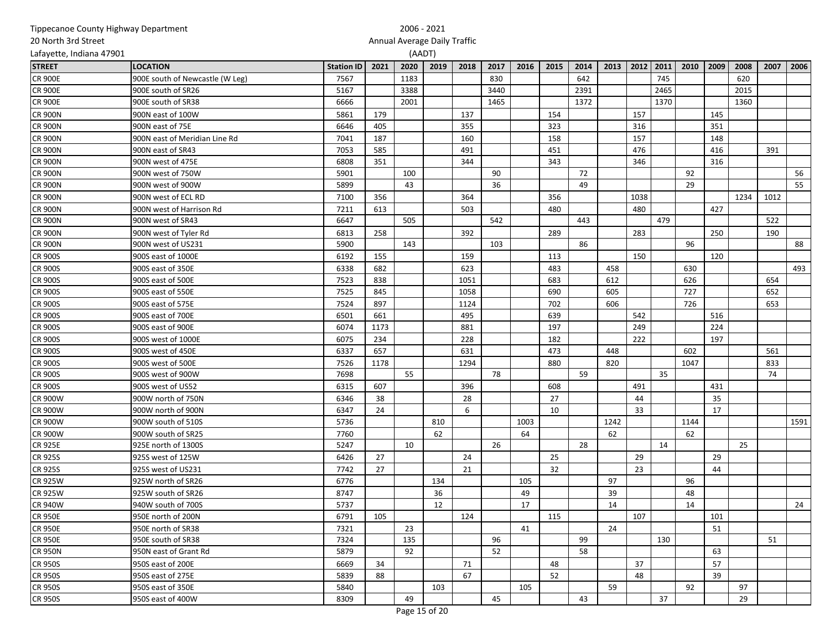|                          | Tippecanoe County Highway Department |                   |      | 2006 - 2021                  |        |      |      |      |      |      |      |      |      |      |      |      |      |      |
|--------------------------|--------------------------------------|-------------------|------|------------------------------|--------|------|------|------|------|------|------|------|------|------|------|------|------|------|
| 20 North 3rd Street      |                                      |                   |      | Annual Average Daily Traffic |        |      |      |      |      |      |      |      |      |      |      |      |      |      |
| Lafayette, Indiana 47901 |                                      |                   |      |                              | (AADT) |      |      |      |      |      |      |      |      |      |      |      |      |      |
| <b>STREET</b>            | <b>LOCATION</b>                      | <b>Station ID</b> | 2021 | 2020                         | 2019   | 2018 | 2017 | 2016 | 2015 | 2014 | 2013 | 2012 | 2011 | 2010 | 2009 | 2008 | 2007 | 2006 |
| <b>CR 900E</b>           | 900E south of Newcastle (W Leg)      | 7567              |      | 1183                         |        |      | 830  |      |      | 642  |      |      | 745  |      |      | 620  |      |      |
| <b>CR 900E</b>           | 900E south of SR26                   | 5167              |      | 3388                         |        |      | 3440 |      |      | 2391 |      |      | 2465 |      |      | 2015 |      |      |
| <b>CR 900E</b>           | 900E south of SR38                   | 6666              |      | 2001                         |        |      | 1465 |      |      | 1372 |      |      | 1370 |      |      | 1360 |      |      |
| <b>CR 900N</b>           | 900N east of 100W                    | 5861              | 179  |                              |        | 137  |      |      | 154  |      |      | 157  |      |      | 145  |      |      |      |
| <b>CR 900N</b>           | 900N east of 75E                     | 6646              | 405  |                              |        | 355  |      |      | 323  |      |      | 316  |      |      | 351  |      |      |      |
| <b>CR 900N</b>           | 900N east of Meridian Line Rd        | 7041              | 187  |                              |        | 160  |      |      | 158  |      |      | 157  |      |      | 148  |      |      |      |
| <b>CR 900N</b>           | 900N east of SR43                    | 7053              | 585  |                              |        | 491  |      |      | 451  |      |      | 476  |      |      | 416  |      | 391  |      |
| <b>CR 900N</b>           | 900N west of 475E                    | 6808              | 351  |                              |        | 344  |      |      | 343  |      |      | 346  |      |      | 316  |      |      |      |
| <b>CR 900N</b>           | 900N west of 750W                    | 5901              |      | 100                          |        |      | 90   |      |      | 72   |      |      |      | 92   |      |      |      | 56   |
| <b>CR 900N</b>           | 900N west of 900W                    | 5899              |      | 43                           |        |      | 36   |      |      | 49   |      |      |      | 29   |      |      |      | 55   |
| <b>CR 900N</b>           | 900N west of ECL RD                  | 7100              | 356  |                              |        | 364  |      |      | 356  |      |      | 1038 |      |      |      | 1234 | 1012 |      |
| <b>CR 900N</b>           | 900N west of Harrison Rd             | 7211              | 613  |                              |        | 503  |      |      | 480  |      |      | 480  |      |      | 427  |      |      |      |
| <b>CR 900N</b>           | 900N west of SR43                    | 6647              |      | 505                          |        |      | 542  |      |      | 443  |      |      | 479  |      |      |      | 522  |      |
| <b>CR 900N</b>           | 900N west of Tyler Rd                | 6813              | 258  |                              |        | 392  |      |      | 289  |      |      | 283  |      |      | 250  |      | 190  |      |
| <b>CR 900N</b>           | 900N west of US231                   | 5900              |      | 143                          |        |      | 103  |      |      | 86   |      |      |      | 96   |      |      |      | 88   |
| <b>CR 900S</b>           | 900S east of 1000E                   | 6192              | 155  |                              |        | 159  |      |      | 113  |      |      | 150  |      |      | 120  |      |      |      |
| <b>CR 900S</b>           | 900S east of 350E                    | 6338              | 682  |                              |        | 623  |      |      | 483  |      | 458  |      |      | 630  |      |      |      | 493  |
| <b>CR 900S</b>           | 900S east of 500E                    | 7523              | 838  |                              |        | 1051 |      |      | 683  |      | 612  |      |      | 626  |      |      | 654  |      |
| <b>CR 900S</b>           | 900S east of 550E                    | 7525              | 845  |                              |        | 1058 |      |      | 690  |      | 605  |      |      | 727  |      |      | 652  |      |
| <b>CR 900S</b>           | 900S east of 575E                    | 7524              | 897  |                              |        | 1124 |      |      | 702  |      | 606  |      |      | 726  |      |      | 653  |      |
| <b>CR 900S</b>           | 900S east of 700E                    | 6501              | 661  |                              |        | 495  |      |      | 639  |      |      | 542  |      |      | 516  |      |      |      |
| <b>CR 900S</b>           | 900S east of 900E                    | 6074              | 1173 |                              |        | 881  |      |      | 197  |      |      | 249  |      |      | 224  |      |      |      |
| <b>CR 900S</b>           | 900S west of 1000E                   | 6075              | 234  |                              |        | 228  |      |      | 182  |      |      | 222  |      |      | 197  |      |      |      |
| <b>CR 900S</b>           | 900S west of 450E                    | 6337              | 657  |                              |        | 631  |      |      | 473  |      | 448  |      |      | 602  |      |      | 561  |      |
| <b>CR 900S</b>           | 900S west of 500E                    | 7526              | 1178 |                              |        | 1294 |      |      | 880  |      | 820  |      |      | 1047 |      |      | 833  |      |
| <b>CR 900S</b>           | 900S west of 900W                    | 7698              |      | 55                           |        |      | 78   |      |      | 59   |      |      | 35   |      |      |      | 74   |      |
| <b>CR 900S</b>           | 900S west of US52                    | 6315              | 607  |                              |        | 396  |      |      | 608  |      |      | 491  |      |      | 431  |      |      |      |
| <b>CR 900W</b>           | 900W north of 750N                   | 6346              | 38   |                              |        | 28   |      |      | 27   |      |      | 44   |      |      | 35   |      |      |      |
| <b>CR 900W</b>           | 900W north of 900N                   | 6347              | 24   |                              |        | 6    |      |      | 10   |      |      | 33   |      |      | 17   |      |      |      |
| <b>CR 900W</b>           | 900W south of 510S                   | 5736              |      |                              | 810    |      |      | 1003 |      |      | 1242 |      |      | 1144 |      |      |      | 1591 |
| <b>CR 900W</b>           | 900W south of SR25                   | 7760              |      |                              | 62     |      |      | 64   |      |      | 62   |      |      | 62   |      |      |      |      |
| <b>CR 925E</b>           | 925E north of 1300S                  | 5247              |      | 10                           |        |      | 26   |      |      | 28   |      |      | 14   |      |      | 25   |      |      |
| <b>CR 925S</b>           | 925S west of 125W                    | 6426              | 27   |                              |        | 24   |      |      | 25   |      |      | 29   |      |      | 29   |      |      |      |
| <b>CR 925S</b>           | 925S west of US231                   | 7742              | 27   |                              |        | 21   |      |      | 32   |      |      | 23   |      |      | 44   |      |      |      |
| <b>CR 925W</b>           | 925W north of SR26                   | 6776              |      |                              | 134    |      |      | 105  |      |      | 97   |      |      | 96   |      |      |      |      |
| <b>CR 925W</b>           | 925W south of SR26                   | 8747              |      |                              | 36     |      |      | 49   |      |      | 39   |      |      | 48   |      |      |      |      |
| <b>CR 940W</b>           | 940W south of 700S                   | 5737              |      |                              | 12     |      |      | 17   |      |      | 14   |      |      | 14   |      |      |      | 24   |
| <b>CR 950E</b>           | 950E north of 200N                   | 6791              | 105  |                              |        | 124  |      |      | 115  |      |      | 107  |      |      | 101  |      |      |      |
| <b>CR 950E</b>           | 950E north of SR38                   | 7321              |      | 23                           |        |      |      | 41   |      |      | 24   |      |      |      | 51   |      |      |      |
| <b>CR 950E</b>           | 950E south of SR38                   | 7324              |      | 135                          |        |      | 96   |      |      | 99   |      |      | 130  |      |      |      | 51   |      |
| <b>CR 950N</b>           | 950N east of Grant Rd                | 5879              |      | 92                           |        |      | 52   |      |      | 58   |      |      |      |      | 63   |      |      |      |
| <b>CR 950S</b>           | 950S east of 200E                    | 6669              | 34   |                              |        | 71   |      |      | 48   |      |      | 37   |      |      | 57   |      |      |      |
| <b>CR 950S</b>           | 950S east of 275E                    | 5839              | 88   |                              |        | 67   |      |      | 52   |      |      | 48   |      |      | 39   |      |      |      |
| <b>CR 950S</b>           | 950S east of 350E                    | 5840              |      |                              | 103    |      |      | 105  |      |      | 59   |      |      | 92   |      | 97   |      |      |
| <b>CR 950S</b>           | 950S east of 400W                    | 8309              |      | 49                           |        |      | 45   |      |      | 43   |      |      | 37   |      |      | 29   |      |      |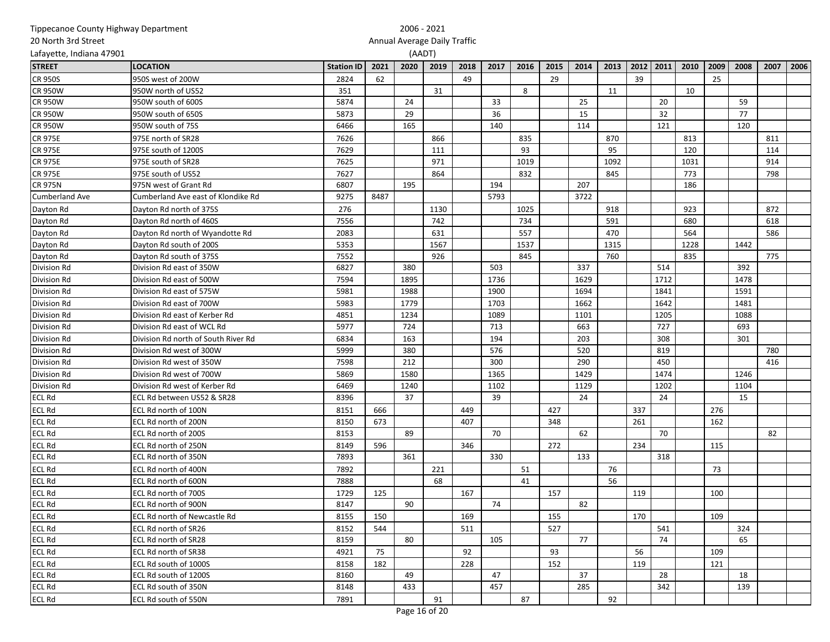| 20 North 3rd Street      |                                      |      |      |                                        |      |     |      |      |      |      |      |      |      |      |      |      |      |      |
|--------------------------|--------------------------------------|------|------|----------------------------------------|------|-----|------|------|------|------|------|------|------|------|------|------|------|------|
| Lafayette, Indiana 47901 |                                      |      |      | Annual Average Daily Traffic<br>(AADT) |      |     |      |      |      |      |      |      |      |      |      |      |      |      |
| <b>STREET</b>            | <b>LOCATION</b><br><b>Station ID</b> |      |      |                                        |      |     | 2017 | 2016 | 2015 | 2014 | 2013 | 2012 | 2011 | 2010 | 2009 | 2008 | 2007 | 2006 |
| <b>CR 950S</b>           | 950S west of 200W                    | 2824 | 62   |                                        |      | 49  |      |      | 29   |      |      | 39   |      |      | 25   |      |      |      |
| <b>CR 950W</b>           | 950W north of US52                   | 351  |      |                                        | 31   |     |      | 8    |      |      | 11   |      |      | 10   |      |      |      |      |
| <b>CR 950W</b>           | 950W south of 600S                   | 5874 |      | 24                                     |      |     | 33   |      |      | 25   |      |      | 20   |      |      | 59   |      |      |
| <b>CR 950W</b>           | 950W south of 650S                   | 5873 |      | 29                                     |      |     | 36   |      |      | 15   |      |      | 32   |      |      | 77   |      |      |
| <b>CR 950W</b>           | 950W south of 75S                    | 6466 |      | 165                                    |      |     | 140  |      |      | 114  |      |      | 121  |      |      | 120  |      |      |
| <b>CR 975E</b>           | 975E north of SR28                   | 7626 |      |                                        | 866  |     |      | 835  |      |      | 870  |      |      | 813  |      |      | 811  |      |
| <b>CR 975E</b>           | 975E south of 1200S                  | 7629 |      |                                        | 111  |     |      | 93   |      |      | 95   |      |      | 120  |      |      | 114  |      |
| <b>CR 975E</b>           | 975E south of SR28                   | 7625 |      |                                        | 971  |     |      | 1019 |      |      | 1092 |      |      | 1031 |      |      | 914  |      |
| <b>CR 975E</b>           | 975E south of US52                   | 7627 |      |                                        | 864  |     |      | 832  |      |      | 845  |      |      | 773  |      |      | 798  |      |
| <b>CR 975N</b>           | 975N west of Grant Rd                | 6807 |      | 195                                    |      |     | 194  |      |      | 207  |      |      |      | 186  |      |      |      |      |
| Cumberland Ave           | Cumberland Ave east of Klondike Rd   | 9275 | 8487 |                                        |      |     | 5793 |      |      | 3722 |      |      |      |      |      |      |      |      |
| Dayton Rd                | Dayton Rd north of 375S              | 276  |      |                                        | 1130 |     |      | 1025 |      |      | 918  |      |      | 923  |      |      | 872  |      |
| Dayton Rd                | Dayton Rd north of 460S              | 7556 |      |                                        | 742  |     |      | 734  |      |      | 591  |      |      | 680  |      |      | 618  |      |
| Dayton Rd                | Dayton Rd north of Wyandotte Rd      | 2083 |      |                                        | 631  |     |      | 557  |      |      | 470  |      |      | 564  |      |      | 586  |      |
| Dayton Rd                | Dayton Rd south of 200S              | 5353 |      |                                        | 1567 |     |      | 1537 |      |      | 1315 |      |      | 1228 |      | 1442 |      |      |
| Dayton Rd                | Dayton Rd south of 375S              | 7552 |      |                                        | 926  |     |      | 845  |      |      | 760  |      |      | 835  |      |      | 775  |      |
| Division Rd              | Division Rd east of 350W             | 6827 |      | 380                                    |      |     | 503  |      |      | 337  |      |      | 514  |      |      | 392  |      |      |
| Division Rd              | Division Rd east of 500W             | 7594 |      | 1895                                   |      |     | 1736 |      |      | 1629 |      |      | 1712 |      |      | 1478 |      |      |
| Division Rd              | Division Rd east of 575W             | 5981 |      | 1988                                   |      |     | 1900 |      |      | 1694 |      |      | 1841 |      |      | 1591 |      |      |
| Division Rd              | Division Rd east of 700W             | 5983 |      | 1779                                   |      |     | 1703 |      |      | 1662 |      |      | 1642 |      |      | 1481 |      |      |
| Division Rd              | Division Rd east of Kerber Rd        | 4851 |      | 1234                                   |      |     | 1089 |      |      | 1101 |      |      | 1205 |      |      | 1088 |      |      |
| Division Rd              | Division Rd east of WCL Rd           | 5977 |      | 724                                    |      |     | 713  |      |      | 663  |      |      | 727  |      |      | 693  |      |      |
| Division Rd              | Division Rd north of South River Rd  | 6834 |      | 163                                    |      |     | 194  |      |      | 203  |      |      | 308  |      |      | 301  |      |      |
| Division Rd              | Division Rd west of 300W             | 5999 |      | 380                                    |      |     | 576  |      |      | 520  |      |      | 819  |      |      |      | 780  |      |
| Division Rd              | Division Rd west of 350W             | 7598 |      | 212                                    |      |     | 300  |      |      | 290  |      |      | 450  |      |      |      | 416  |      |
| Division Rd              | Division Rd west of 700W             | 5869 |      | 1580                                   |      |     | 1365 |      |      | 1429 |      |      | 1474 |      |      | 1246 |      |      |
| Division Rd              | Division Rd west of Kerber Rd        | 6469 |      | 1240                                   |      |     | 1102 |      |      | 1129 |      |      | 1202 |      |      | 1104 |      |      |
| <b>ECL Rd</b>            | ECL Rd between US52 & SR28           | 8396 |      | 37                                     |      |     | 39   |      |      | 24   |      |      | 24   |      |      | 15   |      |      |
| <b>ECL Rd</b>            | ECL Rd north of 100N                 | 8151 | 666  |                                        |      | 449 |      |      | 427  |      |      | 337  |      |      | 276  |      |      |      |
| <b>ECL Rd</b>            | ECL Rd north of 200N                 | 8150 | 673  |                                        |      | 407 |      |      | 348  |      |      | 261  |      |      | 162  |      |      |      |
| <b>ECL Rd</b>            | ECL Rd north of 200S                 | 8153 |      | 89                                     |      |     | 70   |      |      | 62   |      |      | 70   |      |      |      | 82   |      |
| <b>ECL Rd</b>            | ECL Rd north of 250N                 | 8149 | 596  |                                        |      | 346 |      |      | 272  |      |      | 234  |      |      | 115  |      |      |      |
| <b>ECL Rd</b>            | ECL Rd north of 350N                 | 7893 |      | 361                                    |      |     | 330  |      |      | 133  |      |      | 318  |      |      |      |      |      |
| <b>ECL Rd</b>            | ECL Rd north of 400N                 | 7892 |      |                                        | 221  |     |      | 51   |      |      | 76   |      |      |      | 73   |      |      |      |
| <b>ECL Rd</b>            | ECL Rd north of 600N                 | 7888 |      |                                        | 68   |     |      | 41   |      |      | 56   |      |      |      |      |      |      |      |
| <b>ECL Rd</b>            | ECL Rd north of 700S                 | 1729 | 125  |                                        |      | 167 |      |      | 157  |      |      | 119  |      |      | 100  |      |      |      |
| <b>ECL Rd</b>            | ECL Rd north of 900N                 | 8147 |      | 90                                     |      |     | 74   |      |      | 82   |      |      |      |      |      |      |      |      |
| <b>ECL Rd</b>            | ECL Rd north of Newcastle Rd         | 8155 | 150  |                                        |      | 169 |      |      | 155  |      |      | 170  |      |      | 109  |      |      |      |
| <b>ECL Rd</b>            | ECL Rd north of SR26                 | 8152 | 544  |                                        |      | 511 |      |      | 527  |      |      |      | 541  |      |      | 324  |      |      |
| <b>ECL Rd</b>            | ECL Rd north of SR28                 | 8159 |      | 80                                     |      |     | 105  |      |      | 77   |      |      | 74   |      |      | 65   |      |      |
| <b>ECL Rd</b>            | ECL Rd north of SR38                 | 4921 | 75   |                                        |      | 92  |      |      | 93   |      |      | 56   |      |      | 109  |      |      |      |
| <b>ECL Rd</b>            | ECL Rd south of 1000S                | 8158 | 182  |                                        |      | 228 |      |      | 152  |      |      | 119  |      |      | 121  |      |      |      |
| <b>ECL Rd</b>            | ECL Rd south of 1200S                | 8160 |      | 49                                     |      |     | 47   |      |      | 37   |      |      | 28   |      |      | 18   |      |      |
| <b>ECL Rd</b>            | ECL Rd south of 350N                 | 8148 |      | 433                                    |      |     | 457  |      |      | 285  |      |      | 342  |      |      | 139  |      |      |
| <b>ECL Rd</b>            | ECL Rd south of 550N                 | 7891 |      |                                        | 91   |     |      | 87   |      |      | 92   |      |      |      |      |      |      |      |

2006 - 2021

Tippecanoe County Highway Department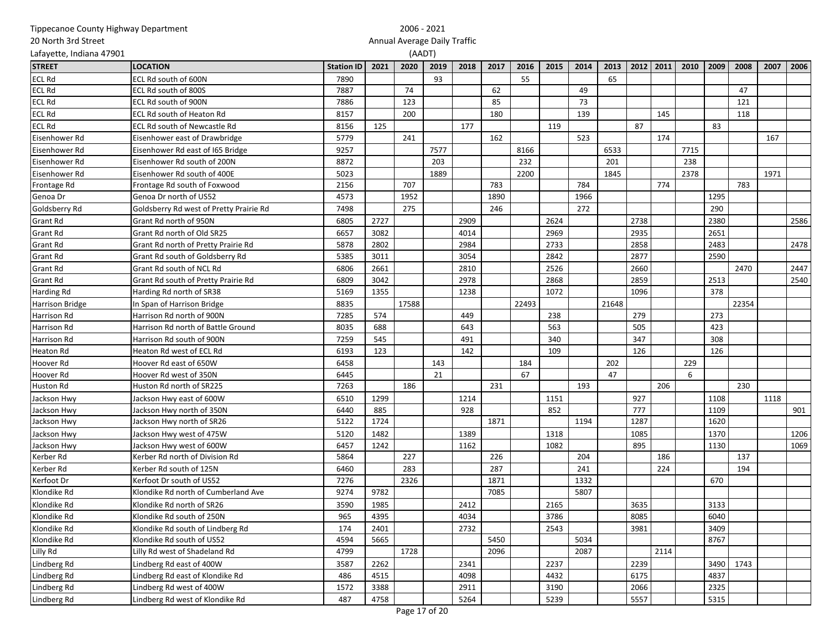|                          | Tippecanoe County Highway Department    |                   |      | 2006 - 2021                  |        |      |      |       |      |      |       |      |      |      |      |       |      |      |
|--------------------------|-----------------------------------------|-------------------|------|------------------------------|--------|------|------|-------|------|------|-------|------|------|------|------|-------|------|------|
| 20 North 3rd Street      |                                         |                   |      | Annual Average Daily Traffic |        |      |      |       |      |      |       |      |      |      |      |       |      |      |
| Lafayette, Indiana 47901 |                                         |                   |      |                              | (AADT) |      |      |       |      |      |       |      |      |      |      |       |      |      |
| <b>STREET</b>            | <b>LOCATION</b>                         | <b>Station ID</b> | 2021 | 2020                         | 2019   | 2018 | 2017 | 2016  | 2015 | 2014 | 2013  | 2012 | 2011 | 2010 | 2009 | 2008  | 2007 | 2006 |
| <b>ECL Rd</b>            | ECL Rd south of 600N                    | 7890              |      |                              | 93     |      |      | 55    |      |      | 65    |      |      |      |      |       |      |      |
| <b>ECL Rd</b>            | ECL Rd south of 800S                    | 7887              |      | 74                           |        |      | 62   |       |      | 49   |       |      |      |      |      | 47    |      |      |
| <b>ECL Rd</b>            | ECL Rd south of 900N                    | 7886              |      | 123                          |        |      | 85   |       |      | 73   |       |      |      |      |      | 121   |      |      |
| <b>ECL Rd</b>            | ECL Rd south of Heaton Rd               | 8157              |      | 200                          |        |      | 180  |       |      | 139  |       |      | 145  |      |      | 118   |      |      |
| <b>ECL Rd</b>            | ECL Rd south of Newcastle Rd            | 8156              | 125  |                              |        | 177  |      |       | 119  |      |       | 87   |      |      | 83   |       |      |      |
| Eisenhower Rd            | Eisenhower east of Drawbridge           | 5779              |      | 241                          |        |      | 162  |       |      | 523  |       |      | 174  |      |      |       | 167  |      |
| Eisenhower Rd            | Eisenhower Rd east of 165 Bridge        | 9257              |      |                              | 7577   |      |      | 8166  |      |      | 6533  |      |      | 7715 |      |       |      |      |
| Eisenhower Rd            | Eisenhower Rd south of 200N             | 8872              |      |                              | 203    |      |      | 232   |      |      | 201   |      |      | 238  |      |       |      |      |
| Eisenhower Rd            | Eisenhower Rd south of 400E             | 5023              |      |                              | 1889   |      |      | 2200  |      |      | 1845  |      |      | 2378 |      |       | 1971 |      |
| Frontage Rd              | Frontage Rd south of Foxwood            | 2156              |      | 707                          |        |      | 783  |       |      | 784  |       |      | 774  |      |      | 783   |      |      |
| Genoa Dr                 | Genoa Dr north of US52                  | 4573              |      | 1952                         |        |      | 1890 |       |      | 1966 |       |      |      |      | 1295 |       |      |      |
| Goldsberry Rd            | Goldsberry Rd west of Pretty Prairie Rd | 7498              |      | 275                          |        |      | 246  |       |      | 272  |       |      |      |      | 290  |       |      |      |
| <b>Grant Rd</b>          | Grant Rd north of 950N                  | 6805              | 2727 |                              |        | 2909 |      |       | 2624 |      |       | 2738 |      |      | 2380 |       |      | 2586 |
| <b>Grant Rd</b>          | Grant Rd north of Old SR25              | 6657              | 3082 |                              |        | 4014 |      |       | 2969 |      |       | 2935 |      |      | 2651 |       |      |      |
| Grant Rd                 | Grant Rd north of Pretty Prairie Rd     | 5878              | 2802 |                              |        | 2984 |      |       | 2733 |      |       | 2858 |      |      | 2483 |       |      | 2478 |
| Grant Rd                 | Grant Rd south of Goldsberry Rd         | 5385              | 3011 |                              |        | 3054 |      |       | 2842 |      |       | 2877 |      |      | 2590 |       |      |      |
| <b>Grant Rd</b>          | Grant Rd south of NCL Rd                | 6806              | 2661 |                              |        | 2810 |      |       | 2526 |      |       | 2660 |      |      |      | 2470  |      | 2447 |
| <b>Grant Rd</b>          | Grant Rd south of Pretty Prairie Rd     | 6809              | 3042 |                              |        | 2978 |      |       | 2868 |      |       | 2859 |      |      | 2513 |       |      | 2540 |
| Harding Rd               | Harding Rd north of SR38                | 5169              | 1355 |                              |        | 1238 |      |       | 1072 |      |       | 1096 |      |      | 378  |       |      |      |
| <b>Harrison Bridge</b>   | In Span of Harrison Bridge              | 8835              |      | 17588                        |        |      |      | 22493 |      |      | 21648 |      |      |      |      | 22354 |      |      |
| Harrison Rd              | Harrison Rd north of 900N               | 7285              | 574  |                              |        | 449  |      |       | 238  |      |       | 279  |      |      | 273  |       |      |      |
| Harrison Rd              | Harrison Rd north of Battle Ground      | 8035              | 688  |                              |        | 643  |      |       | 563  |      |       | 505  |      |      | 423  |       |      |      |
| Harrison Rd              | Harrison Rd south of 900N               | 7259              | 545  |                              |        | 491  |      |       | 340  |      |       | 347  |      |      | 308  |       |      |      |
| Heaton Rd                | Heaton Rd west of ECL Rd                | 6193              | 123  |                              |        | 142  |      |       | 109  |      |       | 126  |      |      | 126  |       |      |      |
| Hoover Rd                | Hoover Rd east of 650W                  | 6458              |      |                              | 143    |      |      | 184   |      |      | 202   |      |      | 229  |      |       |      |      |
| Hoover Rd                | Hoover Rd west of 350N                  | 6445              |      |                              | 21     |      |      | 67    |      |      | 47    |      |      | 6    |      |       |      |      |
| <b>Huston Rd</b>         | Huston Rd north of SR225                | 7263              |      | 186                          |        |      | 231  |       |      | 193  |       |      | 206  |      |      | 230   |      |      |
| Jackson Hwy              | Jackson Hwy east of 600W                | 6510              | 1299 |                              |        | 1214 |      |       | 1151 |      |       | 927  |      |      | 1108 |       | 1118 |      |
| Jackson Hwy              | Jackson Hwy north of 350N               | 6440              | 885  |                              |        | 928  |      |       | 852  |      |       | 777  |      |      | 1109 |       |      | 901  |
| Jackson Hwy              | Jackson Hwy north of SR26               | 5122              | 1724 |                              |        |      | 1871 |       |      | 1194 |       | 1287 |      |      | 1620 |       |      |      |
| Jackson Hwy              | Jackson Hwy west of 475W                | 5120              | 1482 |                              |        | 1389 |      |       | 1318 |      |       | 1085 |      |      | 1370 |       |      | 1206 |
| Jackson Hwy              | Jackson Hwy west of 600W                | 6457              | 1242 |                              |        | 1162 |      |       | 1082 |      |       | 895  |      |      | 1130 |       |      | 1069 |
| Kerber Rd                | Kerber Rd north of Division Rd          | 5864              |      | 227                          |        |      | 226  |       |      | 204  |       |      | 186  |      |      | 137   |      |      |
| Kerber Rd                | Kerber Rd south of 125N                 | 6460              |      | 283                          |        |      | 287  |       |      | 241  |       |      | 224  |      |      | 194   |      |      |
| Kerfoot Dr               | Kerfoot Dr south of US52                | 7276              |      | 2326                         |        |      | 1871 |       |      | 1332 |       |      |      |      | 670  |       |      |      |
| Klondike Rd              | Klondike Rd north of Cumberland Ave     | 9274              | 9782 |                              |        |      | 7085 |       |      | 5807 |       |      |      |      |      |       |      |      |
| Klondike Rd              | Klondike Rd north of SR26               | 3590              | 1985 |                              |        | 2412 |      |       | 2165 |      |       | 3635 |      |      | 3133 |       |      |      |
| Klondike Rd              | Klondike Rd south of 250N               | 965               | 4395 |                              |        | 4034 |      |       | 3786 |      |       | 8085 |      |      | 6040 |       |      |      |
| Klondike Rd              | Klondike Rd south of Lindberg Rd        | 174               | 2401 |                              |        | 2732 |      |       | 2543 |      |       | 3981 |      |      | 3409 |       |      |      |
| Klondike Rd              | Klondike Rd south of US52               | 4594              | 5665 |                              |        |      | 5450 |       |      | 5034 |       |      |      |      | 8767 |       |      |      |
| Lilly Rd                 | Lilly Rd west of Shadeland Rd           | 4799              |      | 1728                         |        |      | 2096 |       |      | 2087 |       |      | 2114 |      |      |       |      |      |
| Lindberg Rd              | Lindberg Rd east of 400W                | 3587              | 2262 |                              |        | 2341 |      |       | 2237 |      |       | 2239 |      |      | 3490 | 1743  |      |      |
| Lindberg Rd              | Lindberg Rd east of Klondike Rd         | 486               | 4515 |                              |        | 4098 |      |       | 4432 |      |       | 6175 |      |      | 4837 |       |      |      |
| Lindberg Rd              | Lindberg Rd west of 400W                | 1572              | 3388 |                              |        | 2911 |      |       | 3190 |      |       | 2066 |      |      | 2325 |       |      |      |
| Lindberg Rd              | Lindberg Rd west of Klondike Rd         | 487               | 4758 |                              |        | 5264 |      |       | 5239 |      |       | 5557 |      |      | 5315 |       |      |      |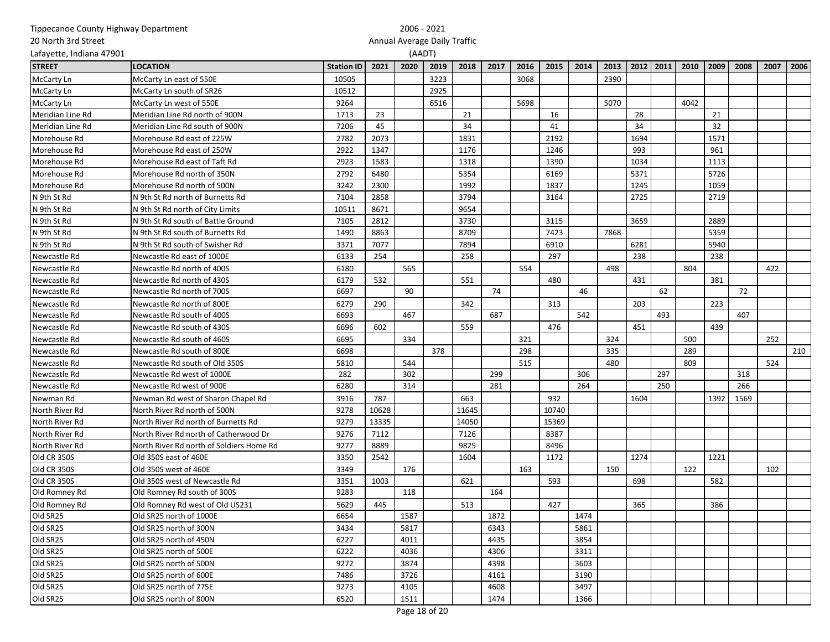| Annual Average Daily Traffic<br>Lafayette, Indiana 47901<br>(AADT)<br>2018<br>2012 2011<br>2010<br>2009<br>2008<br>2021<br>2020<br>2019<br>2017<br>2016<br>2015<br>2014<br>2013<br>2007<br><b>LOCATION</b><br><b>Station ID</b><br>3223<br>McCarty Ln east of 550E<br>3068<br>2390<br><b>McCarty Ln</b><br>10505<br>10512<br>2925<br>McCarty Ln south of SR26<br>9264<br>6516<br>5698<br>5070<br>4042<br>McCarty Ln west of 550E<br>1713<br>23<br>21<br>16<br>28<br>21<br>Meridian Line Rd<br>Meridian Line Rd north of 900N<br>7206<br>45<br>34<br>34<br>32<br>Meridian Line Rd<br>Meridian Line Rd south of 900N<br>41<br>2782<br>2073<br>1831<br>2192<br>1694<br>1571<br>Morehouse Rd<br>Morehouse Rd east of 225W<br>1347<br>2922<br>1176<br>1246<br>993<br>961<br>Morehouse Rd<br>Morehouse Rd east of 250W<br>2923<br>1583<br>1318<br>1390<br>1034<br>1113<br>Morehouse Rd<br>Morehouse Rd east of Taft Rd<br>5371<br>5726<br>Morehouse Rd<br>Morehouse Rd north of 350N<br>2792<br>6480<br>5354<br>6169<br>1245<br>1059<br>3242<br>2300<br>1992<br>1837<br>Morehouse Rd<br>Morehouse Rd north of 500N<br>2719<br>7104<br>2858<br>3794<br>3164<br>2725<br>N 9th St Rd<br>N 9th St Rd north of Burnetts Rd<br>9654<br>10511<br>8671<br>N 9th St Rd<br>N 9th St Rd north of City Limits<br>N 9th St Rd<br>7105<br>2812<br>3730<br>3659<br>2889<br>N 9th St Rd south of Battle Ground<br>3115<br>7423<br>7868<br>5359<br>N 9th St Rd<br>N 9th St Rd south of Burnetts Rd<br>1490<br>8863<br>8709<br>N 9th St Rd<br>7077<br>7894<br>6281<br>5940<br>N 9th St Rd south of Swisher Rd<br>3371<br>6910<br>6133<br>254<br>258<br>297<br>238<br>238<br>Newcastle Rd<br>Newcastle Rd east of 1000E<br>554<br>498<br>804<br>422<br>Newcastle Rd<br>Newcastle Rd north of 400S<br>6180<br>565<br>532<br>431<br>381<br>6179<br>551<br>480<br>Newcastle Rd<br>Newcastle Rd north of 430S<br>6697<br>90<br>74<br>46<br>62<br>72<br>Newcastle Rd<br>Newcastle Rd north of 700S<br>6279<br>290<br>342<br>313<br>203<br>223<br>Newcastle Rd<br>Newcastle Rd north of 800E<br>6693<br>467<br>687<br>493<br>407<br>Newcastle Rd<br>Newcastle Rd south of 400S<br>542<br>602<br>476<br>439<br>Newcastle Rd<br>Newcastle Rd south of 430S<br>6696<br>559<br>451<br>334<br>321<br>324<br>500<br>252<br>Newcastle Rd<br>Newcastle Rd south of 460S<br>6695<br>378<br>298<br>335<br>289<br>Newcastle Rd<br>Newcastle Rd south of 800E<br>6698<br>5810<br>544<br>515<br>480<br>809<br>524<br>Newcastle Rd<br>Newcastle Rd south of Old 350S<br>297<br>282<br>299<br>306<br>318<br>Newcastle Rd<br>302<br>Newcastle Rd west of 1000E<br>281<br>264<br>250<br>266<br>Newcastle Rd<br>Newcastle Rd west of 900E<br>6280<br>314<br>3916<br>787<br>663<br>932<br>1604<br>1392<br>Newman Rd<br>Newman Rd west of Sharon Chapel Rd<br>1569<br>North River Rd<br>9278<br>10628<br>11645<br>10740<br>North River Rd north of 500N<br>9279<br>13335<br>14050<br>15369<br>North River Rd<br>North River Rd north of Burnetts Rd<br>9276<br>7112<br>7126<br>8387<br>North River Rd<br>North River Rd north of Catherwood Dr<br>North River Rd<br>9277<br>8889<br>9825<br>8496<br>North River Rd north of Soldiers Home Rd<br>Old CR 350S<br>2542<br>1172<br>1274<br>1221<br>Old 350S east of 460E<br>3350<br>1604<br>150<br>122<br>Old CR 350S<br>Old 350S west of 460E<br>3349<br>176<br>163<br>102<br>582<br>3351<br>1003<br>621<br>593<br>698<br>Old CR 350S<br>Old 350S west of Newcastle Rd<br>Old Romney Rd<br>Old Romney Rd south of 300S<br>9283<br>118<br>164<br>365<br>386<br>5629<br>445<br>513<br>427<br>Old Romney Rd<br>Old Romney Rd west of Old US231<br>Old SR25 north of 1000E<br>6654<br>1587<br>1474<br>1872<br>Old SR25 north of 300N<br>5861<br>3434<br>5817<br>6343<br>Old SR25 north of 450N<br>6227<br>4011<br>4435<br>3854<br>6222<br>4306<br>3311<br>Old SR25 north of 500E<br>4036<br>9272<br>3603<br>Old SR25 north of 500N<br>3874<br>4398<br>Old SR25<br>7486<br>3726<br>4161<br>3190<br>Old SR25 north of 600E<br>Old SR25<br>9273<br>4608<br>3497<br>Old SR25 north of 775E<br>4105 | Tippecanoe County Highway Department |                        |      |      | 2006 - 2021 |      |  |      |  |  |  |      |
|--------------------------------------------------------------------------------------------------------------------------------------------------------------------------------------------------------------------------------------------------------------------------------------------------------------------------------------------------------------------------------------------------------------------------------------------------------------------------------------------------------------------------------------------------------------------------------------------------------------------------------------------------------------------------------------------------------------------------------------------------------------------------------------------------------------------------------------------------------------------------------------------------------------------------------------------------------------------------------------------------------------------------------------------------------------------------------------------------------------------------------------------------------------------------------------------------------------------------------------------------------------------------------------------------------------------------------------------------------------------------------------------------------------------------------------------------------------------------------------------------------------------------------------------------------------------------------------------------------------------------------------------------------------------------------------------------------------------------------------------------------------------------------------------------------------------------------------------------------------------------------------------------------------------------------------------------------------------------------------------------------------------------------------------------------------------------------------------------------------------------------------------------------------------------------------------------------------------------------------------------------------------------------------------------------------------------------------------------------------------------------------------------------------------------------------------------------------------------------------------------------------------------------------------------------------------------------------------------------------------------------------------------------------------------------------------------------------------------------------------------------------------------------------------------------------------------------------------------------------------------------------------------------------------------------------------------------------------------------------------------------------------------------------------------------------------------------------------------------------------------------------------------------------------------------------------------------------------------------------------------------------------------------------------------------------------------------------------------------------------------------------------------------------------------------------------------------------------------------------------------------------------------------------------------------------------------------------------------------------------------------------------------------------------------------------------------------------------------------------------------------------------------------------------------------------------------------------------------------------------------------------------------------------------------------------------------------------------------------------------------------------------------------------------------------------------------------------|--------------------------------------|------------------------|------|------|-------------|------|--|------|--|--|--|------|
|                                                                                                                                                                                                                                                                                                                                                                                                                                                                                                                                                                                                                                                                                                                                                                                                                                                                                                                                                                                                                                                                                                                                                                                                                                                                                                                                                                                                                                                                                                                                                                                                                                                                                                                                                                                                                                                                                                                                                                                                                                                                                                                                                                                                                                                                                                                                                                                                                                                                                                                                                                                                                                                                                                                                                                                                                                                                                                                                                                                                                                                                                                                                                                                                                                                                                                                                                                                                                                                                                                                                                                                                                                                                                                                                                                                                                                                                                                                                                                                                                                                                                      | 20 North 3rd Street                  |                        |      |      |             |      |  |      |  |  |  |      |
|                                                                                                                                                                                                                                                                                                                                                                                                                                                                                                                                                                                                                                                                                                                                                                                                                                                                                                                                                                                                                                                                                                                                                                                                                                                                                                                                                                                                                                                                                                                                                                                                                                                                                                                                                                                                                                                                                                                                                                                                                                                                                                                                                                                                                                                                                                                                                                                                                                                                                                                                                                                                                                                                                                                                                                                                                                                                                                                                                                                                                                                                                                                                                                                                                                                                                                                                                                                                                                                                                                                                                                                                                                                                                                                                                                                                                                                                                                                                                                                                                                                                                      |                                      |                        |      |      |             |      |  |      |  |  |  |      |
|                                                                                                                                                                                                                                                                                                                                                                                                                                                                                                                                                                                                                                                                                                                                                                                                                                                                                                                                                                                                                                                                                                                                                                                                                                                                                                                                                                                                                                                                                                                                                                                                                                                                                                                                                                                                                                                                                                                                                                                                                                                                                                                                                                                                                                                                                                                                                                                                                                                                                                                                                                                                                                                                                                                                                                                                                                                                                                                                                                                                                                                                                                                                                                                                                                                                                                                                                                                                                                                                                                                                                                                                                                                                                                                                                                                                                                                                                                                                                                                                                                                                                      | <b>STREET</b>                        |                        |      |      |             |      |  |      |  |  |  | 2006 |
|                                                                                                                                                                                                                                                                                                                                                                                                                                                                                                                                                                                                                                                                                                                                                                                                                                                                                                                                                                                                                                                                                                                                                                                                                                                                                                                                                                                                                                                                                                                                                                                                                                                                                                                                                                                                                                                                                                                                                                                                                                                                                                                                                                                                                                                                                                                                                                                                                                                                                                                                                                                                                                                                                                                                                                                                                                                                                                                                                                                                                                                                                                                                                                                                                                                                                                                                                                                                                                                                                                                                                                                                                                                                                                                                                                                                                                                                                                                                                                                                                                                                                      |                                      |                        |      |      |             |      |  |      |  |  |  |      |
|                                                                                                                                                                                                                                                                                                                                                                                                                                                                                                                                                                                                                                                                                                                                                                                                                                                                                                                                                                                                                                                                                                                                                                                                                                                                                                                                                                                                                                                                                                                                                                                                                                                                                                                                                                                                                                                                                                                                                                                                                                                                                                                                                                                                                                                                                                                                                                                                                                                                                                                                                                                                                                                                                                                                                                                                                                                                                                                                                                                                                                                                                                                                                                                                                                                                                                                                                                                                                                                                                                                                                                                                                                                                                                                                                                                                                                                                                                                                                                                                                                                                                      | McCarty Ln                           |                        |      |      |             |      |  |      |  |  |  |      |
|                                                                                                                                                                                                                                                                                                                                                                                                                                                                                                                                                                                                                                                                                                                                                                                                                                                                                                                                                                                                                                                                                                                                                                                                                                                                                                                                                                                                                                                                                                                                                                                                                                                                                                                                                                                                                                                                                                                                                                                                                                                                                                                                                                                                                                                                                                                                                                                                                                                                                                                                                                                                                                                                                                                                                                                                                                                                                                                                                                                                                                                                                                                                                                                                                                                                                                                                                                                                                                                                                                                                                                                                                                                                                                                                                                                                                                                                                                                                                                                                                                                                                      | McCarty Ln                           |                        |      |      |             |      |  |      |  |  |  |      |
|                                                                                                                                                                                                                                                                                                                                                                                                                                                                                                                                                                                                                                                                                                                                                                                                                                                                                                                                                                                                                                                                                                                                                                                                                                                                                                                                                                                                                                                                                                                                                                                                                                                                                                                                                                                                                                                                                                                                                                                                                                                                                                                                                                                                                                                                                                                                                                                                                                                                                                                                                                                                                                                                                                                                                                                                                                                                                                                                                                                                                                                                                                                                                                                                                                                                                                                                                                                                                                                                                                                                                                                                                                                                                                                                                                                                                                                                                                                                                                                                                                                                                      |                                      |                        |      |      |             |      |  |      |  |  |  |      |
|                                                                                                                                                                                                                                                                                                                                                                                                                                                                                                                                                                                                                                                                                                                                                                                                                                                                                                                                                                                                                                                                                                                                                                                                                                                                                                                                                                                                                                                                                                                                                                                                                                                                                                                                                                                                                                                                                                                                                                                                                                                                                                                                                                                                                                                                                                                                                                                                                                                                                                                                                                                                                                                                                                                                                                                                                                                                                                                                                                                                                                                                                                                                                                                                                                                                                                                                                                                                                                                                                                                                                                                                                                                                                                                                                                                                                                                                                                                                                                                                                                                                                      |                                      |                        |      |      |             |      |  |      |  |  |  |      |
|                                                                                                                                                                                                                                                                                                                                                                                                                                                                                                                                                                                                                                                                                                                                                                                                                                                                                                                                                                                                                                                                                                                                                                                                                                                                                                                                                                                                                                                                                                                                                                                                                                                                                                                                                                                                                                                                                                                                                                                                                                                                                                                                                                                                                                                                                                                                                                                                                                                                                                                                                                                                                                                                                                                                                                                                                                                                                                                                                                                                                                                                                                                                                                                                                                                                                                                                                                                                                                                                                                                                                                                                                                                                                                                                                                                                                                                                                                                                                                                                                                                                                      |                                      |                        |      |      |             |      |  |      |  |  |  |      |
|                                                                                                                                                                                                                                                                                                                                                                                                                                                                                                                                                                                                                                                                                                                                                                                                                                                                                                                                                                                                                                                                                                                                                                                                                                                                                                                                                                                                                                                                                                                                                                                                                                                                                                                                                                                                                                                                                                                                                                                                                                                                                                                                                                                                                                                                                                                                                                                                                                                                                                                                                                                                                                                                                                                                                                                                                                                                                                                                                                                                                                                                                                                                                                                                                                                                                                                                                                                                                                                                                                                                                                                                                                                                                                                                                                                                                                                                                                                                                                                                                                                                                      |                                      |                        |      |      |             |      |  |      |  |  |  |      |
|                                                                                                                                                                                                                                                                                                                                                                                                                                                                                                                                                                                                                                                                                                                                                                                                                                                                                                                                                                                                                                                                                                                                                                                                                                                                                                                                                                                                                                                                                                                                                                                                                                                                                                                                                                                                                                                                                                                                                                                                                                                                                                                                                                                                                                                                                                                                                                                                                                                                                                                                                                                                                                                                                                                                                                                                                                                                                                                                                                                                                                                                                                                                                                                                                                                                                                                                                                                                                                                                                                                                                                                                                                                                                                                                                                                                                                                                                                                                                                                                                                                                                      |                                      |                        |      |      |             |      |  |      |  |  |  |      |
|                                                                                                                                                                                                                                                                                                                                                                                                                                                                                                                                                                                                                                                                                                                                                                                                                                                                                                                                                                                                                                                                                                                                                                                                                                                                                                                                                                                                                                                                                                                                                                                                                                                                                                                                                                                                                                                                                                                                                                                                                                                                                                                                                                                                                                                                                                                                                                                                                                                                                                                                                                                                                                                                                                                                                                                                                                                                                                                                                                                                                                                                                                                                                                                                                                                                                                                                                                                                                                                                                                                                                                                                                                                                                                                                                                                                                                                                                                                                                                                                                                                                                      |                                      |                        |      |      |             |      |  |      |  |  |  |      |
|                                                                                                                                                                                                                                                                                                                                                                                                                                                                                                                                                                                                                                                                                                                                                                                                                                                                                                                                                                                                                                                                                                                                                                                                                                                                                                                                                                                                                                                                                                                                                                                                                                                                                                                                                                                                                                                                                                                                                                                                                                                                                                                                                                                                                                                                                                                                                                                                                                                                                                                                                                                                                                                                                                                                                                                                                                                                                                                                                                                                                                                                                                                                                                                                                                                                                                                                                                                                                                                                                                                                                                                                                                                                                                                                                                                                                                                                                                                                                                                                                                                                                      |                                      |                        |      |      |             |      |  |      |  |  |  |      |
|                                                                                                                                                                                                                                                                                                                                                                                                                                                                                                                                                                                                                                                                                                                                                                                                                                                                                                                                                                                                                                                                                                                                                                                                                                                                                                                                                                                                                                                                                                                                                                                                                                                                                                                                                                                                                                                                                                                                                                                                                                                                                                                                                                                                                                                                                                                                                                                                                                                                                                                                                                                                                                                                                                                                                                                                                                                                                                                                                                                                                                                                                                                                                                                                                                                                                                                                                                                                                                                                                                                                                                                                                                                                                                                                                                                                                                                                                                                                                                                                                                                                                      |                                      |                        |      |      |             |      |  |      |  |  |  |      |
|                                                                                                                                                                                                                                                                                                                                                                                                                                                                                                                                                                                                                                                                                                                                                                                                                                                                                                                                                                                                                                                                                                                                                                                                                                                                                                                                                                                                                                                                                                                                                                                                                                                                                                                                                                                                                                                                                                                                                                                                                                                                                                                                                                                                                                                                                                                                                                                                                                                                                                                                                                                                                                                                                                                                                                                                                                                                                                                                                                                                                                                                                                                                                                                                                                                                                                                                                                                                                                                                                                                                                                                                                                                                                                                                                                                                                                                                                                                                                                                                                                                                                      |                                      |                        |      |      |             |      |  |      |  |  |  |      |
|                                                                                                                                                                                                                                                                                                                                                                                                                                                                                                                                                                                                                                                                                                                                                                                                                                                                                                                                                                                                                                                                                                                                                                                                                                                                                                                                                                                                                                                                                                                                                                                                                                                                                                                                                                                                                                                                                                                                                                                                                                                                                                                                                                                                                                                                                                                                                                                                                                                                                                                                                                                                                                                                                                                                                                                                                                                                                                                                                                                                                                                                                                                                                                                                                                                                                                                                                                                                                                                                                                                                                                                                                                                                                                                                                                                                                                                                                                                                                                                                                                                                                      |                                      |                        |      |      |             |      |  |      |  |  |  |      |
|                                                                                                                                                                                                                                                                                                                                                                                                                                                                                                                                                                                                                                                                                                                                                                                                                                                                                                                                                                                                                                                                                                                                                                                                                                                                                                                                                                                                                                                                                                                                                                                                                                                                                                                                                                                                                                                                                                                                                                                                                                                                                                                                                                                                                                                                                                                                                                                                                                                                                                                                                                                                                                                                                                                                                                                                                                                                                                                                                                                                                                                                                                                                                                                                                                                                                                                                                                                                                                                                                                                                                                                                                                                                                                                                                                                                                                                                                                                                                                                                                                                                                      |                                      |                        |      |      |             |      |  |      |  |  |  |      |
|                                                                                                                                                                                                                                                                                                                                                                                                                                                                                                                                                                                                                                                                                                                                                                                                                                                                                                                                                                                                                                                                                                                                                                                                                                                                                                                                                                                                                                                                                                                                                                                                                                                                                                                                                                                                                                                                                                                                                                                                                                                                                                                                                                                                                                                                                                                                                                                                                                                                                                                                                                                                                                                                                                                                                                                                                                                                                                                                                                                                                                                                                                                                                                                                                                                                                                                                                                                                                                                                                                                                                                                                                                                                                                                                                                                                                                                                                                                                                                                                                                                                                      |                                      |                        |      |      |             |      |  |      |  |  |  |      |
|                                                                                                                                                                                                                                                                                                                                                                                                                                                                                                                                                                                                                                                                                                                                                                                                                                                                                                                                                                                                                                                                                                                                                                                                                                                                                                                                                                                                                                                                                                                                                                                                                                                                                                                                                                                                                                                                                                                                                                                                                                                                                                                                                                                                                                                                                                                                                                                                                                                                                                                                                                                                                                                                                                                                                                                                                                                                                                                                                                                                                                                                                                                                                                                                                                                                                                                                                                                                                                                                                                                                                                                                                                                                                                                                                                                                                                                                                                                                                                                                                                                                                      |                                      |                        |      |      |             |      |  |      |  |  |  |      |
|                                                                                                                                                                                                                                                                                                                                                                                                                                                                                                                                                                                                                                                                                                                                                                                                                                                                                                                                                                                                                                                                                                                                                                                                                                                                                                                                                                                                                                                                                                                                                                                                                                                                                                                                                                                                                                                                                                                                                                                                                                                                                                                                                                                                                                                                                                                                                                                                                                                                                                                                                                                                                                                                                                                                                                                                                                                                                                                                                                                                                                                                                                                                                                                                                                                                                                                                                                                                                                                                                                                                                                                                                                                                                                                                                                                                                                                                                                                                                                                                                                                                                      |                                      |                        |      |      |             |      |  |      |  |  |  |      |
|                                                                                                                                                                                                                                                                                                                                                                                                                                                                                                                                                                                                                                                                                                                                                                                                                                                                                                                                                                                                                                                                                                                                                                                                                                                                                                                                                                                                                                                                                                                                                                                                                                                                                                                                                                                                                                                                                                                                                                                                                                                                                                                                                                                                                                                                                                                                                                                                                                                                                                                                                                                                                                                                                                                                                                                                                                                                                                                                                                                                                                                                                                                                                                                                                                                                                                                                                                                                                                                                                                                                                                                                                                                                                                                                                                                                                                                                                                                                                                                                                                                                                      |                                      |                        |      |      |             |      |  |      |  |  |  |      |
|                                                                                                                                                                                                                                                                                                                                                                                                                                                                                                                                                                                                                                                                                                                                                                                                                                                                                                                                                                                                                                                                                                                                                                                                                                                                                                                                                                                                                                                                                                                                                                                                                                                                                                                                                                                                                                                                                                                                                                                                                                                                                                                                                                                                                                                                                                                                                                                                                                                                                                                                                                                                                                                                                                                                                                                                                                                                                                                                                                                                                                                                                                                                                                                                                                                                                                                                                                                                                                                                                                                                                                                                                                                                                                                                                                                                                                                                                                                                                                                                                                                                                      |                                      |                        |      |      |             |      |  |      |  |  |  |      |
|                                                                                                                                                                                                                                                                                                                                                                                                                                                                                                                                                                                                                                                                                                                                                                                                                                                                                                                                                                                                                                                                                                                                                                                                                                                                                                                                                                                                                                                                                                                                                                                                                                                                                                                                                                                                                                                                                                                                                                                                                                                                                                                                                                                                                                                                                                                                                                                                                                                                                                                                                                                                                                                                                                                                                                                                                                                                                                                                                                                                                                                                                                                                                                                                                                                                                                                                                                                                                                                                                                                                                                                                                                                                                                                                                                                                                                                                                                                                                                                                                                                                                      |                                      |                        |      |      |             |      |  |      |  |  |  |      |
|                                                                                                                                                                                                                                                                                                                                                                                                                                                                                                                                                                                                                                                                                                                                                                                                                                                                                                                                                                                                                                                                                                                                                                                                                                                                                                                                                                                                                                                                                                                                                                                                                                                                                                                                                                                                                                                                                                                                                                                                                                                                                                                                                                                                                                                                                                                                                                                                                                                                                                                                                                                                                                                                                                                                                                                                                                                                                                                                                                                                                                                                                                                                                                                                                                                                                                                                                                                                                                                                                                                                                                                                                                                                                                                                                                                                                                                                                                                                                                                                                                                                                      |                                      |                        |      |      |             |      |  |      |  |  |  |      |
|                                                                                                                                                                                                                                                                                                                                                                                                                                                                                                                                                                                                                                                                                                                                                                                                                                                                                                                                                                                                                                                                                                                                                                                                                                                                                                                                                                                                                                                                                                                                                                                                                                                                                                                                                                                                                                                                                                                                                                                                                                                                                                                                                                                                                                                                                                                                                                                                                                                                                                                                                                                                                                                                                                                                                                                                                                                                                                                                                                                                                                                                                                                                                                                                                                                                                                                                                                                                                                                                                                                                                                                                                                                                                                                                                                                                                                                                                                                                                                                                                                                                                      |                                      |                        |      |      |             |      |  |      |  |  |  |      |
|                                                                                                                                                                                                                                                                                                                                                                                                                                                                                                                                                                                                                                                                                                                                                                                                                                                                                                                                                                                                                                                                                                                                                                                                                                                                                                                                                                                                                                                                                                                                                                                                                                                                                                                                                                                                                                                                                                                                                                                                                                                                                                                                                                                                                                                                                                                                                                                                                                                                                                                                                                                                                                                                                                                                                                                                                                                                                                                                                                                                                                                                                                                                                                                                                                                                                                                                                                                                                                                                                                                                                                                                                                                                                                                                                                                                                                                                                                                                                                                                                                                                                      |                                      |                        |      |      |             |      |  |      |  |  |  |      |
|                                                                                                                                                                                                                                                                                                                                                                                                                                                                                                                                                                                                                                                                                                                                                                                                                                                                                                                                                                                                                                                                                                                                                                                                                                                                                                                                                                                                                                                                                                                                                                                                                                                                                                                                                                                                                                                                                                                                                                                                                                                                                                                                                                                                                                                                                                                                                                                                                                                                                                                                                                                                                                                                                                                                                                                                                                                                                                                                                                                                                                                                                                                                                                                                                                                                                                                                                                                                                                                                                                                                                                                                                                                                                                                                                                                                                                                                                                                                                                                                                                                                                      |                                      |                        |      |      |             |      |  |      |  |  |  | 210  |
|                                                                                                                                                                                                                                                                                                                                                                                                                                                                                                                                                                                                                                                                                                                                                                                                                                                                                                                                                                                                                                                                                                                                                                                                                                                                                                                                                                                                                                                                                                                                                                                                                                                                                                                                                                                                                                                                                                                                                                                                                                                                                                                                                                                                                                                                                                                                                                                                                                                                                                                                                                                                                                                                                                                                                                                                                                                                                                                                                                                                                                                                                                                                                                                                                                                                                                                                                                                                                                                                                                                                                                                                                                                                                                                                                                                                                                                                                                                                                                                                                                                                                      |                                      |                        |      |      |             |      |  |      |  |  |  |      |
|                                                                                                                                                                                                                                                                                                                                                                                                                                                                                                                                                                                                                                                                                                                                                                                                                                                                                                                                                                                                                                                                                                                                                                                                                                                                                                                                                                                                                                                                                                                                                                                                                                                                                                                                                                                                                                                                                                                                                                                                                                                                                                                                                                                                                                                                                                                                                                                                                                                                                                                                                                                                                                                                                                                                                                                                                                                                                                                                                                                                                                                                                                                                                                                                                                                                                                                                                                                                                                                                                                                                                                                                                                                                                                                                                                                                                                                                                                                                                                                                                                                                                      |                                      |                        |      |      |             |      |  |      |  |  |  |      |
|                                                                                                                                                                                                                                                                                                                                                                                                                                                                                                                                                                                                                                                                                                                                                                                                                                                                                                                                                                                                                                                                                                                                                                                                                                                                                                                                                                                                                                                                                                                                                                                                                                                                                                                                                                                                                                                                                                                                                                                                                                                                                                                                                                                                                                                                                                                                                                                                                                                                                                                                                                                                                                                                                                                                                                                                                                                                                                                                                                                                                                                                                                                                                                                                                                                                                                                                                                                                                                                                                                                                                                                                                                                                                                                                                                                                                                                                                                                                                                                                                                                                                      |                                      |                        |      |      |             |      |  |      |  |  |  |      |
|                                                                                                                                                                                                                                                                                                                                                                                                                                                                                                                                                                                                                                                                                                                                                                                                                                                                                                                                                                                                                                                                                                                                                                                                                                                                                                                                                                                                                                                                                                                                                                                                                                                                                                                                                                                                                                                                                                                                                                                                                                                                                                                                                                                                                                                                                                                                                                                                                                                                                                                                                                                                                                                                                                                                                                                                                                                                                                                                                                                                                                                                                                                                                                                                                                                                                                                                                                                                                                                                                                                                                                                                                                                                                                                                                                                                                                                                                                                                                                                                                                                                                      |                                      |                        |      |      |             |      |  |      |  |  |  |      |
|                                                                                                                                                                                                                                                                                                                                                                                                                                                                                                                                                                                                                                                                                                                                                                                                                                                                                                                                                                                                                                                                                                                                                                                                                                                                                                                                                                                                                                                                                                                                                                                                                                                                                                                                                                                                                                                                                                                                                                                                                                                                                                                                                                                                                                                                                                                                                                                                                                                                                                                                                                                                                                                                                                                                                                                                                                                                                                                                                                                                                                                                                                                                                                                                                                                                                                                                                                                                                                                                                                                                                                                                                                                                                                                                                                                                                                                                                                                                                                                                                                                                                      |                                      |                        |      |      |             |      |  |      |  |  |  |      |
|                                                                                                                                                                                                                                                                                                                                                                                                                                                                                                                                                                                                                                                                                                                                                                                                                                                                                                                                                                                                                                                                                                                                                                                                                                                                                                                                                                                                                                                                                                                                                                                                                                                                                                                                                                                                                                                                                                                                                                                                                                                                                                                                                                                                                                                                                                                                                                                                                                                                                                                                                                                                                                                                                                                                                                                                                                                                                                                                                                                                                                                                                                                                                                                                                                                                                                                                                                                                                                                                                                                                                                                                                                                                                                                                                                                                                                                                                                                                                                                                                                                                                      |                                      |                        |      |      |             |      |  |      |  |  |  |      |
|                                                                                                                                                                                                                                                                                                                                                                                                                                                                                                                                                                                                                                                                                                                                                                                                                                                                                                                                                                                                                                                                                                                                                                                                                                                                                                                                                                                                                                                                                                                                                                                                                                                                                                                                                                                                                                                                                                                                                                                                                                                                                                                                                                                                                                                                                                                                                                                                                                                                                                                                                                                                                                                                                                                                                                                                                                                                                                                                                                                                                                                                                                                                                                                                                                                                                                                                                                                                                                                                                                                                                                                                                                                                                                                                                                                                                                                                                                                                                                                                                                                                                      |                                      |                        |      |      |             |      |  |      |  |  |  |      |
|                                                                                                                                                                                                                                                                                                                                                                                                                                                                                                                                                                                                                                                                                                                                                                                                                                                                                                                                                                                                                                                                                                                                                                                                                                                                                                                                                                                                                                                                                                                                                                                                                                                                                                                                                                                                                                                                                                                                                                                                                                                                                                                                                                                                                                                                                                                                                                                                                                                                                                                                                                                                                                                                                                                                                                                                                                                                                                                                                                                                                                                                                                                                                                                                                                                                                                                                                                                                                                                                                                                                                                                                                                                                                                                                                                                                                                                                                                                                                                                                                                                                                      |                                      |                        |      |      |             |      |  |      |  |  |  |      |
|                                                                                                                                                                                                                                                                                                                                                                                                                                                                                                                                                                                                                                                                                                                                                                                                                                                                                                                                                                                                                                                                                                                                                                                                                                                                                                                                                                                                                                                                                                                                                                                                                                                                                                                                                                                                                                                                                                                                                                                                                                                                                                                                                                                                                                                                                                                                                                                                                                                                                                                                                                                                                                                                                                                                                                                                                                                                                                                                                                                                                                                                                                                                                                                                                                                                                                                                                                                                                                                                                                                                                                                                                                                                                                                                                                                                                                                                                                                                                                                                                                                                                      |                                      |                        |      |      |             |      |  |      |  |  |  |      |
|                                                                                                                                                                                                                                                                                                                                                                                                                                                                                                                                                                                                                                                                                                                                                                                                                                                                                                                                                                                                                                                                                                                                                                                                                                                                                                                                                                                                                                                                                                                                                                                                                                                                                                                                                                                                                                                                                                                                                                                                                                                                                                                                                                                                                                                                                                                                                                                                                                                                                                                                                                                                                                                                                                                                                                                                                                                                                                                                                                                                                                                                                                                                                                                                                                                                                                                                                                                                                                                                                                                                                                                                                                                                                                                                                                                                                                                                                                                                                                                                                                                                                      |                                      |                        |      |      |             |      |  |      |  |  |  |      |
|                                                                                                                                                                                                                                                                                                                                                                                                                                                                                                                                                                                                                                                                                                                                                                                                                                                                                                                                                                                                                                                                                                                                                                                                                                                                                                                                                                                                                                                                                                                                                                                                                                                                                                                                                                                                                                                                                                                                                                                                                                                                                                                                                                                                                                                                                                                                                                                                                                                                                                                                                                                                                                                                                                                                                                                                                                                                                                                                                                                                                                                                                                                                                                                                                                                                                                                                                                                                                                                                                                                                                                                                                                                                                                                                                                                                                                                                                                                                                                                                                                                                                      |                                      |                        |      |      |             |      |  |      |  |  |  |      |
|                                                                                                                                                                                                                                                                                                                                                                                                                                                                                                                                                                                                                                                                                                                                                                                                                                                                                                                                                                                                                                                                                                                                                                                                                                                                                                                                                                                                                                                                                                                                                                                                                                                                                                                                                                                                                                                                                                                                                                                                                                                                                                                                                                                                                                                                                                                                                                                                                                                                                                                                                                                                                                                                                                                                                                                                                                                                                                                                                                                                                                                                                                                                                                                                                                                                                                                                                                                                                                                                                                                                                                                                                                                                                                                                                                                                                                                                                                                                                                                                                                                                                      |                                      |                        |      |      |             |      |  |      |  |  |  |      |
|                                                                                                                                                                                                                                                                                                                                                                                                                                                                                                                                                                                                                                                                                                                                                                                                                                                                                                                                                                                                                                                                                                                                                                                                                                                                                                                                                                                                                                                                                                                                                                                                                                                                                                                                                                                                                                                                                                                                                                                                                                                                                                                                                                                                                                                                                                                                                                                                                                                                                                                                                                                                                                                                                                                                                                                                                                                                                                                                                                                                                                                                                                                                                                                                                                                                                                                                                                                                                                                                                                                                                                                                                                                                                                                                                                                                                                                                                                                                                                                                                                                                                      |                                      |                        |      |      |             |      |  |      |  |  |  |      |
|                                                                                                                                                                                                                                                                                                                                                                                                                                                                                                                                                                                                                                                                                                                                                                                                                                                                                                                                                                                                                                                                                                                                                                                                                                                                                                                                                                                                                                                                                                                                                                                                                                                                                                                                                                                                                                                                                                                                                                                                                                                                                                                                                                                                                                                                                                                                                                                                                                                                                                                                                                                                                                                                                                                                                                                                                                                                                                                                                                                                                                                                                                                                                                                                                                                                                                                                                                                                                                                                                                                                                                                                                                                                                                                                                                                                                                                                                                                                                                                                                                                                                      | Old SR25                             |                        |      |      |             |      |  |      |  |  |  |      |
|                                                                                                                                                                                                                                                                                                                                                                                                                                                                                                                                                                                                                                                                                                                                                                                                                                                                                                                                                                                                                                                                                                                                                                                                                                                                                                                                                                                                                                                                                                                                                                                                                                                                                                                                                                                                                                                                                                                                                                                                                                                                                                                                                                                                                                                                                                                                                                                                                                                                                                                                                                                                                                                                                                                                                                                                                                                                                                                                                                                                                                                                                                                                                                                                                                                                                                                                                                                                                                                                                                                                                                                                                                                                                                                                                                                                                                                                                                                                                                                                                                                                                      | Old SR25                             |                        |      |      |             |      |  |      |  |  |  |      |
|                                                                                                                                                                                                                                                                                                                                                                                                                                                                                                                                                                                                                                                                                                                                                                                                                                                                                                                                                                                                                                                                                                                                                                                                                                                                                                                                                                                                                                                                                                                                                                                                                                                                                                                                                                                                                                                                                                                                                                                                                                                                                                                                                                                                                                                                                                                                                                                                                                                                                                                                                                                                                                                                                                                                                                                                                                                                                                                                                                                                                                                                                                                                                                                                                                                                                                                                                                                                                                                                                                                                                                                                                                                                                                                                                                                                                                                                                                                                                                                                                                                                                      | Old SR25                             |                        |      |      |             |      |  |      |  |  |  |      |
|                                                                                                                                                                                                                                                                                                                                                                                                                                                                                                                                                                                                                                                                                                                                                                                                                                                                                                                                                                                                                                                                                                                                                                                                                                                                                                                                                                                                                                                                                                                                                                                                                                                                                                                                                                                                                                                                                                                                                                                                                                                                                                                                                                                                                                                                                                                                                                                                                                                                                                                                                                                                                                                                                                                                                                                                                                                                                                                                                                                                                                                                                                                                                                                                                                                                                                                                                                                                                                                                                                                                                                                                                                                                                                                                                                                                                                                                                                                                                                                                                                                                                      | Old SR25                             |                        |      |      |             |      |  |      |  |  |  |      |
|                                                                                                                                                                                                                                                                                                                                                                                                                                                                                                                                                                                                                                                                                                                                                                                                                                                                                                                                                                                                                                                                                                                                                                                                                                                                                                                                                                                                                                                                                                                                                                                                                                                                                                                                                                                                                                                                                                                                                                                                                                                                                                                                                                                                                                                                                                                                                                                                                                                                                                                                                                                                                                                                                                                                                                                                                                                                                                                                                                                                                                                                                                                                                                                                                                                                                                                                                                                                                                                                                                                                                                                                                                                                                                                                                                                                                                                                                                                                                                                                                                                                                      | Old SR25                             |                        |      |      |             |      |  |      |  |  |  |      |
|                                                                                                                                                                                                                                                                                                                                                                                                                                                                                                                                                                                                                                                                                                                                                                                                                                                                                                                                                                                                                                                                                                                                                                                                                                                                                                                                                                                                                                                                                                                                                                                                                                                                                                                                                                                                                                                                                                                                                                                                                                                                                                                                                                                                                                                                                                                                                                                                                                                                                                                                                                                                                                                                                                                                                                                                                                                                                                                                                                                                                                                                                                                                                                                                                                                                                                                                                                                                                                                                                                                                                                                                                                                                                                                                                                                                                                                                                                                                                                                                                                                                                      |                                      |                        |      |      |             |      |  |      |  |  |  |      |
|                                                                                                                                                                                                                                                                                                                                                                                                                                                                                                                                                                                                                                                                                                                                                                                                                                                                                                                                                                                                                                                                                                                                                                                                                                                                                                                                                                                                                                                                                                                                                                                                                                                                                                                                                                                                                                                                                                                                                                                                                                                                                                                                                                                                                                                                                                                                                                                                                                                                                                                                                                                                                                                                                                                                                                                                                                                                                                                                                                                                                                                                                                                                                                                                                                                                                                                                                                                                                                                                                                                                                                                                                                                                                                                                                                                                                                                                                                                                                                                                                                                                                      |                                      |                        |      |      |             |      |  |      |  |  |  |      |
|                                                                                                                                                                                                                                                                                                                                                                                                                                                                                                                                                                                                                                                                                                                                                                                                                                                                                                                                                                                                                                                                                                                                                                                                                                                                                                                                                                                                                                                                                                                                                                                                                                                                                                                                                                                                                                                                                                                                                                                                                                                                                                                                                                                                                                                                                                                                                                                                                                                                                                                                                                                                                                                                                                                                                                                                                                                                                                                                                                                                                                                                                                                                                                                                                                                                                                                                                                                                                                                                                                                                                                                                                                                                                                                                                                                                                                                                                                                                                                                                                                                                                      | Old SR25                             | Old SR25 north of 800N | 6520 | 1511 |             | 1474 |  | 1366 |  |  |  |      |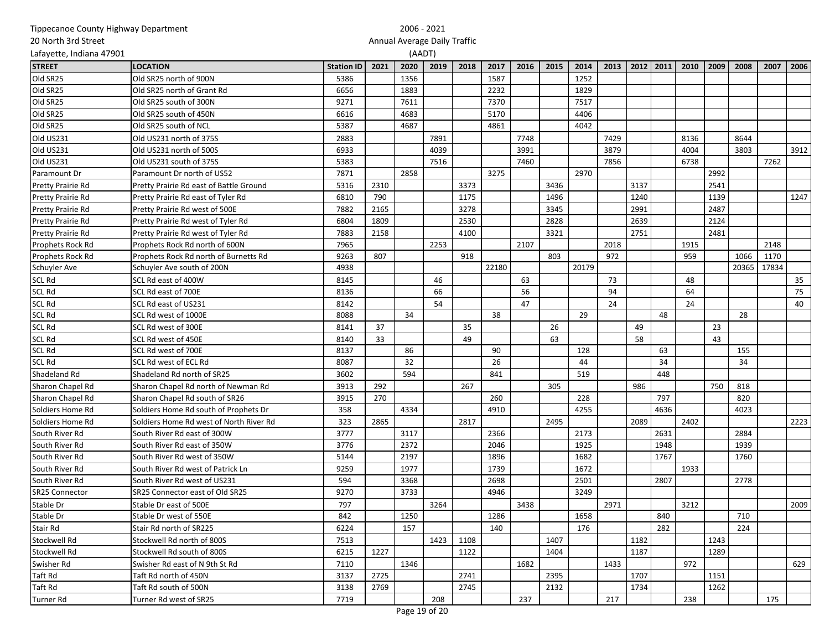|                          | Tippecanoe County Highway Department    |                   |      |      | 2006 - 2021                  |      |       |      |      |       |      |      |           |      |      |       |       |      |
|--------------------------|-----------------------------------------|-------------------|------|------|------------------------------|------|-------|------|------|-------|------|------|-----------|------|------|-------|-------|------|
| 20 North 3rd Street      |                                         |                   |      |      | Annual Average Daily Traffic |      |       |      |      |       |      |      |           |      |      |       |       |      |
| Lafayette, Indiana 47901 |                                         |                   |      |      | (AADT)                       |      |       |      |      |       |      |      |           |      |      |       |       |      |
| <b>STREET</b>            | <b>LOCATION</b>                         | <b>Station ID</b> | 2021 | 2020 | 2019                         | 2018 | 2017  | 2016 | 2015 | 2014  | 2013 |      | 2012 2011 | 2010 | 2009 | 2008  | 2007  | 2006 |
| Old SR25                 | Old SR25 north of 900N                  | 5386              |      | 1356 |                              |      | 1587  |      |      | 1252  |      |      |           |      |      |       |       |      |
| Old SR25                 | Old SR25 north of Grant Rd              | 6656              |      | 1883 |                              |      | 2232  |      |      | 1829  |      |      |           |      |      |       |       |      |
| Old SR25                 | Old SR25 south of 300N                  | 9271              |      | 7611 |                              |      | 7370  |      |      | 7517  |      |      |           |      |      |       |       |      |
| Old SR25                 | Old SR25 south of 450N                  | 6616              |      | 4683 |                              |      | 5170  |      |      | 4406  |      |      |           |      |      |       |       |      |
| Old SR25                 | Old SR25 south of NCL                   | 5387              |      | 4687 |                              |      | 4861  |      |      | 4042  |      |      |           |      |      |       |       |      |
| Old US231                | Old US231 north of 375S                 | 2883              |      |      | 7891                         |      |       | 7748 |      |       | 7429 |      |           | 8136 |      | 8644  |       |      |
| Old US231                | Old US231 north of 500S                 | 6933              |      |      | 4039                         |      |       | 3991 |      |       | 3879 |      |           | 4004 |      | 3803  |       | 3912 |
| Old US231                | Old US231 south of 375S                 | 5383              |      |      | 7516                         |      |       | 7460 |      |       | 7856 |      |           | 6738 |      |       | 7262  |      |
| Paramount Dr             | Paramount Dr north of US52              | 7871              |      | 2858 |                              |      | 3275  |      |      | 2970  |      |      |           |      | 2992 |       |       |      |
| Pretty Prairie Rd        | Pretty Prairie Rd east of Battle Ground | 5316              | 2310 |      |                              | 3373 |       |      | 3436 |       |      | 3137 |           |      | 2541 |       |       |      |
| Pretty Prairie Rd        | Pretty Prairie Rd east of Tyler Rd      | 6810              | 790  |      |                              | 1175 |       |      | 1496 |       |      | 1240 |           |      | 1139 |       |       | 1247 |
| Pretty Prairie Rd        | Pretty Prairie Rd west of 500E          | 7882              | 2165 |      |                              | 3278 |       |      | 3345 |       |      | 2991 |           |      | 2487 |       |       |      |
| Pretty Prairie Rd        | Pretty Prairie Rd west of Tyler Rd      | 6804              | 1809 |      |                              | 2530 |       |      | 2828 |       |      | 2639 |           |      | 2124 |       |       |      |
| Pretty Prairie Rd        | Pretty Prairie Rd west of Tyler Rd      | 7883              | 2158 |      |                              | 4100 |       |      | 3321 |       |      | 2751 |           |      | 2481 |       |       |      |
| Prophets Rock Rd         | Prophets Rock Rd north of 600N          | 7965              |      |      | 2253                         |      |       | 2107 |      |       | 2018 |      |           | 1915 |      |       | 2148  |      |
| Prophets Rock Rd         | Prophets Rock Rd north of Burnetts Rd   | 9263              | 807  |      |                              | 918  |       |      | 803  |       | 972  |      |           | 959  |      | 1066  | 1170  |      |
| Schuyler Ave             | Schuyler Ave south of 200N              | 4938              |      |      |                              |      | 22180 |      |      | 20179 |      |      |           |      |      | 20365 | 17834 |      |
| <b>SCL Rd</b>            | SCL Rd east of 400W                     | 8145              |      |      | 46                           |      |       | 63   |      |       | 73   |      |           | 48   |      |       |       | 35   |
| <b>SCL Rd</b>            | SCL Rd east of 700E                     | 8136              |      |      | 66                           |      |       | 56   |      |       | 94   |      |           | 64   |      |       |       | 75   |
| <b>SCL Rd</b>            | SCL Rd east of US231                    | 8142              |      |      | 54                           |      |       | 47   |      |       | 24   |      |           | 24   |      |       |       | 40   |
| <b>SCL Rd</b>            | SCL Rd west of 1000E                    | 8088              |      | 34   |                              |      | 38    |      |      | 29    |      |      | 48        |      |      | 28    |       |      |
| <b>SCL Rd</b>            | SCL Rd west of 300E                     | 8141              | 37   |      |                              | 35   |       |      | 26   |       |      | 49   |           |      | 23   |       |       |      |
| <b>SCL Rd</b>            | SCL Rd west of 450E                     | 8140              | 33   |      |                              | 49   |       |      | 63   |       |      | 58   |           |      | 43   |       |       |      |
| <b>SCL Rd</b>            | SCL Rd west of 700E                     | 8137              |      | 86   |                              |      | 90    |      |      | 128   |      |      | 63        |      |      | 155   |       |      |
| <b>SCL Rd</b>            | SCL Rd west of ECL Rd                   | 8087              |      | 32   |                              |      | 26    |      |      | 44    |      |      | 34        |      |      | 34    |       |      |
| Shadeland Rd             | Shadeland Rd north of SR25              | 3602              |      | 594  |                              |      | 841   |      |      | 519   |      |      | 448       |      |      |       |       |      |
| Sharon Chapel Rd         | Sharon Chapel Rd north of Newman Rd     | 3913              | 292  |      |                              | 267  |       |      | 305  |       |      | 986  |           |      | 750  | 818   |       |      |
| Sharon Chapel Rd         | Sharon Chapel Rd south of SR26          | 3915              | 270  |      |                              |      | 260   |      |      | 228   |      |      | 797       |      |      | 820   |       |      |
| Soldiers Home Rd         | Soldiers Home Rd south of Prophets Dr   | 358               |      | 4334 |                              |      | 4910  |      |      | 4255  |      |      | 4636      |      |      | 4023  |       |      |
| Soldiers Home Rd         | Soldiers Home Rd west of North River Rd | 323               | 2865 |      |                              | 2817 |       |      | 2495 |       |      | 2089 |           | 2402 |      |       |       | 2223 |
| South River Rd           | South River Rd east of 300W             | 3777              |      | 3117 |                              |      | 2366  |      |      | 2173  |      |      | 2631      |      |      | 2884  |       |      |
| South River Rd           | South River Rd east of 350W             | 3776              |      | 2372 |                              |      | 2046  |      |      | 1925  |      |      | 1948      |      |      | 1939  |       |      |
| South River Rd           | South River Rd west of 350W             | 5144              |      | 2197 |                              |      | 1896  |      |      | 1682  |      |      | 1767      |      |      | 1760  |       |      |
| South River Rd           | South River Rd west of Patrick Ln       | 9259              |      | 1977 |                              |      | 1739  |      |      | 1672  |      |      |           | 1933 |      |       |       |      |
| South River Rd           | South River Rd west of US231            | 594               |      | 3368 |                              |      | 2698  |      |      | 2501  |      |      | 2807      |      |      | 2778  |       |      |
| SR25 Connector           | SR25 Connector east of Old SR25         | 9270              |      | 3733 |                              |      | 4946  |      |      | 3249  |      |      |           |      |      |       |       |      |
| Stable Dr                | Stable Dr east of 500E                  | 797               |      |      | 3264                         |      |       | 3438 |      |       | 2971 |      |           | 3212 |      |       |       | 2009 |
| Stable Dr                | Stable Dr west of 550E                  | 842               |      | 1250 |                              |      | 1286  |      |      | 1658  |      |      | 840       |      |      | 710   |       |      |
| Stair Rd                 | Stair Rd north of SR225                 | 6224              |      | 157  |                              |      | 140   |      |      | 176   |      |      | 282       |      |      | 224   |       |      |
| Stockwell Rd             | Stockwell Rd north of 800S              | 7513              |      |      | 1423                         | 1108 |       |      | 1407 |       |      | 1182 |           |      | 1243 |       |       |      |
| Stockwell Rd             | Stockwell Rd south of 800S              | 6215              | 1227 |      |                              | 1122 |       |      | 1404 |       |      | 1187 |           |      | 1289 |       |       |      |
| Swisher Rd               | Swisher Rd east of N 9th St Rd          | 7110              |      | 1346 |                              |      |       | 1682 |      |       | 1433 |      |           | 972  |      |       |       | 629  |
| Taft Rd                  | Taft Rd north of 450N                   | 3137              | 2725 |      |                              | 2741 |       |      | 2395 |       |      | 1707 |           |      | 1151 |       |       |      |
| Taft Rd                  | Taft Rd south of 500N                   | 3138              | 2769 |      |                              | 2745 |       |      | 2132 |       |      | 1734 |           |      | 1262 |       |       |      |
| <b>Turner Rd</b>         | Turner Rd west of SR25                  | 7719              |      |      | 208                          |      |       | 237  |      |       | 217  |      |           | 238  |      |       | 175   |      |